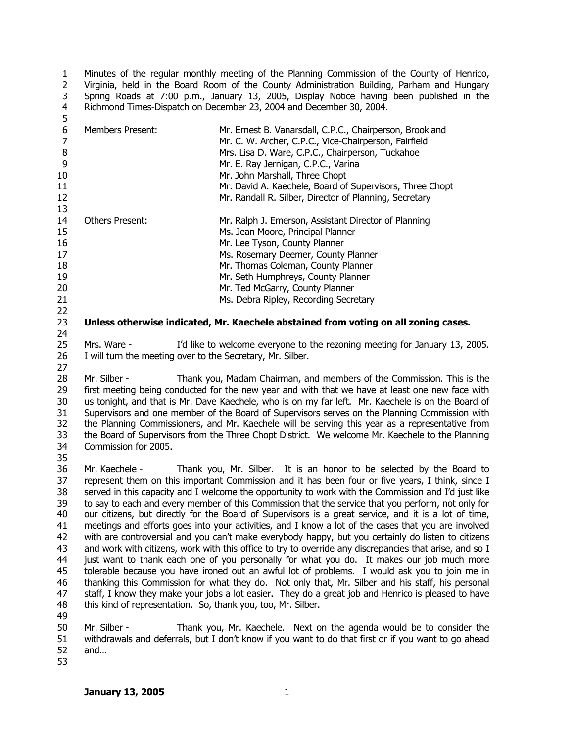1  $\mathcal{L}$ 3 4 5 Minutes of the regular monthly meeting of the Planning Commission of the County of Henrico, Virginia, held in the Board Room of the County Administration Building, Parham and Hungary Spring Roads at 7:00 p.m., January 13, 2005, Display Notice having been published in the Richmond Times-Dispatch on December 23, 2004 and December 30, 2004.

| ر              |                                                            |                                                                                                      |
|----------------|------------------------------------------------------------|------------------------------------------------------------------------------------------------------|
| 6              | <b>Members Present:</b>                                    | Mr. Ernest B. Vanarsdall, C.P.C., Chairperson, Brookland                                             |
| $\overline{7}$ |                                                            | Mr. C. W. Archer, C.P.C., Vice-Chairperson, Fairfield                                                |
| 8              |                                                            | Mrs. Lisa D. Ware, C.P.C., Chairperson, Tuckahoe                                                     |
| 9              |                                                            | Mr. E. Ray Jernigan, C.P.C., Varina                                                                  |
| 10             |                                                            | Mr. John Marshall, Three Chopt                                                                       |
| 11             |                                                            | Mr. David A. Kaechele, Board of Supervisors, Three Chopt                                             |
| 12             |                                                            | Mr. Randall R. Silber, Director of Planning, Secretary                                               |
| 13             |                                                            |                                                                                                      |
| 14             | <b>Others Present:</b>                                     | Mr. Ralph J. Emerson, Assistant Director of Planning                                                 |
|                |                                                            |                                                                                                      |
| 15             |                                                            | Ms. Jean Moore, Principal Planner                                                                    |
| 16             |                                                            | Mr. Lee Tyson, County Planner                                                                        |
| 17             |                                                            | Ms. Rosemary Deemer, County Planner                                                                  |
| 18             |                                                            | Mr. Thomas Coleman, County Planner                                                                   |
| 19             |                                                            | Mr. Seth Humphreys, County Planner                                                                   |
| 20             |                                                            | Mr. Ted McGarry, County Planner                                                                      |
| 21             |                                                            | Ms. Debra Ripley, Recording Secretary                                                                |
| 22             |                                                            |                                                                                                      |
| 23             |                                                            | Unless otherwise indicated, Mr. Kaechele abstained from voting on all zoning cases.                  |
| 24             |                                                            |                                                                                                      |
| 25             | Mrs. Ware -                                                | I'd like to welcome everyone to the rezoning meeting for January 13, 2005.                           |
| 26             | I will turn the meeting over to the Secretary, Mr. Silber. |                                                                                                      |
| 27             |                                                            |                                                                                                      |
| 28             | Mr. Silber -                                               | Thank you, Madam Chairman, and members of the Commission. This is the                                |
| 29             |                                                            | first meeting being conducted for the new year and with that we have at least one new face with      |
| 30             |                                                            | us tonight, and that is Mr. Dave Kaechele, who is on my far left. Mr. Kaechele is on the Board of    |
| 31             |                                                            | Supervisors and one member of the Board of Supervisors serves on the Planning Commission with        |
| 32             |                                                            | the Planning Commissioners, and Mr. Kaechele will be serving this year as a representative from      |
| 33             |                                                            |                                                                                                      |
|                |                                                            | the Board of Supervisors from the Three Chopt District. We welcome Mr. Kaechele to the Planning      |
| 34             | Commission for 2005.                                       |                                                                                                      |
| 35             |                                                            |                                                                                                      |
| 36             | Mr. Kaechele -                                             | Thank you, Mr. Silber. It is an honor to be selected by the Board to                                 |
| 37             |                                                            | represent them on this important Commission and it has been four or five years, I think, since I     |
| 38             |                                                            | served in this capacity and I welcome the opportunity to work with the Commission and I'd just like  |
| 39             |                                                            | to say to each and every member of this Commission that the service that you perform, not only for   |
| 40             |                                                            | our citizens, but directly for the Board of Supervisors is a great service, and it is a lot of time, |
| 41             |                                                            | meetings and efforts goes into your activities, and I know a lot of the cases that you are involved  |

42 43 44 45 46 47 48 with are controversial and you can't make everybody happy, but you certainly do listen to citizens and work with citizens, work with this office to try to override any discrepancies that arise, and so I just want to thank each one of you personally for what you do. It makes our job much more tolerable because you have ironed out an awful lot of problems. I would ask you to join me in thanking this Commission for what they do. Not only that, Mr. Silber and his staff, his personal staff, I know they make your jobs a lot easier. They do a great job and Henrico is pleased to have this kind of representation. So, thank you, too, Mr. Silber.

49

50 51 52 53 Mr. Silber - Thank you, Mr. Kaechele. Next on the agenda would be to consider the withdrawals and deferrals, but I don't know if you want to do that first or if you want to go ahead and…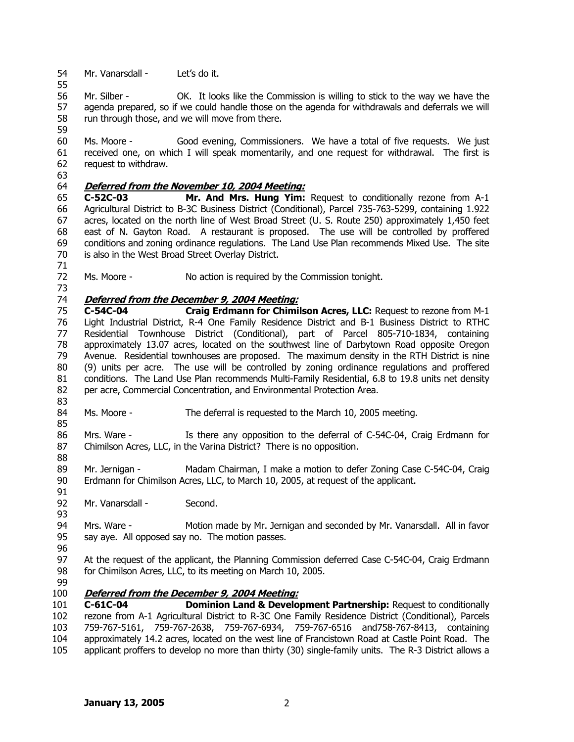54 Mr. Vanarsdall - Let's do it.

55

56 57 58 59 Mr. Silber - OK. It looks like the Commission is willing to stick to the way we have the agenda prepared, so if we could handle those on the agenda for withdrawals and deferrals we will run through those, and we will move from there.

60 61 62 Ms. Moore - Good evening, Commissioners. We have a total of five requests. We just received one, on which I will speak momentarily, and one request for withdrawal. The first is request to withdraw.

63

71

73

# 64 **Deferred from the November 10, 2004 Meeting:**

65 66 67 68 69 70 **C-52C-03 Mr. And Mrs. Hung Yim:** Request to conditionally rezone from A-1 Agricultural District to B-3C Business District (Conditional), Parcel 735-763-5299, containing 1.922 acres, located on the north line of West Broad Street (U. S. Route 250) approximately 1,450 feet east of N. Gayton Road. A restaurant is proposed. The use will be controlled by proffered conditions and zoning ordinance regulations. The Land Use Plan recommends Mixed Use. The site is also in the West Broad Street Overlay District.

72 Ms. Moore - No action is required by the Commission tonight.

## 74 **Deferred from the December 9, 2004 Meeting:**

75 76 77 78 79 80 81 82 83 **C-54C-04 Craig Erdmann for Chimilson Acres, LLC:** Request to rezone from M-1 Light Industrial District, R-4 One Family Residence District and B-1 Business District to RTHC Residential Townhouse District (Conditional), part of Parcel 805-710-1834, containing approximately 13.07 acres, located on the southwest line of Darbytown Road opposite Oregon Avenue. Residential townhouses are proposed. The maximum density in the RTH District is nine (9) units per acre. The use will be controlled by zoning ordinance regulations and proffered conditions. The Land Use Plan recommends Multi-Family Residential, 6.8 to 19.8 units net density per acre, Commercial Concentration, and Environmental Protection Area.

84 85 Ms. Moore - The deferral is requested to the March 10, 2005 meeting.

86 87 88 Mrs. Ware - Is there any opposition to the deferral of C-54C-04, Craig Erdmann for Chimilson Acres, LLC, in the Varina District? There is no opposition.

89 90 Mr. Jernigan - Madam Chairman, I make a motion to defer Zoning Case C-54C-04, Craig Erdmann for Chimilson Acres, LLC, to March 10, 2005, at request of the applicant.

92 Mr. Vanarsdall - Second.

94 95 Mrs. Ware - Motion made by Mr. Jernigan and seconded by Mr. Vanarsdall. All in favor say aye. All opposed say no. The motion passes.

96

91

93

97 98 At the request of the applicant, the Planning Commission deferred Case C-54C-04, Craig Erdmann for Chimilson Acres, LLC, to its meeting on March 10, 2005.

99

## 100 **Deferred from the December 9, 2004 Meeting:**

101 102 103 104 105 **C-61C-04 Dominion Land & Development Partnership:** Request to conditionally rezone from A-1 Agricultural District to R-3C One Family Residence District (Conditional), Parcels 759-767-5161, 759-767-2638, 759-767-6934, 759-767-6516 and758-767-8413, containing approximately 14.2 acres, located on the west line of Francistown Road at Castle Point Road. The applicant proffers to develop no more than thirty (30) single-family units. The R-3 District allows a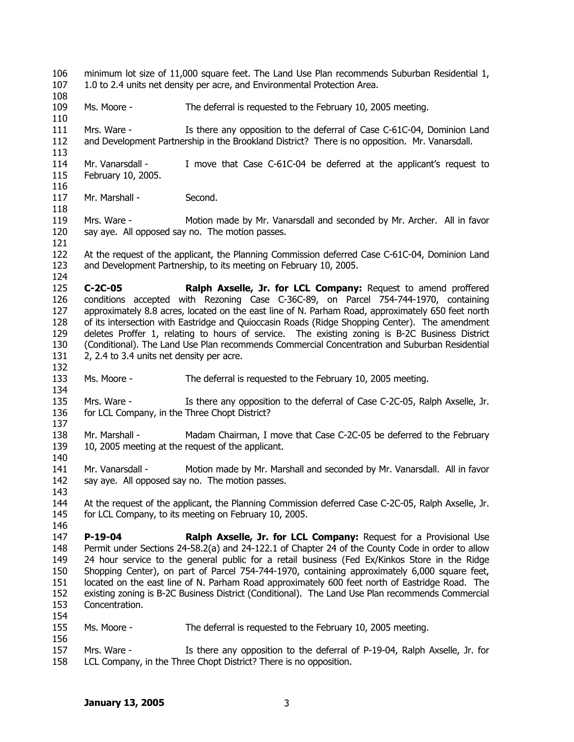- 106 107 minimum lot size of 11,000 square feet. The Land Use Plan recommends Suburban Residential 1, 1.0 to 2.4 units net density per acre, and Environmental Protection Area.
- 108

110

113

116

118

121

124

132

134

137

140

143

146

154

- 109 Ms. Moore - The deferral is requested to the February 10, 2005 meeting.
- 111 112 Mrs. Ware - Is there any opposition to the deferral of Case C-61C-04, Dominion Land and Development Partnership in the Brookland District? There is no opposition. Mr. Vanarsdall.
- 114 115 Mr. Vanarsdall - I move that Case C-61C-04 be deferred at the applicant's request to February 10, 2005.
- 117 Mr. Marshall - Second.
- 119 120 Mrs. Ware - Motion made by Mr. Vanarsdall and seconded by Mr. Archer. All in favor say aye. All opposed say no. The motion passes.
- 122 123 At the request of the applicant, the Planning Commission deferred Case C-61C-04, Dominion Land and Development Partnership, to its meeting on February 10, 2005.
- 125 126 127 128 129 130 131 **C-2C-05 Ralph Axselle, Jr. for LCL Company:** Request to amend proffered conditions accepted with Rezoning Case C-36C-89, on Parcel 754-744-1970, containing approximately 8.8 acres, located on the east line of N. Parham Road, approximately 650 feet north of its intersection with Eastridge and Quioccasin Roads (Ridge Shopping Center). The amendment deletes Proffer 1, relating to hours of service. The existing zoning is B-2C Business District (Conditional). The Land Use Plan recommends Commercial Concentration and Suburban Residential 2, 2.4 to 3.4 units net density per acre.
- 133 Ms. Moore - The deferral is requested to the February 10, 2005 meeting.
- 135 136 Mrs. Ware - Is there any opposition to the deferral of Case C-2C-05, Ralph Axselle, Jr. for LCL Company, in the Three Chopt District?
- 138 139 Mr. Marshall - Madam Chairman, I move that Case C-2C-05 be deferred to the February 10, 2005 meeting at the request of the applicant.
- 141 142 Mr. Vanarsdall - Motion made by Mr. Marshall and seconded by Mr. Vanarsdall. All in favor say aye. All opposed say no. The motion passes.
- 144 145 At the request of the applicant, the Planning Commission deferred Case C-2C-05, Ralph Axselle, Jr. for LCL Company, to its meeting on February 10, 2005.
- 147 148 149 150 151 152 153 **P-19-04 Ralph Axselle, Jr. for LCL Company:** Request for a Provisional Use Permit under Sections 24-58.2(a) and 24-122.1 of Chapter 24 of the County Code in order to allow 24 hour service to the general public for a retail business (Fed Ex/Kinkos Store in the Ridge Shopping Center), on part of Parcel 754-744-1970, containing approximately 6,000 square feet, located on the east line of N. Parham Road approximately 600 feet north of Eastridge Road. The existing zoning is B-2C Business District (Conditional). The Land Use Plan recommends Commercial Concentration.
- 155 Ms. Moore - The deferral is requested to the February 10, 2005 meeting.
- 157 158 Mrs. Ware - Is there any opposition to the deferral of P-19-04, Ralph Axselle, Jr. for LCL Company, in the Three Chopt District? There is no opposition.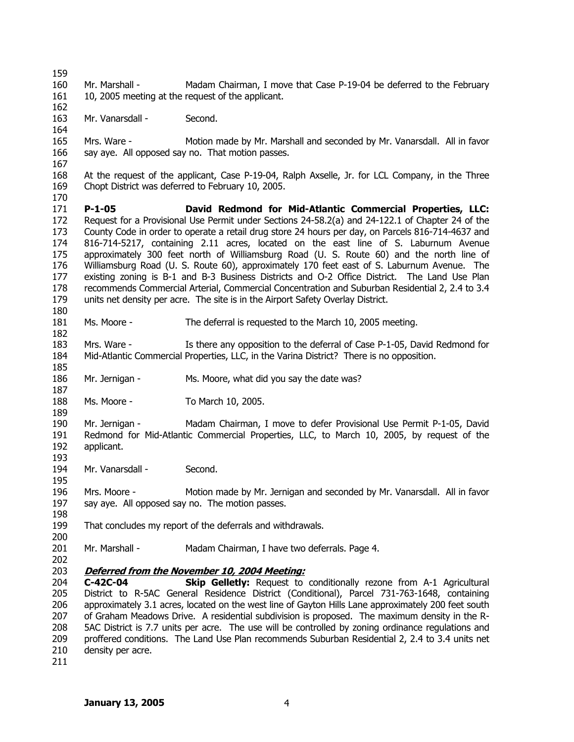159 160 161 Mr. Marshall - Madam Chairman, I move that Case P-19-04 be deferred to the February 10, 2005 meeting at the request of the applicant.

163 Mr. Vanarsdall - Second.

162

164

167

170

180

182

185

187

189

193

195

198

200

165 166 Mrs. Ware - Motion made by Mr. Marshall and seconded by Mr. Vanarsdall. All in favor say aye. All opposed say no. That motion passes.

168 169 At the request of the applicant, Case P-19-04, Ralph Axselle, Jr. for LCL Company, in the Three Chopt District was deferred to February 10, 2005.

171 172 173 174 175 176 177 178 179 **P-1-05 David Redmond for Mid-Atlantic Commercial Properties, LLC:** Request for a Provisional Use Permit under Sections 24-58.2(a) and 24-122.1 of Chapter 24 of the County Code in order to operate a retail drug store 24 hours per day, on Parcels 816-714-4637 and 816-714-5217, containing 2.11 acres, located on the east line of S. Laburnum Avenue approximately 300 feet north of Williamsburg Road (U. S. Route 60) and the north line of Williamsburg Road (U. S. Route 60), approximately 170 feet east of S. Laburnum Avenue. The existing zoning is B-1 and B-3 Business Districts and O-2 Office District. The Land Use Plan recommends Commercial Arterial, Commercial Concentration and Suburban Residential 2, 2.4 to 3.4 units net density per acre. The site is in the Airport Safety Overlay District.

181 Ms. Moore - The deferral is requested to the March 10, 2005 meeting.

183 184 Mrs. Ware - Is there any opposition to the deferral of Case P-1-05, David Redmond for Mid-Atlantic Commercial Properties, LLC, in the Varina District? There is no opposition.

186 Mr. Jernigan - Mrs. Moore, what did you say the date was?

188 Ms. Moore - To March 10, 2005.

190 191 192 Mr. Jernigan - Madam Chairman, I move to defer Provisional Use Permit P-1-05, David Redmond for Mid-Atlantic Commercial Properties, LLC, to March 10, 2005, by request of the applicant.

194 Mr. Vanarsdall - Second.

196 197 Mrs. Moore - Motion made by Mr. Jernigan and seconded by Mr. Vanarsdall. All in favor say aye. All opposed say no. The motion passes.

199 That concludes my report of the deferrals and withdrawals.

- 201 Mr. Marshall - Madam Chairman, I have two deferrals. Page 4.
- 202

### 203 **Deferred from the November 10, 2004 Meeting:**

204 205 206 207 208 209 210 **C-42C-04 Skip Gelletly:** Request to conditionally rezone from A-1 Agricultural District to R-5AC General Residence District (Conditional), Parcel 731-763-1648, containing approximately 3.1 acres, located on the west line of Gayton Hills Lane approximately 200 feet south of Graham Meadows Drive. A residential subdivision is proposed. The maximum density in the R-5AC District is 7.7 units per acre. The use will be controlled by zoning ordinance regulations and proffered conditions. The Land Use Plan recommends Suburban Residential 2, 2.4 to 3.4 units net density per acre.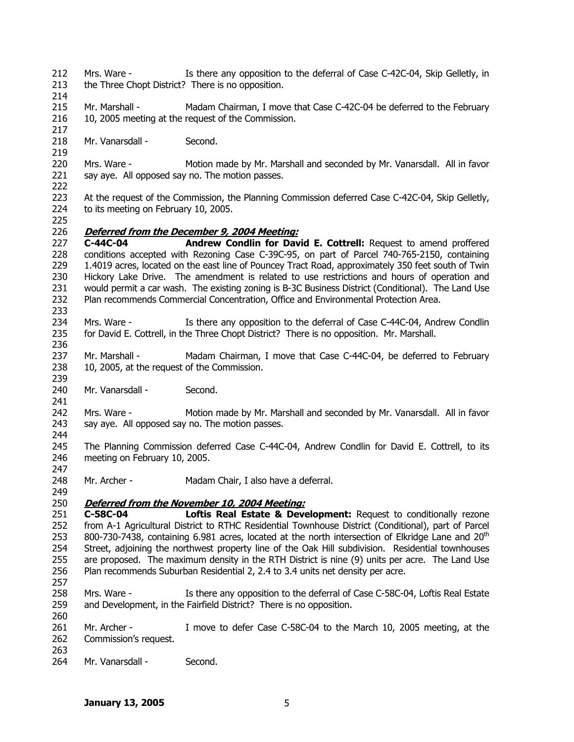- 212 213 Mrs. Ware - Is there any opposition to the deferral of Case C-42C-04, Skip Gelletly, in the Three Chopt District? There is no opposition.
- 214

217

219

- 215 216 Mr. Marshall - Madam Chairman, I move that Case C-42C-04 be deferred to the February 10, 2005 meeting at the request of the Commission.
- 218 Mr. Vanarsdall - Second.
- 220 221 222 Mrs. Ware - Motion made by Mr. Marshall and seconded by Mr. Vanarsdall. All in favor say aye. All opposed say no. The motion passes.
- 223 224 At the request of the Commission, the Planning Commission deferred Case C-42C-04, Skip Gelletly, to its meeting on February 10, 2005.
- 225

241

- 226 **Deferred from the December 9, 2004 Meeting:**
- 227 228 229 230 231 232 233 **C-44C-04 Andrew Condlin for David E. Cottrell:** Request to amend proffered conditions accepted with Rezoning Case C-39C-95, on part of Parcel 740-765-2150, containing 1.4019 acres, located on the east line of Pouncey Tract Road, approximately 350 feet south of Twin Hickory Lake Drive. The amendment is related to use restrictions and hours of operation and would permit a car wash. The existing zoning is B-3C Business District (Conditional). The Land Use Plan recommends Commercial Concentration, Office and Environmental Protection Area.
- 234 235 236 Mrs. Ware - Is there any opposition to the deferral of Case C-44C-04, Andrew Condlin for David E. Cottrell, in the Three Chopt District? There is no opposition. Mr. Marshall.
- 237 238 239 Mr. Marshall - Madam Chairman, I move that Case C-44C-04, be deferred to February 10, 2005, at the request of the Commission.
- 240 Mr. Vanarsdall - Second.
- 242 243 Mrs. Ware - Motion made by Mr. Marshall and seconded by Mr. Vanarsdall. All in favor say aye. All opposed say no. The motion passes.
- 244 245 246 The Planning Commission deferred Case C-44C-04, Andrew Condlin for David E. Cottrell, to its meeting on February 10, 2005.
- 248 249 Mr. Archer - Madam Chair, I also have a deferral.
- 250 **Deferred from the November 10, 2004 Meeting:**
- 251 252 253 254 255 256 257 **C-58C-04 Loftis Real Estate & Development:** Request to conditionally rezone from A-1 Agricultural District to RTHC Residential Townhouse District (Conditional), part of Parcel 800-730-7438, containing 6.981 acres, located at the north intersection of Elkridge Lane and  $20<sup>th</sup>$ Street, adjoining the northwest property line of the Oak Hill subdivision. Residential townhouses are proposed. The maximum density in the RTH District is nine (9) units per acre. The Land Use Plan recommends Suburban Residential 2, 2.4 to 3.4 units net density per acre.
- 258 259 260 Mrs. Ware - Is there any opposition to the deferral of Case C-58C-04, Loftis Real Estate and Development, in the Fairfield District? There is no opposition.
- 261 262 Mr. Archer - I move to defer Case C-58C-04 to the March 10, 2005 meeting, at the Commission's request.
- 263 264 Mr. Vanarsdall - Second.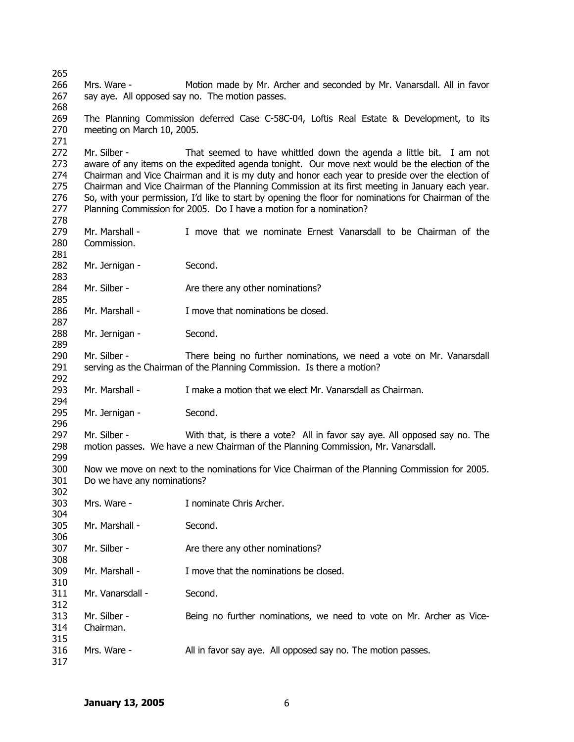Mrs. Ware - Motion made by Mr. Archer and seconded by Mr. Vanarsdall. All in favor say aye. All opposed say no. The motion passes. The Planning Commission deferred Case C-58C-04, Loftis Real Estate & Development, to its meeting on March 10, 2005. Mr. Silber - That seemed to have whittled down the agenda a little bit. I am not aware of any items on the expedited agenda tonight. Our move next would be the election of the Chairman and Vice Chairman and it is my duty and honor each year to preside over the election of Chairman and Vice Chairman of the Planning Commission at its first meeting in January each year. So, with your permission, I'd like to start by opening the floor for nominations for Chairman of the Planning Commission for 2005. Do I have a motion for a nomination? Mr. Marshall - I move that we nominate Ernest Vanarsdall to be Chairman of the Commission. Mr. Jernigan - Second. Mr. Silber - Are there any other nominations? Mr. Marshall - I move that nominations be closed. Mr. Jernigan - Second. Mr. Silber - There being no further nominations, we need a vote on Mr. Vanarsdall serving as the Chairman of the Planning Commission. Is there a motion? Mr. Marshall - I make a motion that we elect Mr. Vanarsdall as Chairman. Mr. Jernigan - Second. Mr. Silber - With that, is there a vote? All in favor say aye. All opposed say no. The motion passes. We have a new Chairman of the Planning Commission, Mr. Vanarsdall. Now we move on next to the nominations for Vice Chairman of the Planning Commission for 2005. Do we have any nominations? Mrs. Ware - Inominate Chris Archer. Mr. Marshall - Second. Mr. Silber - Are there any other nominations? Mr. Marshall - I move that the nominations be closed. Mr. Vanarsdall - Second. Mr. Silber - Being no further nominations, we need to vote on Mr. Archer as Vice-Chairman. Mrs. Ware - **All in favor say aye.** All opposed say no. The motion passes.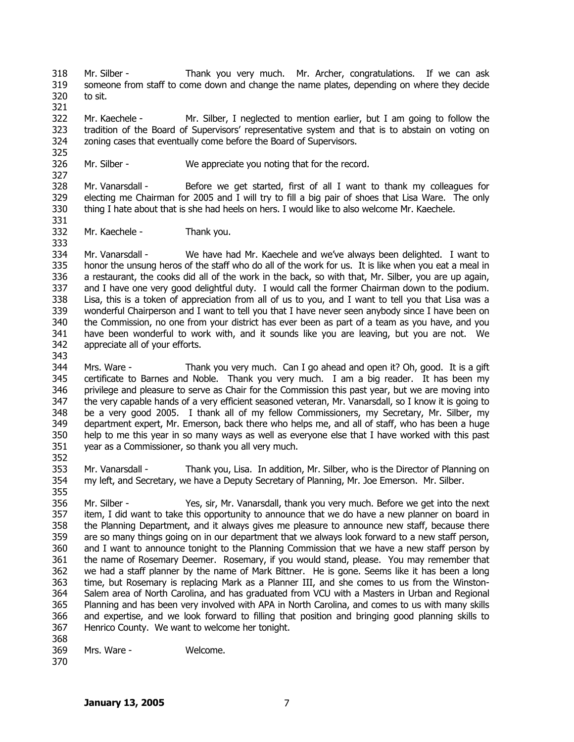318 319 320 Mr. Silber - Thank you very much. Mr. Archer, congratulations. If we can ask someone from staff to come down and change the name plates, depending on where they decide to sit.

322 323 324 Mr. Kaechele - Mr. Silber, I neglected to mention earlier, but I am going to follow the tradition of the Board of Supervisors' representative system and that is to abstain on voting on zoning cases that eventually come before the Board of Supervisors.

326

Mr. Silber - We appreciate you noting that for the record.

328 329 330 Mr. Vanarsdall - Before we get started, first of all I want to thank my colleagues for electing me Chairman for 2005 and I will try to fill a big pair of shoes that Lisa Ware. The only thing I hate about that is she had heels on hers. I would like to also welcome Mr. Kaechele.

332 Mr. Kaechele - Thank you.

334 335 336 337 338 339 340 341 342 Mr. Vanarsdall - We have had Mr. Kaechele and we've always been delighted. I want to honor the unsung heros of the staff who do all of the work for us. It is like when you eat a meal in a restaurant, the cooks did all of the work in the back, so with that, Mr. Silber, you are up again, and I have one very good delightful duty. I would call the former Chairman down to the podium. Lisa, this is a token of appreciation from all of us to you, and I want to tell you that Lisa was a wonderful Chairperson and I want to tell you that I have never seen anybody since I have been on the Commission, no one from your district has ever been as part of a team as you have, and you have been wonderful to work with, and it sounds like you are leaving, but you are not. We appreciate all of your efforts.

- 344 345 346 347 348 349 350 351 Mrs. Ware - Thank you very much. Can I go ahead and open it? Oh, good. It is a gift certificate to Barnes and Noble. Thank you very much. I am a big reader. It has been my privilege and pleasure to serve as Chair for the Commission this past year, but we are moving into the very capable hands of a very efficient seasoned veteran, Mr. Vanarsdall, so I know it is going to be a very good 2005. I thank all of my fellow Commissioners, my Secretary, Mr. Silber, my department expert, Mr. Emerson, back there who helps me, and all of staff, who has been a huge help to me this year in so many ways as well as everyone else that I have worked with this past year as a Commissioner, so thank you all very much.
- 352

343

321

325

327

331

333

353 354 355 Mr. Vanarsdall - Thank you, Lisa. In addition, Mr. Silber, who is the Director of Planning on my left, and Secretary, we have a Deputy Secretary of Planning, Mr. Joe Emerson. Mr. Silber.

356 357 358 359 360 361 362 363 364 365 366 367 Mr. Silber - Yes, sir, Mr. Vanarsdall, thank you very much. Before we get into the next item, I did want to take this opportunity to announce that we do have a new planner on board in the Planning Department, and it always gives me pleasure to announce new staff, because there are so many things going on in our department that we always look forward to a new staff person, and I want to announce tonight to the Planning Commission that we have a new staff person by the name of Rosemary Deemer. Rosemary, if you would stand, please. You may remember that we had a staff planner by the name of Mark Bittner. He is gone. Seems like it has been a long time, but Rosemary is replacing Mark as a Planner III, and she comes to us from the Winston-Salem area of North Carolina, and has graduated from VCU with a Masters in Urban and Regional Planning and has been very involved with APA in North Carolina, and comes to us with many skills and expertise, and we look forward to filling that position and bringing good planning skills to Henrico County. We want to welcome her tonight.

- 368
- 369 Mrs. Ware - Welcome.
- 370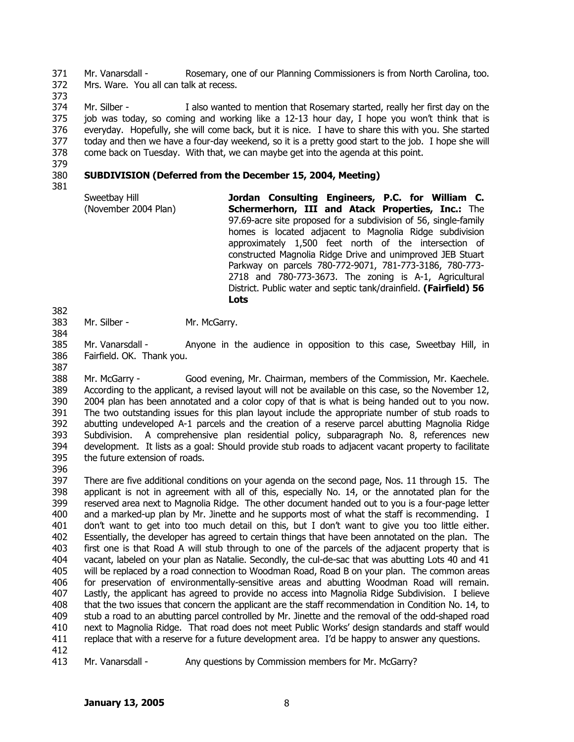371 372 Mr. Vanarsdall - Rosemary, one of our Planning Commissioners is from North Carolina, too. Mrs. Ware. You all can talk at recess.

373

374 375 376 377 378 Mr. Silber - I also wanted to mention that Rosemary started, really her first day on the job was today, so coming and working like a 12-13 hour day, I hope you won't think that is everyday. Hopefully, she will come back, but it is nice. I have to share this with you. She started today and then we have a four-day weekend, so it is a pretty good start to the job. I hope she will come back on Tuesday. With that, we can maybe get into the agenda at this point.

379

#### 380 **SUBDIVISION (Deferred from the December 15, 2004, Meeting)**

381

| Sweetbay Hill        | Jordan Consulting Engineers, P.C. for William C.                  |
|----------------------|-------------------------------------------------------------------|
| (November 2004 Plan) | Schermerhorn, III and Atack Properties, Inc.: The                 |
|                      | 97.69-acre site proposed for a subdivision of 56, single-family   |
|                      | homes is located adjacent to Magnolia Ridge subdivision           |
|                      | approximately 1,500 feet north of the intersection of             |
|                      | constructed Magnolia Ridge Drive and unimproved JEB Stuart        |
|                      | Parkway on parcels 780-772-9071, 781-773-3186, 780-773-           |
|                      | 2718 and 780-773-3673. The zoning is A-1, Agricultural            |
|                      | District. Public water and septic tank/drainfield. (Fairfield) 56 |
|                      | Lots                                                              |

- 383 Mr. Silber - Mr. McGarry.
- 384

382

385 386 Mr. Vanarsdall - Anyone in the audience in opposition to this case, Sweetbay Hill, in Fairfield. OK. Thank you.

387

388 389 390 391 392 393 394 395 Mr. McGarry - Good evening, Mr. Chairman, members of the Commission, Mr. Kaechele. According to the applicant, a revised layout will not be available on this case, so the November 12, 2004 plan has been annotated and a color copy of that is what is being handed out to you now. The two outstanding issues for this plan layout include the appropriate number of stub roads to abutting undeveloped A-1 parcels and the creation of a reserve parcel abutting Magnolia Ridge Subdivision. A comprehensive plan residential policy, subparagraph No. 8, references new development. It lists as a goal: Should provide stub roads to adjacent vacant property to facilitate the future extension of roads.

396

397 398 399 400 401 402 403 404 405 406 407 408 409 410 411 412 There are five additional conditions on your agenda on the second page, Nos. 11 through 15. The applicant is not in agreement with all of this, especially No. 14, or the annotated plan for the reserved area next to Magnolia Ridge. The other document handed out to you is a four-page letter and a marked-up plan by Mr. Jinette and he supports most of what the staff is recommending. I don't want to get into too much detail on this, but I don't want to give you too little either. Essentially, the developer has agreed to certain things that have been annotated on the plan. The first one is that Road A will stub through to one of the parcels of the adjacent property that is vacant, labeled on your plan as Natalie. Secondly, the cul-de-sac that was abutting Lots 40 and 41 will be replaced by a road connection to Woodman Road, Road B on your plan. The common areas for preservation of environmentally-sensitive areas and abutting Woodman Road will remain. Lastly, the applicant has agreed to provide no access into Magnolia Ridge Subdivision. I believe that the two issues that concern the applicant are the staff recommendation in Condition No. 14, to stub a road to an abutting parcel controlled by Mr. Jinette and the removal of the odd-shaped road next to Magnolia Ridge. That road does not meet Public Works' design standards and staff would replace that with a reserve for a future development area. I'd be happy to answer any questions.

413

Mr. Vanarsdall - Any questions by Commission members for Mr. McGarry?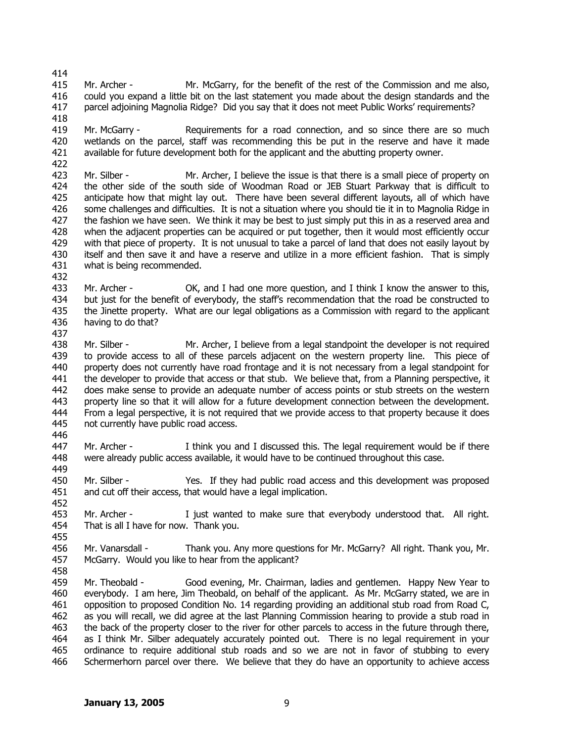- 414 415 416 417 Mr. Archer - Mr. McGarry, for the benefit of the rest of the Commission and me also, could you expand a little bit on the last statement you made about the design standards and the parcel adjoining Magnolia Ridge? Did you say that it does not meet Public Works' requirements?
- 418 419 420 421 Mr. McGarry - Requirements for a road connection, and so since there are so much wetlands on the parcel, staff was recommending this be put in the reserve and have it made available for future development both for the applicant and the abutting property owner.
- 422 423 424 425 426 427 428 429 430 431 Mr. Silber - Mr. Archer, I believe the issue is that there is a small piece of property on the other side of the south side of Woodman Road or JEB Stuart Parkway that is difficult to anticipate how that might lay out. There have been several different layouts, all of which have some challenges and difficulties. It is not a situation where you should tie it in to Magnolia Ridge in the fashion we have seen. We think it may be best to just simply put this in as a reserved area and when the adjacent properties can be acquired or put together, then it would most efficiently occur with that piece of property. It is not unusual to take a parcel of land that does not easily layout by itself and then save it and have a reserve and utilize in a more efficient fashion. That is simply what is being recommended.
- 433 434 435 436 Mr. Archer - OK, and I had one more question, and I think I know the answer to this, but just for the benefit of everybody, the staff's recommendation that the road be constructed to the Jinette property. What are our legal obligations as a Commission with regard to the applicant having to do that?
- 437

432

438 439 440 441 442 443 444 445 Mr. Silber - Mr. Archer, I believe from a legal standpoint the developer is not required to provide access to all of these parcels adjacent on the western property line. This piece of property does not currently have road frontage and it is not necessary from a legal standpoint for the developer to provide that access or that stub. We believe that, from a Planning perspective, it does make sense to provide an adequate number of access points or stub streets on the western property line so that it will allow for a future development connection between the development. From a legal perspective, it is not required that we provide access to that property because it does not currently have public road access.

446

452

455

447 448 449 Mr. Archer - I think you and I discussed this. The legal requirement would be if there were already public access available, it would have to be continued throughout this case.

450 451 Mr. Silber - Yes. If they had public road access and this development was proposed and cut off their access, that would have a legal implication.

453 454 Mr. Archer - I just wanted to make sure that everybody understood that. All right. That is all I have for now. Thank you.

456 457 Mr. Vanarsdall - Thank you. Any more questions for Mr. McGarry? All right. Thank you, Mr. McGarry. Would you like to hear from the applicant?

458 459 460 461 462 463 464 465 466 Mr. Theobald - Good evening, Mr. Chairman, ladies and gentlemen. Happy New Year to everybody. I am here, Jim Theobald, on behalf of the applicant. As Mr. McGarry stated, we are in opposition to proposed Condition No. 14 regarding providing an additional stub road from Road C, as you will recall, we did agree at the last Planning Commission hearing to provide a stub road in the back of the property closer to the river for other parcels to access in the future through there, as I think Mr. Silber adequately accurately pointed out. There is no legal requirement in your ordinance to require additional stub roads and so we are not in favor of stubbing to every Schermerhorn parcel over there. We believe that they do have an opportunity to achieve access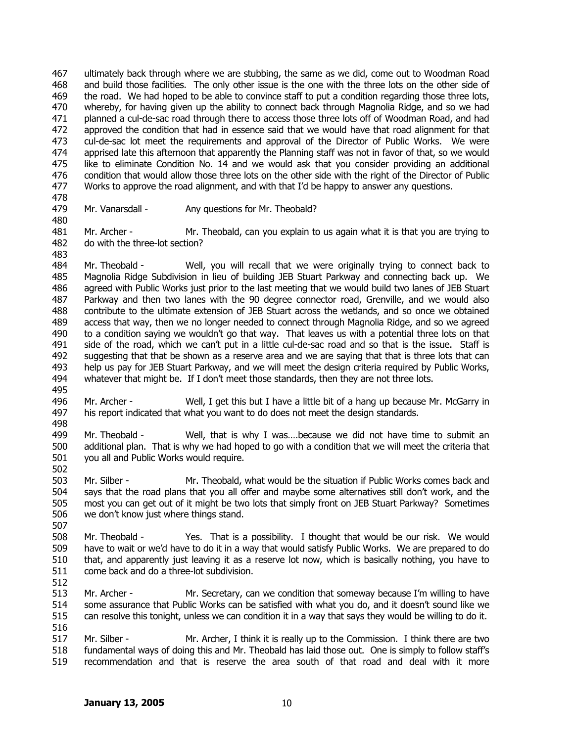467 468 469 470 471 472 473 474 475 476 477 ultimately back through where we are stubbing, the same as we did, come out to Woodman Road and build those facilities. The only other issue is the one with the three lots on the other side of the road. We had hoped to be able to convince staff to put a condition regarding those three lots, whereby, for having given up the ability to connect back through Magnolia Ridge, and so we had planned a cul-de-sac road through there to access those three lots off of Woodman Road, and had approved the condition that had in essence said that we would have that road alignment for that cul-de-sac lot meet the requirements and approval of the Director of Public Works. We were apprised late this afternoon that apparently the Planning staff was not in favor of that, so we would like to eliminate Condition No. 14 and we would ask that you consider providing an additional condition that would allow those three lots on the other side with the right of the Director of Public Works to approve the road alignment, and with that I'd be happy to answer any questions.

478 479

480

- Mr. Vanarsdall Any questions for Mr. Theobald?
- 481 482 483 Mr. Archer - Mr. Theobald, can you explain to us again what it is that you are trying to do with the three-lot section?
- 484 485 486 487 488 489 490 491 492 493 494 495 Mr. Theobald - Well, you will recall that we were originally trying to connect back to Magnolia Ridge Subdivision in lieu of building JEB Stuart Parkway and connecting back up. We agreed with Public Works just prior to the last meeting that we would build two lanes of JEB Stuart Parkway and then two lanes with the 90 degree connector road, Grenville, and we would also contribute to the ultimate extension of JEB Stuart across the wetlands, and so once we obtained access that way, then we no longer needed to connect through Magnolia Ridge, and so we agreed to a condition saying we wouldn't go that way. That leaves us with a potential three lots on that side of the road, which we can't put in a little cul-de-sac road and so that is the issue. Staff is suggesting that that be shown as a reserve area and we are saying that that is three lots that can help us pay for JEB Stuart Parkway, and we will meet the design criteria required by Public Works, whatever that might be. If I don't meet those standards, then they are not three lots.
- 496 497 498 Mr. Archer - Well, I get this but I have a little bit of a hang up because Mr. McGarry in his report indicated that what you want to do does not meet the design standards.
- 499 500 501 Mr. Theobald - Well, that is why I was….because we did not have time to submit an additional plan. That is why we had hoped to go with a condition that we will meet the criteria that you all and Public Works would require.
- 502

- 503 504 505 506 Mr. Silber - Mr. Theobald, what would be the situation if Public Works comes back and says that the road plans that you all offer and maybe some alternatives still don't work, and the most you can get out of it might be two lots that simply front on JEB Stuart Parkway? Sometimes we don't know just where things stand.
- 508 509 510 511 Mr. Theobald - Yes. That is a possibility. I thought that would be our risk. We would have to wait or we'd have to do it in a way that would satisfy Public Works. We are prepared to do that, and apparently just leaving it as a reserve lot now, which is basically nothing, you have to come back and do a three-lot subdivision.
- 512
- 513 514 515 516 Mr. Archer - Mr. Secretary, can we condition that someway because I'm willing to have some assurance that Public Works can be satisfied with what you do, and it doesn't sound like we can resolve this tonight, unless we can condition it in a way that says they would be willing to do it.
- 517 518 519 Mr. Silber - Mr. Archer, I think it is really up to the Commission. I think there are two fundamental ways of doing this and Mr. Theobald has laid those out. One is simply to follow staff's recommendation and that is reserve the area south of that road and deal with it more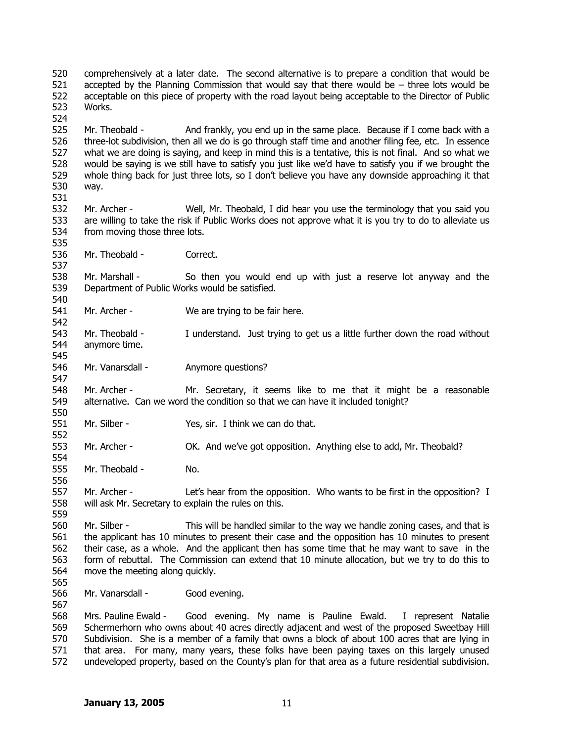520 521 522 523 524 comprehensively at a later date. The second alternative is to prepare a condition that would be accepted by the Planning Commission that would say that there would be  $-$  three lots would be acceptable on this piece of property with the road layout being acceptable to the Director of Public Works.

525 526 527 528 529 530 531 Mr. Theobald - And frankly, you end up in the same place. Because if I come back with a three-lot subdivision, then all we do is go through staff time and another filing fee, etc. In essence what we are doing is saying, and keep in mind this is a tentative, this is not final. And so what we would be saying is we still have to satisfy you just like we'd have to satisfy you if we brought the whole thing back for just three lots, so I don't believe you have any downside approaching it that way.

- 532 533 534 Mr. Archer - Well, Mr. Theobald, I did hear you use the terminology that you said you are willing to take the risk if Public Works does not approve what it is you try to do to alleviate us from moving those three lots.
- 536 Mr. Theobald - Correct.

538 539 540 Mr. Marshall - So then you would end up with just a reserve lot anyway and the Department of Public Works would be satisfied.

541

535

537

545

547

550

552

554

556

- 542 Mr. Archer - We are trying to be fair here.
- 543 544 Mr. Theobald - I understand. Just trying to get us a little further down the road without anymore time.
- 546 Mr. Vanarsdall - Anymore questions?

548 549 Mr. Archer - Mr. Secretary, it seems like to me that it might be a reasonable alternative. Can we word the condition so that we can have it included tonight?

- 551 Mr. Silber - Yes, sir. I think we can do that.
- 553 Mr. Archer - OK. And we've got opposition. Anything else to add, Mr. Theobald?
- 555 Mr. Theobald - No.

557 558 559 Mr. Archer - Let's hear from the opposition. Who wants to be first in the opposition? I will ask Mr. Secretary to explain the rules on this.

560 561 562 563 564 Mr. Silber - This will be handled similar to the way we handle zoning cases, and that is the applicant has 10 minutes to present their case and the opposition has 10 minutes to present their case, as a whole. And the applicant then has some time that he may want to save in the form of rebuttal. The Commission can extend that 10 minute allocation, but we try to do this to move the meeting along quickly.

565 566

567

Mr. Vanarsdall - Good evening.

568 569 570 571 572 Mrs. Pauline Ewald - Good evening. My name is Pauline Ewald. I represent Natalie Schermerhorn who owns about 40 acres directly adjacent and west of the proposed Sweetbay Hill Subdivision. She is a member of a family that owns a block of about 100 acres that are lying in that area. For many, many years, these folks have been paying taxes on this largely unused undeveloped property, based on the County's plan for that area as a future residential subdivision.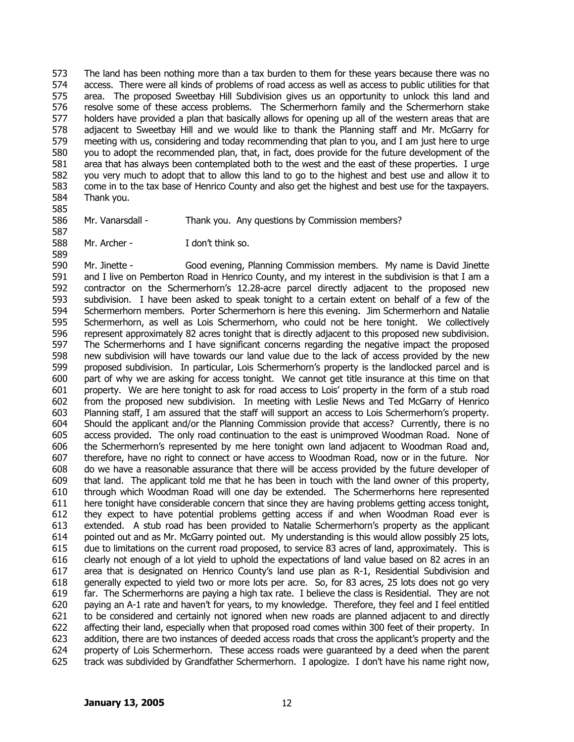573 574 575 576 577 578 579 580 581 582 583 584 The land has been nothing more than a tax burden to them for these years because there was no access. There were all kinds of problems of road access as well as access to public utilities for that area. The proposed Sweetbay Hill Subdivision gives us an opportunity to unlock this land and resolve some of these access problems. The Schermerhorn family and the Schermerhorn stake holders have provided a plan that basically allows for opening up all of the western areas that are adjacent to Sweetbay Hill and we would like to thank the Planning staff and Mr. McGarry for meeting with us, considering and today recommending that plan to you, and I am just here to urge you to adopt the recommended plan, that, in fact, does provide for the future development of the area that has always been contemplated both to the west and the east of these properties. I urge you very much to adopt that to allow this land to go to the highest and best use and allow it to come in to the tax base of Henrico County and also get the highest and best use for the taxpayers. Thank you.

585

588

586 587 Mr. Vanarsdall - Thank you. Any questions by Commission members?

Mr. Archer - I don't think so.

589 590 591 592 593 594 595 596 597 598 599 600 601 602 603 604 605 606 607 608 609 610 611 612 613 614 615 616 617 618 619 620 621 622 623 624 625 Mr. Jinette - Good evening, Planning Commission members. My name is David Jinette and I live on Pemberton Road in Henrico County, and my interest in the subdivision is that I am a contractor on the Schermerhorn's 12.28-acre parcel directly adjacent to the proposed new subdivision. I have been asked to speak tonight to a certain extent on behalf of a few of the Schermerhorn members. Porter Schermerhorn is here this evening. Jim Schermerhorn and Natalie Schermerhorn, as well as Lois Schermerhorn, who could not be here tonight. We collectively represent approximately 82 acres tonight that is directly adjacent to this proposed new subdivision. The Schermerhorns and I have significant concerns regarding the negative impact the proposed new subdivision will have towards our land value due to the lack of access provided by the new proposed subdivision. In particular, Lois Schermerhorn's property is the landlocked parcel and is part of why we are asking for access tonight. We cannot get title insurance at this time on that property. We are here tonight to ask for road access to Lois' property in the form of a stub road from the proposed new subdivision. In meeting with Leslie News and Ted McGarry of Henrico Planning staff, I am assured that the staff will support an access to Lois Schermerhorn's property. Should the applicant and/or the Planning Commission provide that access? Currently, there is no access provided. The only road continuation to the east is unimproved Woodman Road. None of the Schermerhorn's represented by me here tonight own land adjacent to Woodman Road and, therefore, have no right to connect or have access to Woodman Road, now or in the future. Nor do we have a reasonable assurance that there will be access provided by the future developer of that land. The applicant told me that he has been in touch with the land owner of this property, through which Woodman Road will one day be extended. The Schermerhorns here represented here tonight have considerable concern that since they are having problems getting access tonight, they expect to have potential problems getting access if and when Woodman Road ever is extended. A stub road has been provided to Natalie Schermerhorn's property as the applicant pointed out and as Mr. McGarry pointed out. My understanding is this would allow possibly 25 lots, due to limitations on the current road proposed, to service 83 acres of land, approximately. This is clearly not enough of a lot yield to uphold the expectations of land value based on 82 acres in an area that is designated on Henrico County's land use plan as R-1, Residential Subdivision and generally expected to yield two or more lots per acre. So, for 83 acres, 25 lots does not go very far. The Schermerhorns are paying a high tax rate. I believe the class is Residential. They are not paying an A-1 rate and haven't for years, to my knowledge. Therefore, they feel and I feel entitled to be considered and certainly not ignored when new roads are planned adjacent to and directly affecting their land, especially when that proposed road comes within 300 feet of their property. In addition, there are two instances of deeded access roads that cross the applicant's property and the property of Lois Schermerhorn. These access roads were guaranteed by a deed when the parent track was subdivided by Grandfather Schermerhorn. I apologize. I don't have his name right now,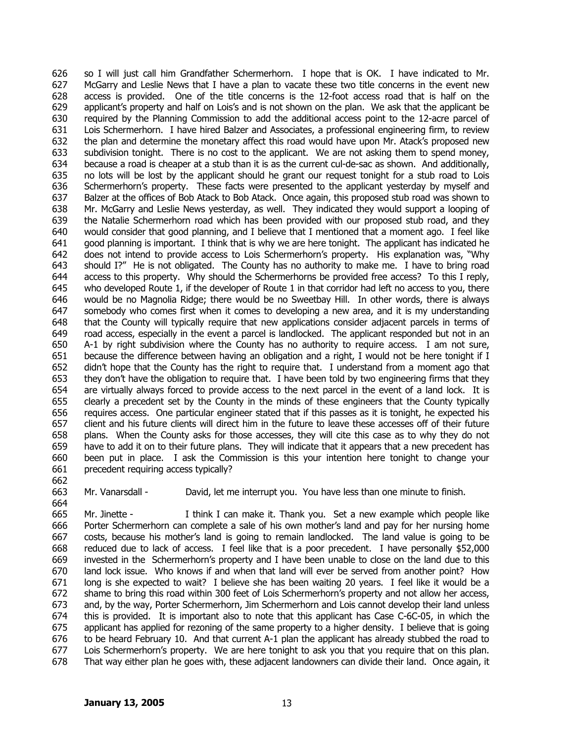626 627 628 629 630 631 632 633 634 635 636 637 638 639 640 641 642 643 644 645 646 647 648 649 650 651 652 653 654 655 656 657 658 659 660 661 so I will just call him Grandfather Schermerhorn. I hope that is OK. I have indicated to Mr. McGarry and Leslie News that I have a plan to vacate these two title concerns in the event new access is provided. One of the title concerns is the 12-foot access road that is half on the applicant's property and half on Lois's and is not shown on the plan. We ask that the applicant be required by the Planning Commission to add the additional access point to the 12-acre parcel of Lois Schermerhorn. I have hired Balzer and Associates, a professional engineering firm, to review the plan and determine the monetary affect this road would have upon Mr. Atack's proposed new subdivision tonight. There is no cost to the applicant. We are not asking them to spend money, because a road is cheaper at a stub than it is as the current cul-de-sac as shown. And additionally, no lots will be lost by the applicant should he grant our request tonight for a stub road to Lois Schermerhorn's property. These facts were presented to the applicant yesterday by myself and Balzer at the offices of Bob Atack to Bob Atack. Once again, this proposed stub road was shown to Mr. McGarry and Leslie News yesterday, as well. They indicated they would support a looping of the Natalie Schermerhorn road which has been provided with our proposed stub road, and they would consider that good planning, and I believe that I mentioned that a moment ago. I feel like good planning is important. I think that is why we are here tonight. The applicant has indicated he does not intend to provide access to Lois Schermerhorn's property. His explanation was, "Why should I?" He is not obligated. The County has no authority to make me. I have to bring road access to this property. Why should the Schermerhorns be provided free access? To this I reply, who developed Route 1, if the developer of Route 1 in that corridor had left no access to you, there would be no Magnolia Ridge; there would be no Sweetbay Hill. In other words, there is always somebody who comes first when it comes to developing a new area, and it is my understanding that the County will typically require that new applications consider adjacent parcels in terms of road access, especially in the event a parcel is landlocked. The applicant responded but not in an A-1 by right subdivision where the County has no authority to require access. I am not sure, because the difference between having an obligation and a right, I would not be here tonight if I didn't hope that the County has the right to require that. I understand from a moment ago that they don't have the obligation to require that. I have been told by two engineering firms that they are virtually always forced to provide access to the next parcel in the event of a land lock. It is clearly a precedent set by the County in the minds of these engineers that the County typically requires access. One particular engineer stated that if this passes as it is tonight, he expected his client and his future clients will direct him in the future to leave these accesses off of their future plans. When the County asks for those accesses, they will cite this case as to why they do not have to add it on to their future plans. They will indicate that it appears that a new precedent has been put in place. I ask the Commission is this your intention here tonight to change your precedent requiring access typically?

662 663

664

Mr. Vanarsdall - David, let me interrupt you. You have less than one minute to finish.

665 666 667 668 669 670 671 672 673 674 675 676 677 678 Mr. Jinette - I think I can make it. Thank you. Set a new example which people like Porter Schermerhorn can complete a sale of his own mother's land and pay for her nursing home costs, because his mother's land is going to remain landlocked. The land value is going to be reduced due to lack of access. I feel like that is a poor precedent. I have personally \$52,000 invested in the Schermerhorn's property and I have been unable to close on the land due to this land lock issue. Who knows if and when that land will ever be served from another point? How long is she expected to wait? I believe she has been waiting 20 years. I feel like it would be a shame to bring this road within 300 feet of Lois Schermerhorn's property and not allow her access, and, by the way, Porter Schermerhorn, Jim Schermerhorn and Lois cannot develop their land unless this is provided. It is important also to note that this applicant has Case C-6C-05, in which the applicant has applied for rezoning of the same property to a higher density. I believe that is going to be heard February 10. And that current A-1 plan the applicant has already stubbed the road to Lois Schermerhorn's property. We are here tonight to ask you that you require that on this plan. That way either plan he goes with, these adjacent landowners can divide their land. Once again, it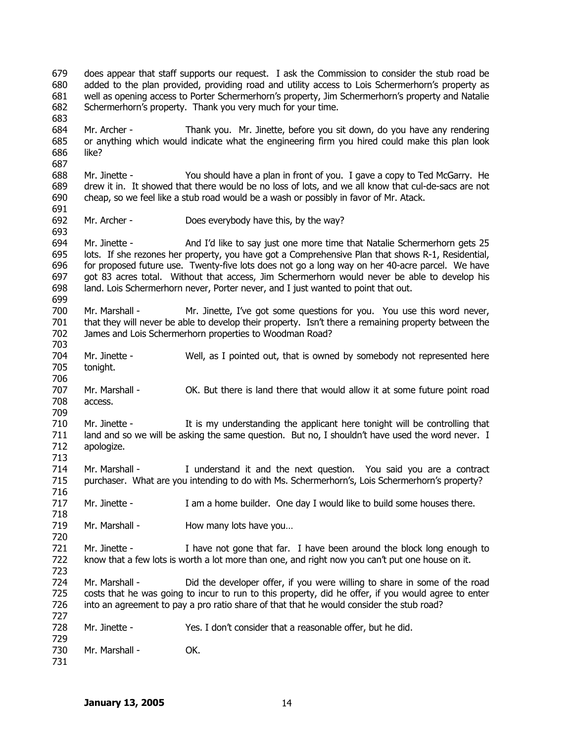679 680 681 682 683 684 685 686 687 688 689 690 691 692 693 694 695 696 697 698 699 700 701 702 703 704 705 706 707 708 709 710 711 712 713 714 715 716 717 718 719 720 721 722 723 724 725 726 727 728 729 730 731 does appear that staff supports our request. I ask the Commission to consider the stub road be added to the plan provided, providing road and utility access to Lois Schermerhorn's property as well as opening access to Porter Schermerhorn's property, Jim Schermerhorn's property and Natalie Schermerhorn's property. Thank you very much for your time. Mr. Archer - Thank you. Mr. Jinette, before you sit down, do you have any rendering or anything which would indicate what the engineering firm you hired could make this plan look like? Mr. Jinette - You should have a plan in front of you. I gave a copy to Ted McGarry. He drew it in. It showed that there would be no loss of lots, and we all know that cul-de-sacs are not cheap, so we feel like a stub road would be a wash or possibly in favor of Mr. Atack. Mr. Archer - Does everybody have this, by the way? Mr. Jinette - And I'd like to say just one more time that Natalie Schermerhorn gets 25 lots. If she rezones her property, you have got a Comprehensive Plan that shows R-1, Residential, for proposed future use. Twenty-five lots does not go a long way on her 40-acre parcel. We have got 83 acres total. Without that access, Jim Schermerhorn would never be able to develop his land. Lois Schermerhorn never, Porter never, and I just wanted to point that out. Mr. Marshall - Mr. Jinette, I've got some questions for you. You use this word never, that they will never be able to develop their property. Isn't there a remaining property between the James and Lois Schermerhorn properties to Woodman Road? Mr. Jinette - Well, as I pointed out, that is owned by somebody not represented here tonight. Mr. Marshall - OK. But there is land there that would allow it at some future point road access. Mr. Jinette - It is my understanding the applicant here tonight will be controlling that land and so we will be asking the same question. But no, I shouldn't have used the word never. I apologize. Mr. Marshall - I understand it and the next question. You said you are a contract purchaser. What are you intending to do with Ms. Schermerhorn's, Lois Schermerhorn's property? Mr. Jinette - I am a home builder. One day I would like to build some houses there. Mr. Marshall - How many lots have you... Mr. Jinette - I have not gone that far. I have been around the block long enough to know that a few lots is worth a lot more than one, and right now you can't put one house on it. Mr. Marshall - Did the developer offer, if you were willing to share in some of the road costs that he was going to incur to run to this property, did he offer, if you would agree to enter into an agreement to pay a pro ratio share of that that he would consider the stub road? Mr. Jinette - Yes. I don't consider that a reasonable offer, but he did. Mr. Marshall - **OK.**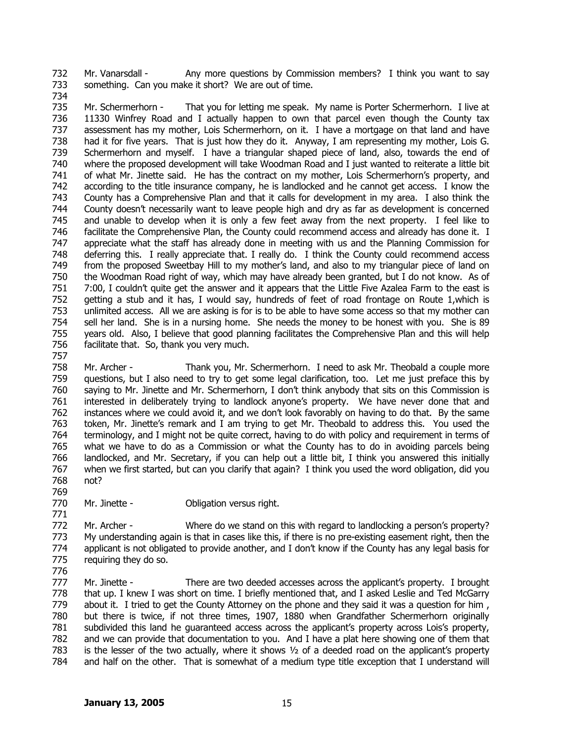732 733 Mr. Vanarsdall - Any more questions by Commission members? I think you want to say something. Can you make it short? We are out of time.

734

769

771

735 736 737 738 739 740 741 742 743 744 745 746 747 748 749 750 751 752 753 754 755 756 757 Mr. Schermerhorn - That you for letting me speak. My name is Porter Schermerhorn. I live at 11330 Winfrey Road and I actually happen to own that parcel even though the County tax assessment has my mother, Lois Schermerhorn, on it. I have a mortgage on that land and have had it for five years. That is just how they do it. Anyway, I am representing my mother, Lois G. Schermerhorn and myself. I have a triangular shaped piece of land, also, towards the end of where the proposed development will take Woodman Road and I just wanted to reiterate a little bit of what Mr. Jinette said. He has the contract on my mother, Lois Schermerhorn's property, and according to the title insurance company, he is landlocked and he cannot get access. I know the County has a Comprehensive Plan and that it calls for development in my area. I also think the County doesn't necessarily want to leave people high and dry as far as development is concerned and unable to develop when it is only a few feet away from the next property. I feel like to facilitate the Comprehensive Plan, the County could recommend access and already has done it. I appreciate what the staff has already done in meeting with us and the Planning Commission for deferring this. I really appreciate that. I really do. I think the County could recommend access from the proposed Sweetbay Hill to my mother's land, and also to my triangular piece of land on the Woodman Road right of way, which may have already been granted, but I do not know. As of 7:00, I couldn't quite get the answer and it appears that the Little Five Azalea Farm to the east is getting a stub and it has, I would say, hundreds of feet of road frontage on Route 1,which is unlimited access. All we are asking is for is to be able to have some access so that my mother can sell her land. She is in a nursing home. She needs the money to be honest with you. She is 89 years old. Also, I believe that good planning facilitates the Comprehensive Plan and this will help facilitate that. So, thank you very much.

758 759 760 761 762 763 764 765 766 767 768 Mr. Archer - Thank you, Mr. Schermerhorn. I need to ask Mr. Theobald a couple more questions, but I also need to try to get some legal clarification, too. Let me just preface this by saying to Mr. Jinette and Mr. Schermerhorn, I don't think anybody that sits on this Commission is interested in deliberately trying to landlock anyone's property. We have never done that and instances where we could avoid it, and we don't look favorably on having to do that. By the same token, Mr. Jinette's remark and I am trying to get Mr. Theobald to address this. You used the terminology, and I might not be quite correct, having to do with policy and requirement in terms of what we have to do as a Commission or what the County has to do in avoiding parcels being landlocked, and Mr. Secretary, if you can help out a little bit, I think you answered this initially when we first started, but can you clarify that again? I think you used the word obligation, did you not?

770 Mr. Jinette - **Obligation versus right.** 

772 773 774 775 Mr. Archer - Where do we stand on this with regard to landlocking a person's property? My understanding again is that in cases like this, if there is no pre-existing easement right, then the applicant is not obligated to provide another, and I don't know if the County has any legal basis for requiring they do so.

776 777 778 779 780 781 782 783 784 Mr. Jinette - There are two deeded accesses across the applicant's property. I brought that up. I knew I was short on time. I briefly mentioned that, and I asked Leslie and Ted McGarry about it. I tried to get the County Attorney on the phone and they said it was a question for him , but there is twice, if not three times, 1907, 1880 when Grandfather Schermerhorn originally subdivided this land he guaranteed access across the applicant's property across Lois's property, and we can provide that documentation to you. And I have a plat here showing one of them that is the lesser of the two actually, where it shows  $\frac{1}{2}$  of a deeded road on the applicant's property and half on the other. That is somewhat of a medium type title exception that I understand will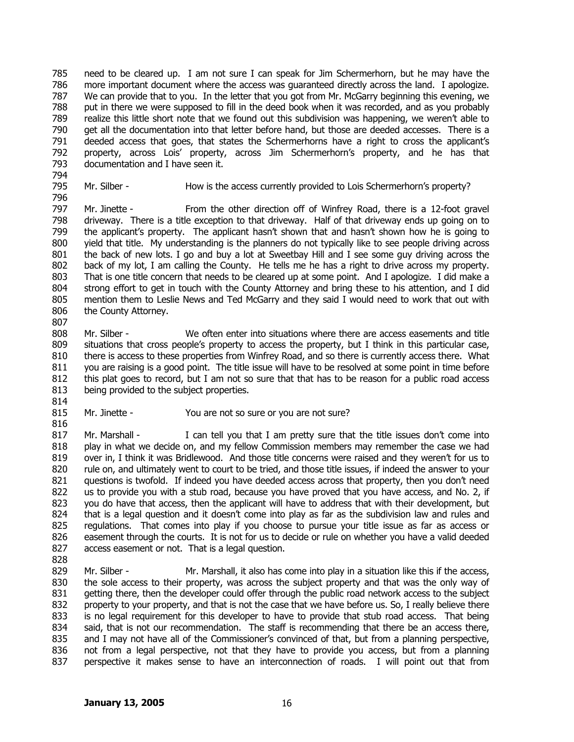785 786 787 788 789 790 791 792 793 need to be cleared up. I am not sure I can speak for Jim Schermerhorn, but he may have the more important document where the access was guaranteed directly across the land. I apologize. We can provide that to you. In the letter that you got from Mr. McGarry beginning this evening, we put in there we were supposed to fill in the deed book when it was recorded, and as you probably realize this little short note that we found out this subdivision was happening, we weren't able to get all the documentation into that letter before hand, but those are deeded accesses. There is a deeded access that goes, that states the Schermerhorns have a right to cross the applicant's property, across Lois' property, across Jim Schermerhorn's property, and he has that documentation and I have seen it.

- 794 795 796
- Mr. Silber How is the access currently provided to Lois Schermerhorn's property?

797 798 799 800 801 802 803 804 805 806 807 Mr. Jinette - From the other direction off of Winfrey Road, there is a 12-foot gravel driveway. There is a title exception to that driveway. Half of that driveway ends up going on to the applicant's property. The applicant hasn't shown that and hasn't shown how he is going to yield that title. My understanding is the planners do not typically like to see people driving across the back of new lots. I go and buy a lot at Sweetbay Hill and I see some guy driving across the back of my lot, I am calling the County. He tells me he has a right to drive across my property. That is one title concern that needs to be cleared up at some point. And I apologize. I did make a strong effort to get in touch with the County Attorney and bring these to his attention, and I did mention them to Leslie News and Ted McGarry and they said I would need to work that out with the County Attorney.

808 809 810 811 812 813 814 Mr. Silber - We often enter into situations where there are access easements and title situations that cross people's property to access the property, but I think in this particular case, there is access to these properties from Winfrey Road, and so there is currently access there. What you are raising is a good point. The title issue will have to be resolved at some point in time before this plat goes to record, but I am not so sure that that has to be reason for a public road access being provided to the subject properties.

815 Mr. Jinette - You are not so sure or you are not sure?

- 817 818 819 820 821 822 823 824 825 826 827 828 Mr. Marshall - I can tell you that I am pretty sure that the title issues don't come into play in what we decide on, and my fellow Commission members may remember the case we had over in, I think it was Bridlewood. And those title concerns were raised and they weren't for us to rule on, and ultimately went to court to be tried, and those title issues, if indeed the answer to your questions is twofold. If indeed you have deeded access across that property, then you don't need us to provide you with a stub road, because you have proved that you have access, and No. 2, if you do have that access, then the applicant will have to address that with their development, but that is a legal question and it doesn't come into play as far as the subdivision law and rules and regulations. That comes into play if you choose to pursue your title issue as far as access or easement through the courts. It is not for us to decide or rule on whether you have a valid deeded access easement or not. That is a legal question.
- 829 830 831 832 833 834 835 836 837 Mr. Silber - Mr. Marshall, it also has come into play in a situation like this if the access, the sole access to their property, was across the subject property and that was the only way of getting there, then the developer could offer through the public road network access to the subject property to your property, and that is not the case that we have before us. So, I really believe there is no legal requirement for this developer to have to provide that stub road access. That being said, that is not our recommendation. The staff is recommending that there be an access there, and I may not have all of the Commissioner's convinced of that, but from a planning perspective, not from a legal perspective, not that they have to provide you access, but from a planning perspective it makes sense to have an interconnection of roads. I will point out that from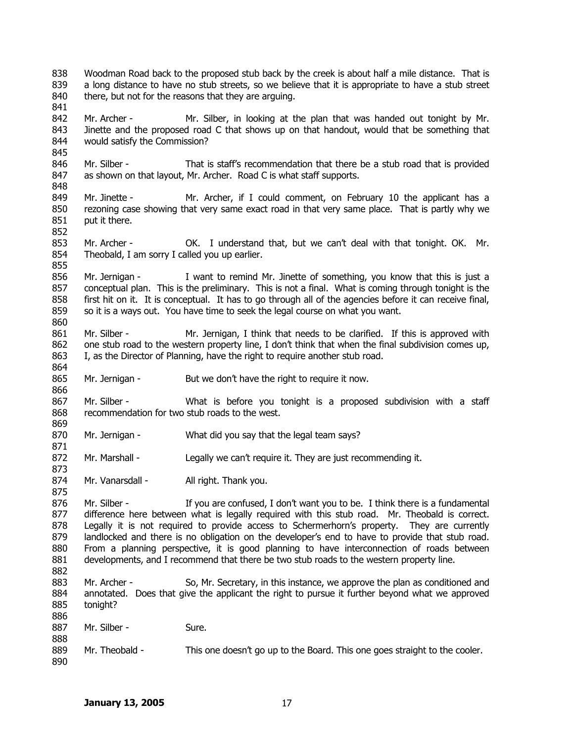838 839 840 841 842 843 844 845 846 847 848 849 850 851 852 853 854 855 856 857 858 859 860 861 862 863 864 865 866 867 868 869 870 871 872 873 874 875 876 877 878 879 880 881 882 883 884 885 886 887 888 889 890 Woodman Road back to the proposed stub back by the creek is about half a mile distance. That is a long distance to have no stub streets, so we believe that it is appropriate to have a stub street there, but not for the reasons that they are arguing. Mr. Archer - Mr. Silber, in looking at the plan that was handed out tonight by Mr. Jinette and the proposed road C that shows up on that handout, would that be something that would satisfy the Commission? Mr. Silber - That is staff's recommendation that there be a stub road that is provided as shown on that layout, Mr. Archer. Road C is what staff supports. Mr. Jinette - Mr. Archer, if I could comment, on February 10 the applicant has a rezoning case showing that very same exact road in that very same place. That is partly why we put it there. Mr. Archer - OK. I understand that, but we can't deal with that tonight. OK. Mr. Theobald, I am sorry I called you up earlier. Mr. Jernigan - I want to remind Mr. Jinette of something, you know that this is just a conceptual plan. This is the preliminary. This is not a final. What is coming through tonight is the first hit on it. It is conceptual. It has to go through all of the agencies before it can receive final, so it is a ways out. You have time to seek the legal course on what you want. Mr. Silber - Mr. Jernigan, I think that needs to be clarified. If this is approved with one stub road to the western property line, I don't think that when the final subdivision comes up, I, as the Director of Planning, have the right to require another stub road. Mr. Jernigan - But we don't have the right to require it now. Mr. Silber - What is before you tonight is a proposed subdivision with a staff recommendation for two stub roads to the west. Mr. Jernigan - What did you say that the legal team says? Mr. Marshall - Legally we can't require it. They are just recommending it. Mr. Vanarsdall - All right. Thank you. Mr. Silber - If you are confused, I don't want you to be. I think there is a fundamental difference here between what is legally required with this stub road. Mr. Theobald is correct. Legally it is not required to provide access to Schermerhorn's property. They are currently landlocked and there is no obligation on the developer's end to have to provide that stub road. From a planning perspective, it is good planning to have interconnection of roads between developments, and I recommend that there be two stub roads to the western property line. Mr. Archer - So, Mr. Secretary, in this instance, we approve the plan as conditioned and annotated. Does that give the applicant the right to pursue it further beyond what we approved tonight? Mr. Silber - Sure. Mr. Theobald - This one doesn't go up to the Board. This one goes straight to the cooler.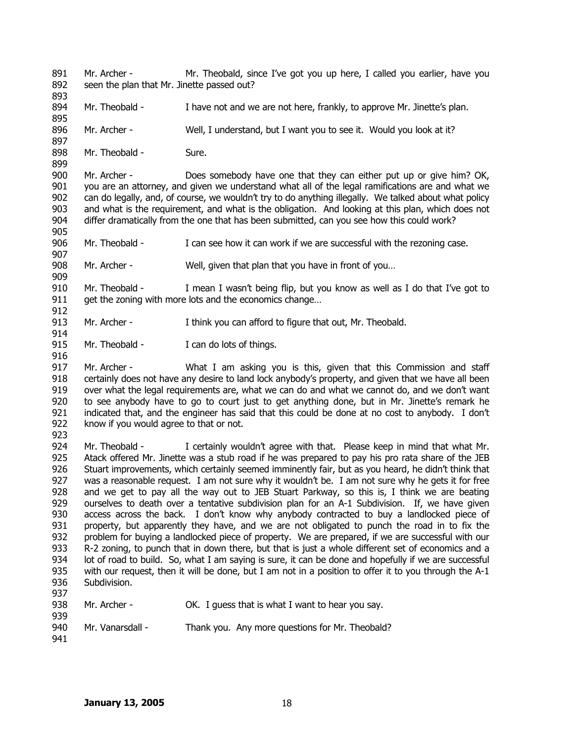891 892 893 Mr. Archer - Mr. Theobald, since I've got you up here, I called you earlier, have you seen the plan that Mr. Jinette passed out?

- 894 895 Mr. Theobald - I have not and we are not here, frankly, to approve Mr. Jinette's plan.
- 896 Mr. Archer - Well, I understand, but I want you to see it. Would you look at it?
- 898 Mr. Theobald - Sure.

900 901 902 903 904 905 Mr. Archer - Does somebody have one that they can either put up or give him? OK, you are an attorney, and given we understand what all of the legal ramifications are and what we can do legally, and, of course, we wouldn't try to do anything illegally. We talked about what policy and what is the requirement, and what is the obligation. And looking at this plan, which does not differ dramatically from the one that has been submitted, can you see how this could work?

- 906 Mr. Theobald - I can see how it can work if we are successful with the rezoning case.
- 908 Mr. Archer - Well, given that plan that you have in front of you...

910 911 912 Mr. Theobald - I mean I wasn't being flip, but you know as well as I do that I've got to get the zoning with more lots and the economics change…

- 913 Mr. Archer - I think you can afford to figure that out, Mr. Theobald.
- 915 Mr. Theobald - I can do lots of things.

917 918 919 920 921 922 Mr. Archer - What I am asking you is this, given that this Commission and staff certainly does not have any desire to land lock anybody's property, and given that we have all been over what the legal requirements are, what we can do and what we cannot do, and we don't want to see anybody have to go to court just to get anything done, but in Mr. Jinette's remark he indicated that, and the engineer has said that this could be done at no cost to anybody. I don't know if you would agree to that or not.

923

897

899

907

909

914

916

924 925 926 927 928 929 930 931 932 933 934 935 936 937 Mr. Theobald - I certainly wouldn't agree with that. Please keep in mind that what Mr. Atack offered Mr. Jinette was a stub road if he was prepared to pay his pro rata share of the JEB Stuart improvements, which certainly seemed imminently fair, but as you heard, he didn't think that was a reasonable request. I am not sure why it wouldn't be. I am not sure why he gets it for free and we get to pay all the way out to JEB Stuart Parkway, so this is, I think we are beating ourselves to death over a tentative subdivision plan for an A-1 Subdivision. If, we have given access across the back. I don't know why anybody contracted to buy a landlocked piece of property, but apparently they have, and we are not obligated to punch the road in to fix the problem for buying a landlocked piece of property. We are prepared, if we are successful with our R-2 zoning, to punch that in down there, but that is just a whole different set of economics and a lot of road to build. So, what I am saying is sure, it can be done and hopefully if we are successful with our request, then it will be done, but I am not in a position to offer it to you through the A-1 Subdivision.

- 938 939 Mr. Archer - CK. I guess that is what I want to hear you say.
- 940 Mr. Vanarsdall - Thank you. Any more questions for Mr. Theobald?
- 941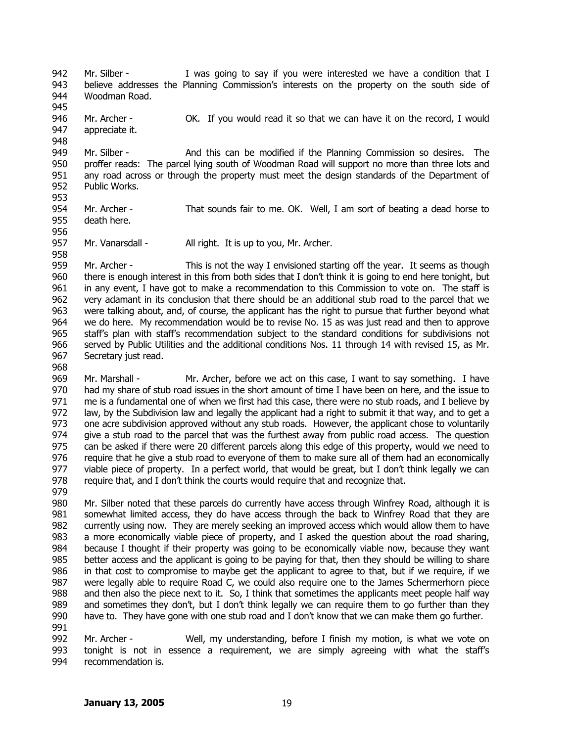942 943 944 945 Mr. Silber - I was going to say if you were interested we have a condition that I believe addresses the Planning Commission's interests on the property on the south side of Woodman Road.

946 947 Mr. Archer - **OK.** If you would read it so that we can have it on the record, I would appreciate it.

949 950 951 952 953 Mr. Silber - And this can be modified if the Planning Commission so desires. The proffer reads: The parcel lying south of Woodman Road will support no more than three lots and any road across or through the property must meet the design standards of the Department of Public Works.

- 954 955 Mr. Archer - That sounds fair to me. OK. Well, I am sort of beating a dead horse to death here.
- 956

948

957 958 Mr. Vanarsdall - All right. It is up to you, Mr. Archer.

959 960 961 962 963 964 965 966 967 Mr. Archer - This is not the way I envisioned starting off the year. It seems as though there is enough interest in this from both sides that I don't think it is going to end here tonight, but in any event, I have got to make a recommendation to this Commission to vote on. The staff is very adamant in its conclusion that there should be an additional stub road to the parcel that we were talking about, and, of course, the applicant has the right to pursue that further beyond what we do here. My recommendation would be to revise No. 15 as was just read and then to approve staff's plan with staff's recommendation subject to the standard conditions for subdivisions not served by Public Utilities and the additional conditions Nos. 11 through 14 with revised 15, as Mr. Secretary just read.

968 969

970 971 972 973 974 975 976 977 978 979 Mr. Marshall - Mr. Archer, before we act on this case, I want to say something. I have had my share of stub road issues in the short amount of time I have been on here, and the issue to me is a fundamental one of when we first had this case, there were no stub roads, and I believe by law, by the Subdivision law and legally the applicant had a right to submit it that way, and to get a one acre subdivision approved without any stub roads. However, the applicant chose to voluntarily give a stub road to the parcel that was the furthest away from public road access. The question can be asked if there were 20 different parcels along this edge of this property, would we need to require that he give a stub road to everyone of them to make sure all of them had an economically viable piece of property. In a perfect world, that would be great, but I don't think legally we can require that, and I don't think the courts would require that and recognize that.

980 981 982 983 984 985 986 987 988 989 990 991 Mr. Silber noted that these parcels do currently have access through Winfrey Road, although it is somewhat limited access, they do have access through the back to Winfrey Road that they are currently using now. They are merely seeking an improved access which would allow them to have a more economically viable piece of property, and I asked the question about the road sharing, because I thought if their property was going to be economically viable now, because they want better access and the applicant is going to be paying for that, then they should be willing to share in that cost to compromise to maybe get the applicant to agree to that, but if we require, if we were legally able to require Road C, we could also require one to the James Schermerhorn piece and then also the piece next to it. So, I think that sometimes the applicants meet people half way and sometimes they don't, but I don't think legally we can require them to go further than they have to. They have gone with one stub road and I don't know that we can make them go further.

992 993 994 Mr. Archer - Well, my understanding, before I finish my motion, is what we vote on tonight is not in essence a requirement, we are simply agreeing with what the staff's recommendation is.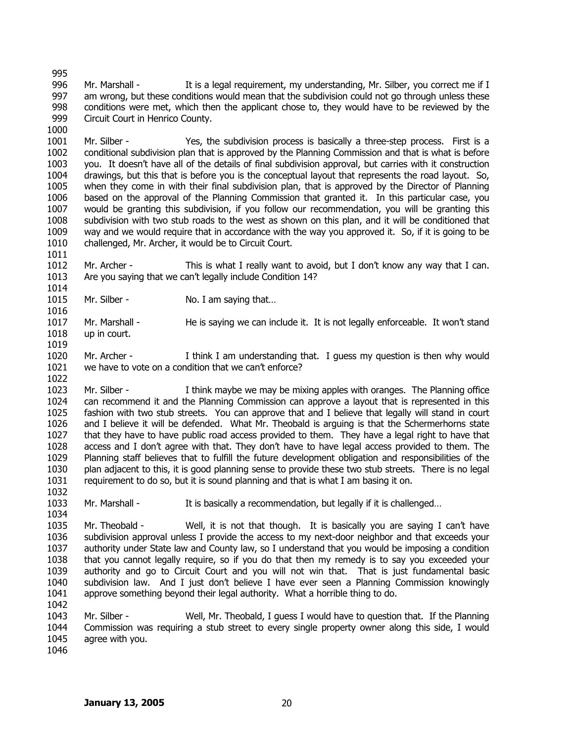996 997 998 999 1000 Mr. Marshall - It is a legal requirement, my understanding, Mr. Silber, you correct me if I am wrong, but these conditions would mean that the subdivision could not go through unless these conditions were met, which then the applicant chose to, they would have to be reviewed by the Circuit Court in Henrico County.

1001 1002 1003 1004 1005 1006 1007 1008 1009 1010 Mr. Silber - Yes, the subdivision process is basically a three-step process. First is a conditional subdivision plan that is approved by the Planning Commission and that is what is before you. It doesn't have all of the details of final subdivision approval, but carries with it construction drawings, but this that is before you is the conceptual layout that represents the road layout. So, when they come in with their final subdivision plan, that is approved by the Director of Planning based on the approval of the Planning Commission that granted it. In this particular case, you would be granting this subdivision, if you follow our recommendation, you will be granting this subdivision with two stub roads to the west as shown on this plan, and it will be conditioned that way and we would require that in accordance with the way you approved it. So, if it is going to be challenged, Mr. Archer, it would be to Circuit Court.

1012 1013 1014 Mr. Archer - This is what I really want to avoid, but I don't know any way that I can. Are you saying that we can't legally include Condition 14?

- 1015 Mr. Silber - No. I am saying that...
- 1017 1018 Mr. Marshall - He is saying we can include it. It is not legally enforceable. It won't stand up in court.
- 1020 1021 Mr. Archer - I think I am understanding that. I guess my question is then why would we have to vote on a condition that we can't enforce?

1023 1024 1025 1026 1027 1028 1029 1030 1031 Mr. Silber - I think maybe we may be mixing apples with oranges. The Planning office can recommend it and the Planning Commission can approve a layout that is represented in this fashion with two stub streets. You can approve that and I believe that legally will stand in court and I believe it will be defended. What Mr. Theobald is arguing is that the Schermerhorns state that they have to have public road access provided to them. They have a legal right to have that access and I don't agree with that. They don't have to have legal access provided to them. The Planning staff believes that to fulfill the future development obligation and responsibilities of the plan adjacent to this, it is good planning sense to provide these two stub streets. There is no legal requirement to do so, but it is sound planning and that is what I am basing it on.

1033 Mr. Marshall - It is basically a recommendation, but legally if it is challenged...

1035 1036 1037 1038 1039 1040 1041 1042 Mr. Theobald - Well, it is not that though. It is basically you are saying I can't have subdivision approval unless I provide the access to my next-door neighbor and that exceeds your authority under State law and County law, so I understand that you would be imposing a condition that you cannot legally require, so if you do that then my remedy is to say you exceeded your authority and go to Circuit Court and you will not win that. That is just fundamental basic subdivision law. And I just don't believe I have ever seen a Planning Commission knowingly approve something beyond their legal authority. What a horrible thing to do.

1043 1044 1045 Mr. Silber - Well, Mr. Theobald, I guess I would have to question that. If the Planning Commission was requiring a stub street to every single property owner along this side, I would agree with you.

1046

995

1011

1016

1019

1022

1032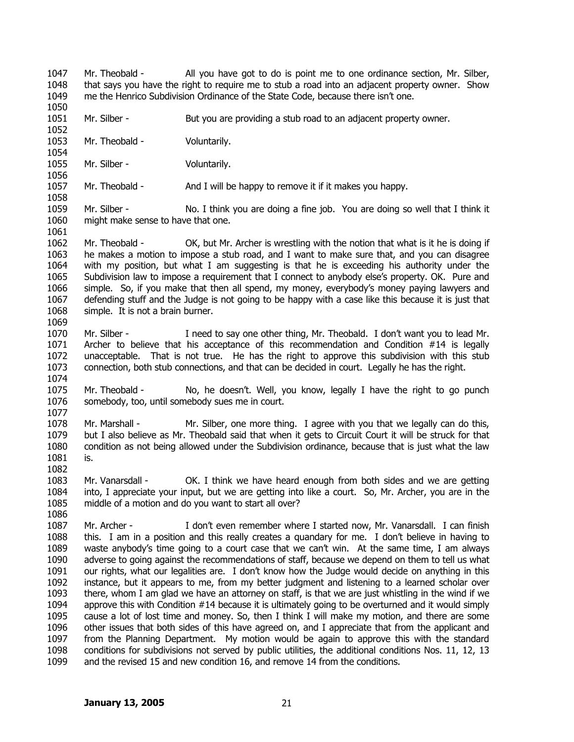1047 1048 1049 1050 Mr. Theobald - All you have got to do is point me to one ordinance section, Mr. Silber, that says you have the right to require me to stub a road into an adjacent property owner. Show me the Henrico Subdivision Ordinance of the State Code, because there isn't one.

1051 1052 Mr. Silber - But you are providing a stub road to an adjacent property owner.

1053 Mr. Theobald - Voluntarily.

1055 Mr. Silber - Voluntarily.

1054

1056

1058

1061

1069

1074

1086

1057 Mr. Theobald - And I will be happy to remove it if it makes you happy.

1059 1060 Mr. Silber - No. I think you are doing a fine job. You are doing so well that I think it might make sense to have that one.

1062 1063 1064 1065 1066 1067 1068 Mr. Theobald - OK, but Mr. Archer is wrestling with the notion that what is it he is doing if he makes a motion to impose a stub road, and I want to make sure that, and you can disagree with my position, but what I am suggesting is that he is exceeding his authority under the Subdivision law to impose a requirement that I connect to anybody else's property. OK. Pure and simple. So, if you make that then all spend, my money, everybody's money paying lawyers and defending stuff and the Judge is not going to be happy with a case like this because it is just that simple. It is not a brain burner.

1070 1071 1072 1073 Mr. Silber - I need to say one other thing, Mr. Theobald. I don't want you to lead Mr. Archer to believe that his acceptance of this recommendation and Condition #14 is legally unacceptable. That is not true. He has the right to approve this subdivision with this stub connection, both stub connections, and that can be decided in court. Legally he has the right.

1075 1076 1077 Mr. Theobald - No, he doesn't. Well, you know, legally I have the right to go punch somebody, too, until somebody sues me in court.

1078 1079 1080 1081 1082 Mr. Marshall - Mr. Silber, one more thing. I agree with you that we legally can do this, but I also believe as Mr. Theobald said that when it gets to Circuit Court it will be struck for that condition as not being allowed under the Subdivision ordinance, because that is just what the law is.

1083 1084 1085 Mr. Vanarsdall - CK. I think we have heard enough from both sides and we are getting into, I appreciate your input, but we are getting into like a court. So, Mr. Archer, you are in the middle of a motion and do you want to start all over?

1087 1088 1089 1090 1091 1092 1093 1094 1095 1096 1097 1098 1099 Mr. Archer - I don't even remember where I started now, Mr. Vanarsdall. I can finish this. I am in a position and this really creates a quandary for me. I don't believe in having to waste anybody's time going to a court case that we can't win. At the same time, I am always adverse to going against the recommendations of staff, because we depend on them to tell us what our rights, what our legalities are. I don't know how the Judge would decide on anything in this instance, but it appears to me, from my better judgment and listening to a learned scholar over there, whom I am glad we have an attorney on staff, is that we are just whistling in the wind if we approve this with Condition #14 because it is ultimately going to be overturned and it would simply cause a lot of lost time and money. So, then I think I will make my motion, and there are some other issues that both sides of this have agreed on, and I appreciate that from the applicant and from the Planning Department. My motion would be again to approve this with the standard conditions for subdivisions not served by public utilities, the additional conditions Nos. 11, 12, 13 and the revised 15 and new condition 16, and remove 14 from the conditions.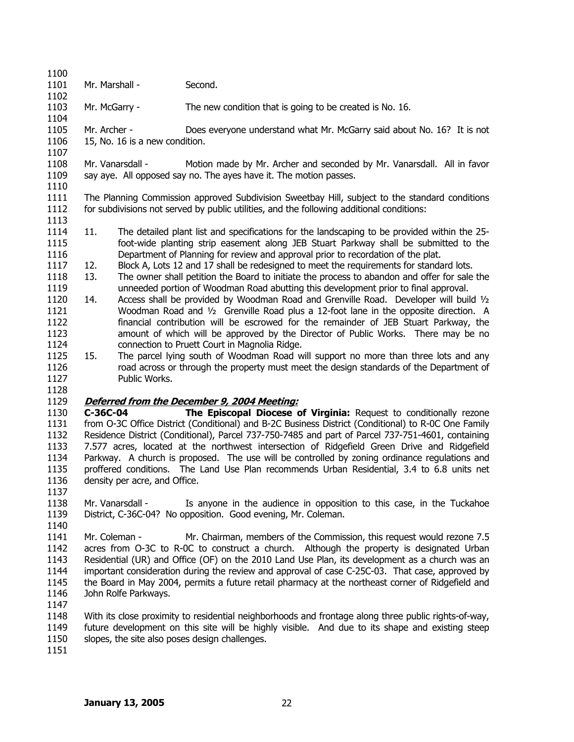1100 1101 Mr. Marshall - Second.

1103 Mr. McGarry - The new condition that is going to be created is No. 16.

1104 1105 1106 Mr. Archer - Does everyone understand what Mr. McGarry said about No. 16? It is not 15, No. 16 is a new condition.

1108 1109 1110 Mr. Vanarsdall - Motion made by Mr. Archer and seconded by Mr. Vanarsdall. All in favor say aye. All opposed say no. The ayes have it. The motion passes.

1111 1112 The Planning Commission approved Subdivision Sweetbay Hill, subject to the standard conditions for subdivisions not served by public utilities, and the following additional conditions:

- 1114 1115 1116 11. The detailed plant list and specifications for the landscaping to be provided within the 25 foot-wide planting strip easement along JEB Stuart Parkway shall be submitted to the Department of Planning for review and approval prior to recordation of the plat.
- 1117 12. Block A, Lots 12 and 17 shall be redesigned to meet the requirements for standard lots.
- 1118 1119 13. The owner shall petition the Board to initiate the process to abandon and offer for sale the unneeded portion of Woodman Road abutting this development prior to final approval.
- 1120 1121 1122 1123 1124 14. Access shall be provided by Woodman Road and Grenville Road. Developer will build  $\mathcal{V}_2$ Woodman Road and 1/2 Grenville Road plus a 12-foot lane in the opposite direction. A financial contribution will be escrowed for the remainder of JEB Stuart Parkway, the amount of which will be approved by the Director of Public Works. There may be no connection to Pruett Court in Magnolia Ridge.
- 1125 1126 1127 15. The parcel lying south of Woodman Road will support no more than three lots and any road across or through the property must meet the design standards of the Department of Public Works.
- 1128

1137

1102

1107

1113

## 1129 **Deferred from the December 9, 2004 Meeting:**

1130 1131 1132 1133 1134 1135 1136 **C-36C-04 The Episcopal Diocese of Virginia:** Request to conditionally rezone from O-3C Office District (Conditional) and B-2C Business District (Conditional) to R-0C One Family Residence District (Conditional), Parcel 737-750-7485 and part of Parcel 737-751-4601, containing 7.577 acres, located at the northwest intersection of Ridgefield Green Drive and Ridgefield Parkway. A church is proposed. The use will be controlled by zoning ordinance regulations and proffered conditions. The Land Use Plan recommends Urban Residential, 3.4 to 6.8 units net density per acre, and Office.

1138 1139 1140 Mr. Vanarsdall - Is anyone in the audience in opposition to this case, in the Tuckahoe District, C-36C-04? No opposition. Good evening, Mr. Coleman.

1141 1142 1143 1144 1145 1146 Mr. Coleman - Mr. Chairman, members of the Commission, this request would rezone 7.5 acres from O-3C to R-0C to construct a church. Although the property is designated Urban Residential (UR) and Office (OF) on the 2010 Land Use Plan, its development as a church was an important consideration during the review and approval of case C-25C-03. That case, approved by the Board in May 2004, permits a future retail pharmacy at the northeast corner of Ridgefield and John Rolfe Parkways.

1147

1148 1149 1150 With its close proximity to residential neighborhoods and frontage along three public rights-of-way, future development on this site will be highly visible. And due to its shape and existing steep slopes, the site also poses design challenges.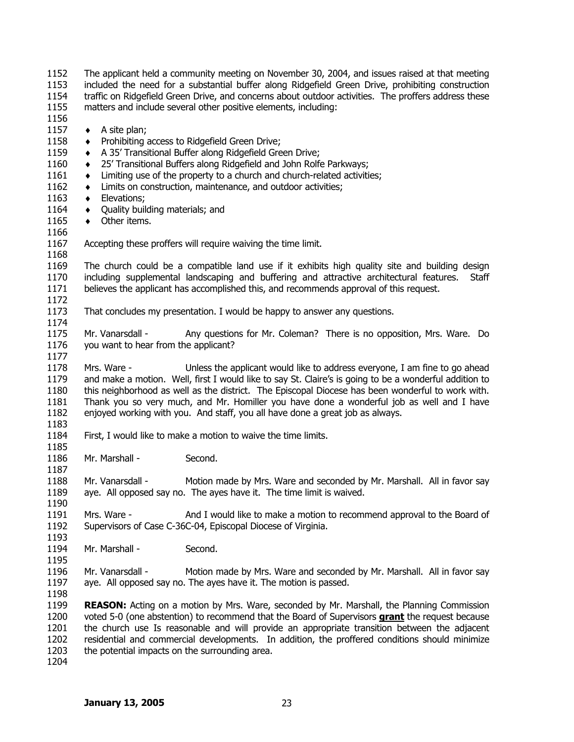| 1152<br>1153<br>1154<br>1155<br>1156                                         | The applicant held a community meeting on November 30, 2004, and issues raised at that meeting<br>included the need for a substantial buffer along Ridgefield Green Drive, prohibiting construction<br>traffic on Ridgefield Green Drive, and concerns about outdoor activities. The proffers address these<br>matters and include several other positive elements, including:                                                                                                         |                                                                                                                                                                                                                                                                                                                           |  |
|------------------------------------------------------------------------------|----------------------------------------------------------------------------------------------------------------------------------------------------------------------------------------------------------------------------------------------------------------------------------------------------------------------------------------------------------------------------------------------------------------------------------------------------------------------------------------|---------------------------------------------------------------------------------------------------------------------------------------------------------------------------------------------------------------------------------------------------------------------------------------------------------------------------|--|
| 1157<br>1158<br>1159<br>1160<br>1161<br>1162<br>1163<br>1164<br>1165<br>1166 | A site plan;<br>٠<br>٠<br>٠<br>٠<br>٠<br>٠<br>Elevations;<br>٠<br>Quality building materials; and<br>٠<br>Other items.<br>$\bullet$                                                                                                                                                                                                                                                                                                                                                    | Prohibiting access to Ridgefield Green Drive;<br>A 35' Transitional Buffer along Ridgefield Green Drive;<br>25' Transitional Buffers along Ridgefield and John Rolfe Parkways;<br>Limiting use of the property to a church and church-related activities;<br>Limits on construction, maintenance, and outdoor activities; |  |
| 1167<br>1168                                                                 |                                                                                                                                                                                                                                                                                                                                                                                                                                                                                        | Accepting these proffers will require waiving the time limit.                                                                                                                                                                                                                                                             |  |
| 1169<br>1170<br>1171<br>1172                                                 | The church could be a compatible land use if it exhibits high quality site and building design<br>including supplemental landscaping and buffering and attractive architectural features.<br>Staff<br>believes the applicant has accomplished this, and recommends approval of this request.                                                                                                                                                                                           |                                                                                                                                                                                                                                                                                                                           |  |
| 1173<br>1174                                                                 | That concludes my presentation. I would be happy to answer any questions.                                                                                                                                                                                                                                                                                                                                                                                                              |                                                                                                                                                                                                                                                                                                                           |  |
| 1175<br>1176<br>1177                                                         | Mr. Vanarsdall -<br>Any questions for Mr. Coleman? There is no opposition, Mrs. Ware. Do<br>you want to hear from the applicant?                                                                                                                                                                                                                                                                                                                                                       |                                                                                                                                                                                                                                                                                                                           |  |
| 1178<br>1179<br>1180<br>1181<br>1182                                         | Unless the applicant would like to address everyone, I am fine to go ahead<br>Mrs. Ware -<br>and make a motion. Well, first I would like to say St. Claire's is going to be a wonderful addition to<br>this neighborhood as well as the district. The Episcopal Diocese has been wonderful to work with.<br>Thank you so very much, and Mr. Homiller you have done a wonderful job as well and I have<br>enjoyed working with you. And staff, you all have done a great job as always. |                                                                                                                                                                                                                                                                                                                           |  |
| 1183<br>1184                                                                 |                                                                                                                                                                                                                                                                                                                                                                                                                                                                                        | First, I would like to make a motion to waive the time limits.                                                                                                                                                                                                                                                            |  |
| 1185<br>1186<br>1187                                                         | Mr. Marshall -                                                                                                                                                                                                                                                                                                                                                                                                                                                                         | Second.                                                                                                                                                                                                                                                                                                                   |  |
| 1188<br>1189<br>1190                                                         | Mr. Vanarsdall -                                                                                                                                                                                                                                                                                                                                                                                                                                                                       | Motion made by Mrs. Ware and seconded by Mr. Marshall. All in favor say<br>aye. All opposed say no. The ayes have it. The time limit is waived.                                                                                                                                                                           |  |
| 1191<br>1192<br>1193                                                         | Mrs. Ware -                                                                                                                                                                                                                                                                                                                                                                                                                                                                            | And I would like to make a motion to recommend approval to the Board of<br>Supervisors of Case C-36C-04, Episcopal Diocese of Virginia.                                                                                                                                                                                   |  |
| 1194<br>1195                                                                 | Mr. Marshall -                                                                                                                                                                                                                                                                                                                                                                                                                                                                         | Second.                                                                                                                                                                                                                                                                                                                   |  |
| 1196<br>1197<br>1198                                                         | Mr. Vanarsdall -<br>Motion made by Mrs. Ware and seconded by Mr. Marshall. All in favor say<br>aye. All opposed say no. The ayes have it. The motion is passed.                                                                                                                                                                                                                                                                                                                        |                                                                                                                                                                                                                                                                                                                           |  |
| 1199<br>1200<br>1201<br>1202<br>1203<br>1204                                 | <b>REASON:</b> Acting on a motion by Mrs. Ware, seconded by Mr. Marshall, the Planning Commission<br>voted 5-0 (one abstention) to recommend that the Board of Supervisors <b>grant</b> the request because<br>the church use Is reasonable and will provide an appropriate transition between the adjacent<br>residential and commercial developments. In addition, the proffered conditions should minimize<br>the potential impacts on the surrounding area.                        |                                                                                                                                                                                                                                                                                                                           |  |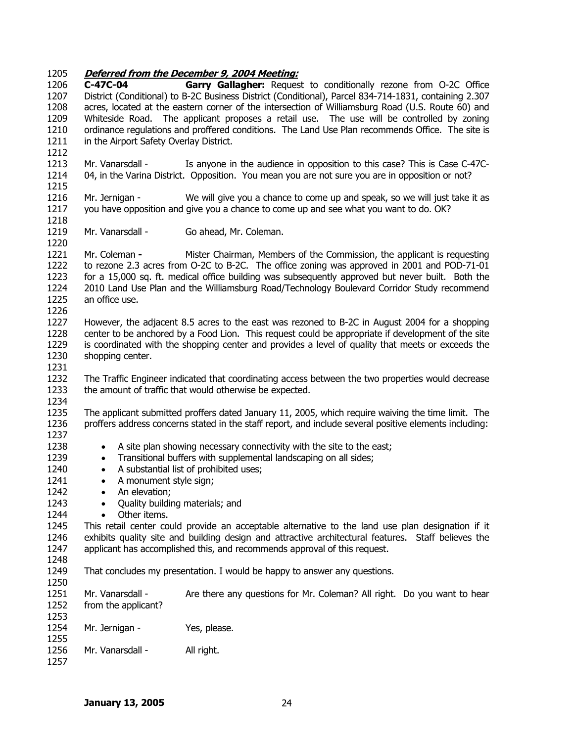# 1205 **Deferred from the December 9, 2004 Meeting:**

| 1206 | C-47C-04                                | Garry Gallagher: Request to conditionally rezone from O-2C Office                                      |
|------|-----------------------------------------|--------------------------------------------------------------------------------------------------------|
| 1207 |                                         | District (Conditional) to B-2C Business District (Conditional), Parcel 834-714-1831, containing 2.307  |
| 1208 |                                         | acres, located at the eastern corner of the intersection of Williamsburg Road (U.S. Route 60) and      |
| 1209 |                                         | Whiteside Road. The applicant proposes a retail use. The use will be controlled by zoning              |
| 1210 |                                         | ordinance regulations and proffered conditions. The Land Use Plan recommends Office. The site is       |
| 1211 | in the Airport Safety Overlay District. |                                                                                                        |
| 1212 |                                         |                                                                                                        |
| 1213 | Mr. Vanarsdall -                        | Is anyone in the audience in opposition to this case? This is Case C-47C-                              |
| 1214 |                                         | 04, in the Varina District. Opposition. You mean you are not sure you are in opposition or not?        |
| 1215 |                                         |                                                                                                        |
|      |                                         |                                                                                                        |
| 1216 | Mr. Jernigan -                          | We will give you a chance to come up and speak, so we will just take it as                             |
| 1217 |                                         | you have opposition and give you a chance to come up and see what you want to do. OK?                  |
| 1218 |                                         |                                                                                                        |
| 1219 | Mr. Vanarsdall -                        | Go ahead, Mr. Coleman.                                                                                 |
| 1220 |                                         |                                                                                                        |
| 1221 | Mr. Coleman -                           | Mister Chairman, Members of the Commission, the applicant is requesting                                |
| 1222 |                                         | to rezone 2.3 acres from O-2C to B-2C. The office zoning was approved in 2001 and POD-71-01            |
| 1223 |                                         | for a 15,000 sq. ft. medical office building was subsequently approved but never built. Both the       |
| 1224 |                                         | 2010 Land Use Plan and the Williamsburg Road/Technology Boulevard Corridor Study recommend             |
| 1225 | an office use.                          |                                                                                                        |
| 1226 |                                         |                                                                                                        |
| 1227 |                                         | However, the adjacent 8.5 acres to the east was rezoned to B-2C in August 2004 for a shopping          |
| 1228 |                                         | center to be anchored by a Food Lion. This request could be appropriate if development of the site     |
| 1229 |                                         | is coordinated with the shopping center and provides a level of quality that meets or exceeds the      |
| 1230 | shopping center.                        |                                                                                                        |
| 1231 |                                         |                                                                                                        |
| 1232 |                                         | The Traffic Engineer indicated that coordinating access between the two properties would decrease      |
| 1233 |                                         | the amount of traffic that would otherwise be expected.                                                |
| 1234 |                                         |                                                                                                        |
| 1235 |                                         | The applicant submitted proffers dated January 11, 2005, which require waiving the time limit. The     |
| 1236 |                                         | proffers address concerns stated in the staff report, and include several positive elements including: |
|      |                                         |                                                                                                        |
| 1237 |                                         |                                                                                                        |
| 1238 | $\bullet$                               | A site plan showing necessary connectivity with the site to the east;                                  |
| 1239 | $\bullet$                               | Transitional buffers with supplemental landscaping on all sides;                                       |
| 1240 | $\bullet$                               | A substantial list of prohibited uses;                                                                 |
| 1241 | A monument style sign;<br>$\bullet$     |                                                                                                        |
| 1242 | An elevation;<br>$\bullet$              |                                                                                                        |
| 1243 | Quality building materials; and         |                                                                                                        |
| 1244 | Other items.                            |                                                                                                        |
| 1245 |                                         | This retail center could provide an acceptable alternative to the land use plan designation if it      |
| 1246 |                                         | exhibits quality site and building design and attractive architectural features. Staff believes the    |
| 1247 |                                         | applicant has accomplished this, and recommends approval of this request.                              |
| 1248 |                                         |                                                                                                        |
| 1249 |                                         | That concludes my presentation. I would be happy to answer any questions.                              |
| 1250 |                                         |                                                                                                        |
| 1251 | Mr. Vanarsdall -                        | Are there any questions for Mr. Coleman? All right. Do you want to hear                                |
| 1252 | from the applicant?                     |                                                                                                        |
| 1253 |                                         |                                                                                                        |
| 1254 | Mr. Jernigan -                          | Yes, please.                                                                                           |
| 1255 |                                         |                                                                                                        |
| 1256 | Mr. Vanarsdall -                        |                                                                                                        |
| 1257 |                                         | All right.                                                                                             |
|      |                                         |                                                                                                        |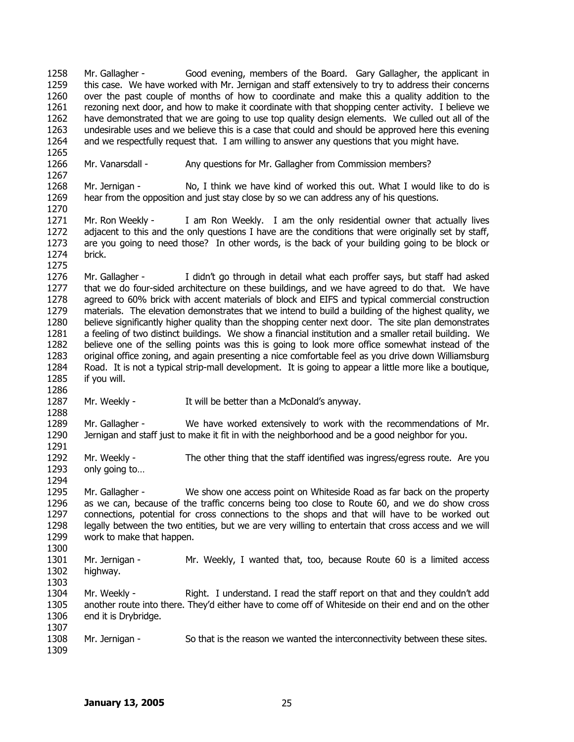1258 1259 1260 1261 1262 1263 1264 1265 1266 1267 1268 1269 1270 1271 1272 1273 1274 1275 1276 1277 1278 1279 1280 1281 1282 1283 1284 1285 1286 1287 1288 1289 1290 1291 1292 1293 1294 1295 1296 1297 1298 1299 1300 1301 1302 1303 1304 1305 1306 1307 1308 1309 Mr. Gallagher - Good evening, members of the Board. Gary Gallagher, the applicant in this case. We have worked with Mr. Jernigan and staff extensively to try to address their concerns over the past couple of months of how to coordinate and make this a quality addition to the rezoning next door, and how to make it coordinate with that shopping center activity. I believe we have demonstrated that we are going to use top quality design elements. We culled out all of the undesirable uses and we believe this is a case that could and should be approved here this evening and we respectfully request that. I am willing to answer any questions that you might have. Mr. Vanarsdall - Any questions for Mr. Gallagher from Commission members? Mr. Jernigan - No, I think we have kind of worked this out. What I would like to do is hear from the opposition and just stay close by so we can address any of his questions. Mr. Ron Weekly - I am Ron Weekly. I am the only residential owner that actually lives adjacent to this and the only questions I have are the conditions that were originally set by staff, are you going to need those? In other words, is the back of your building going to be block or brick. Mr. Gallagher - I didn't go through in detail what each proffer says, but staff had asked that we do four-sided architecture on these buildings, and we have agreed to do that. We have agreed to 60% brick with accent materials of block and EIFS and typical commercial construction materials. The elevation demonstrates that we intend to build a building of the highest quality, we believe significantly higher quality than the shopping center next door. The site plan demonstrates a feeling of two distinct buildings. We show a financial institution and a smaller retail building. We believe one of the selling points was this is going to look more office somewhat instead of the original office zoning, and again presenting a nice comfortable feel as you drive down Williamsburg Road. It is not a typical strip-mall development. It is going to appear a little more like a boutique, if you will. Mr. Weekly - It will be better than a McDonald's anyway. Mr. Gallagher - We have worked extensively to work with the recommendations of Mr. Jernigan and staff just to make it fit in with the neighborhood and be a good neighbor for you. Mr. Weekly - The other thing that the staff identified was ingress/egress route. Are you only going to… Mr. Gallagher - We show one access point on Whiteside Road as far back on the property as we can, because of the traffic concerns being too close to Route 60, and we do show cross connections, potential for cross connections to the shops and that will have to be worked out legally between the two entities, but we are very willing to entertain that cross access and we will work to make that happen. Mr. Jernigan - Mr. Weekly, I wanted that, too, because Route 60 is a limited access highway. Mr. Weekly - Right. I understand. I read the staff report on that and they couldn't add another route into there. They'd either have to come off of Whiteside on their end and on the other end it is Drybridge. Mr. Jernigan - So that is the reason we wanted the interconnectivity between these sites.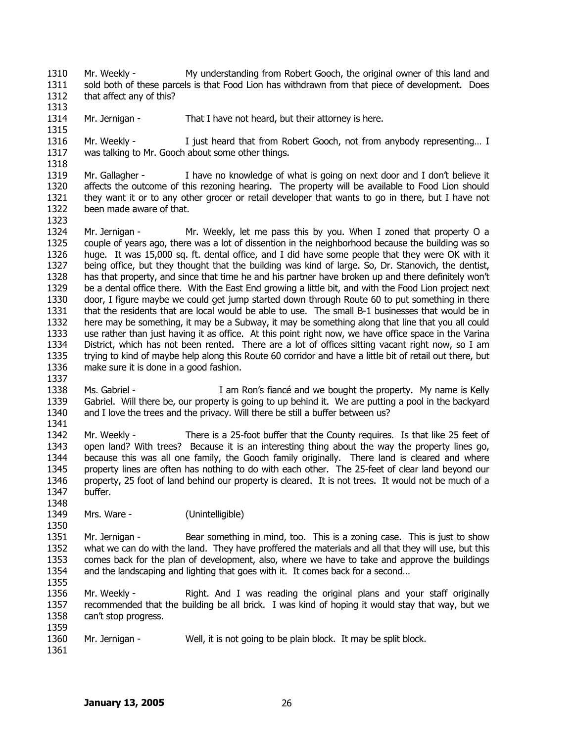1310 1311 1312 Mr. Weekly - My understanding from Robert Gooch, the original owner of this land and sold both of these parcels is that Food Lion has withdrawn from that piece of development. Does that affect any of this?

1314 1315 Mr. Jernigan - That I have not heard, but their attorney is here.

1316 1317 Mr. Weekly - I just heard that from Robert Gooch, not from anybody representing... I was talking to Mr. Gooch about some other things.

1319 1320 1321 1322 Mr. Gallagher - I have no knowledge of what is going on next door and I don't believe it affects the outcome of this rezoning hearing. The property will be available to Food Lion should they want it or to any other grocer or retail developer that wants to go in there, but I have not been made aware of that.

1324 1325 1326 1327 1328 1329 1330 1331 1332 1333 1334 1335 1336 Mr. Jernigan - Mr. Weekly, let me pass this by you. When I zoned that property O a couple of years ago, there was a lot of dissention in the neighborhood because the building was so huge. It was 15,000 sq. ft. dental office, and I did have some people that they were OK with it being office, but they thought that the building was kind of large. So, Dr. Stanovich, the dentist, has that property, and since that time he and his partner have broken up and there definitely won't be a dental office there. With the East End growing a little bit, and with the Food Lion project next door, I figure maybe we could get jump started down through Route 60 to put something in there that the residents that are local would be able to use. The small B-1 businesses that would be in here may be something, it may be a Subway, it may be something along that line that you all could use rather than just having it as office. At this point right now, we have office space in the Varina District, which has not been rented. There are a lot of offices sitting vacant right now, so I am trying to kind of maybe help along this Route 60 corridor and have a little bit of retail out there, but make sure it is done in a good fashion.

1338 1339 1340 1341 Ms. Gabriel - The Music of I am Ron's fiance and we bought the property. My name is Kelly Gabriel. Will there be, our property is going to up behind it. We are putting a pool in the backyard and I love the trees and the privacy. Will there be still a buffer between us?

1342 1343 1344 1345 1346 1347 Mr. Weekly - There is a 25-foot buffer that the County requires. Is that like 25 feet of open land? With trees? Because it is an interesting thing about the way the property lines go, because this was all one family, the Gooch family originally. There land is cleared and where property lines are often has nothing to do with each other. The 25-feet of clear land beyond our property, 25 foot of land behind our property is cleared. It is not trees. It would not be much of a buffer.

1349 Mrs. Ware - (Unintelligible)

1350 1351 1352 1353 1354 Mr. Jernigan - Bear something in mind, too. This is a zoning case. This is just to show what we can do with the land. They have proffered the materials and all that they will use, but this comes back for the plan of development, also, where we have to take and approve the buildings and the landscaping and lighting that goes with it. It comes back for a second…

1356 1357 1358 Mr. Weekly - The Right. And I was reading the original plans and your staff originally recommended that the building be all brick. I was kind of hoping it would stay that way, but we can't stop progress.

- 1360 Mr. Jernigan - Well, it is not going to be plain block. It may be split block.
- 1361

1359

1355

1313

1318

1323

1337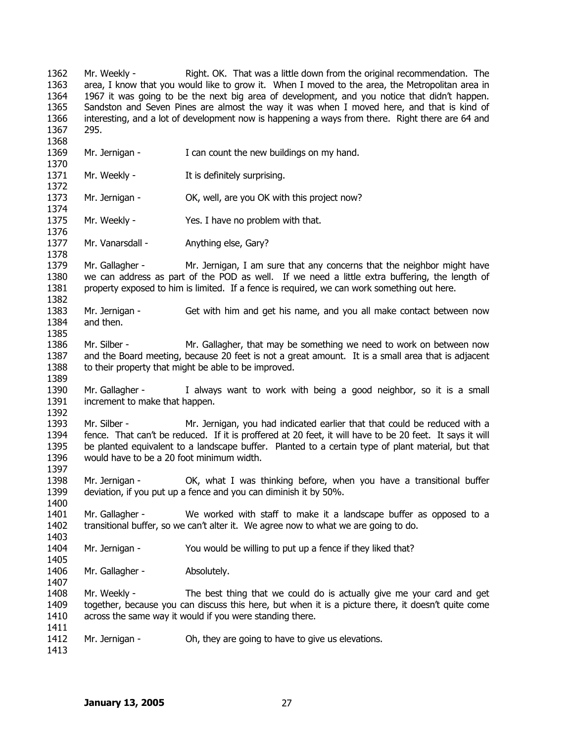1362 1363 1364 1365 1366 1367 1368 1369 1370 1371 1372 1373 1374 1375 1376 1377 1378 1379 1380 1381 1382 1383 1384 1385 1386 1387 1388 1389 1390 1391 1392 1393 1394 1395 1396 1397 1398 1399 1400 1401 1402 1403 1404 1405 1406 1407 1408 1409 1410 1411 1412 1413 Mr. Weekly - Right. OK. That was a little down from the original recommendation. The area, I know that you would like to grow it. When I moved to the area, the Metropolitan area in 1967 it was going to be the next big area of development, and you notice that didn't happen. Sandston and Seven Pines are almost the way it was when I moved here, and that is kind of interesting, and a lot of development now is happening a ways from there. Right there are 64 and 295. Mr. Jernigan - I can count the new buildings on my hand. Mr. Weekly - The It is definitely surprising. Mr. Jernigan - OK, well, are you OK with this project now? Mr. Weekly - Yes. I have no problem with that. Mr. Vanarsdall - Anything else, Gary? Mr. Gallagher - Mr. Jernigan, I am sure that any concerns that the neighbor might have we can address as part of the POD as well. If we need a little extra buffering, the length of property exposed to him is limited. If a fence is required, we can work something out here. Mr. Jernigan - Get with him and get his name, and you all make contact between now and then. Mr. Silber - Mr. Gallagher, that may be something we need to work on between now and the Board meeting, because 20 feet is not a great amount. It is a small area that is adjacent to their property that might be able to be improved. Mr. Gallagher - I always want to work with being a good neighbor, so it is a small increment to make that happen. Mr. Silber - Mr. Jernigan, you had indicated earlier that that could be reduced with a fence. That can't be reduced. If it is proffered at 20 feet, it will have to be 20 feet. It says it will be planted equivalent to a landscape buffer. Planted to a certain type of plant material, but that would have to be a 20 foot minimum width. Mr. Jernigan - OK, what I was thinking before, when you have a transitional buffer deviation, if you put up a fence and you can diminish it by 50%. Mr. Gallagher - We worked with staff to make it a landscape buffer as opposed to a transitional buffer, so we can't alter it. We agree now to what we are going to do. Mr. Jernigan - You would be willing to put up a fence if they liked that? Mr. Gallagher - Absolutely. Mr. Weekly - The best thing that we could do is actually give me your card and get together, because you can discuss this here, but when it is a picture there, it doesn't quite come across the same way it would if you were standing there. Mr. Jernigan - Oh, they are going to have to give us elevations.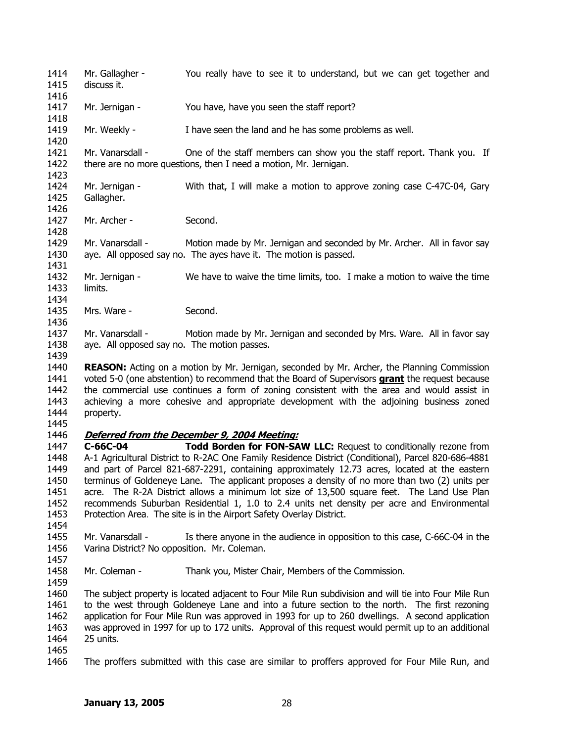1414 1415 1416 1417 1418 1419 1420 1421 1422 1423 1424 1425 1426 1427 1428 1429 1430 1431 1432 1433 1434 1435 1436 1437 1438 1439 1440 Mr. Gallagher - You really have to see it to understand, but we can get together and discuss it. Mr. Jernigan - You have, have you seen the staff report? Mr. Weekly - I have seen the land and he has some problems as well. Mr. Vanarsdall - One of the staff members can show you the staff report. Thank you. If there are no more questions, then I need a motion, Mr. Jernigan. Mr. Jernigan - With that, I will make a motion to approve zoning case C-47C-04, Gary Gallagher. Mr. Archer - Second. Mr. Vanarsdall - Motion made by Mr. Jernigan and seconded by Mr. Archer. All in favor say aye. All opposed say no. The ayes have it. The motion is passed. Mr. Jernigan - We have to waive the time limits, too. I make a motion to waive the time limits. Mrs. Ware - Second. Mr. Vanarsdall - Motion made by Mr. Jernigan and seconded by Mrs. Ware. All in favor say aye. All opposed say no. The motion passes. **REASON:** Acting on a motion by Mr. Jernigan, seconded by Mr. Archer, the Planning Commission voted 5-0 (one abstention) to recommend that the Board of Supervisors **grant** the request because the commercial use continues a form of zoning consistent with the area and would assist in achieving a more cohesive and appropriate development with the adjoining business zoned property. 1441 1442 1443 1444 1445 1446 **Deferred from the December 9, 2004 Meeting:** 1447 1448 1449 1450 1451 1452 1453 1454 1455 1456 1457 1458 1459 1460 1461 1462 1463 1464 **C-66C-04 Todd Borden for FON-SAW LLC:** Request to conditionally rezone from A-1 Agricultural District to R-2AC One Family Residence District (Conditional), Parcel 820-686-4881 and part of Parcel 821-687-2291, containing approximately 12.73 acres, located at the eastern terminus of Goldeneye Lane. The applicant proposes a density of no more than two (2) units per acre. The R-2A District allows a minimum lot size of 13,500 square feet. The Land Use Plan recommends Suburban Residential 1, 1.0 to 2.4 units net density per acre and Environmental Protection Area. The site is in the Airport Safety Overlay District. Mr. Vanarsdall - Is there anyone in the audience in opposition to this case, C-66C-04 in the Varina District? No opposition. Mr. Coleman. Mr. Coleman - Thank you, Mister Chair, Members of the Commission. The subject property is located adjacent to Four Mile Run subdivision and will tie into Four Mile Run to the west through Goldeneye Lane and into a future section to the north. The first rezoning application for Four Mile Run was approved in 1993 for up to 260 dwellings. A second application was approved in 1997 for up to 172 units. Approval of this request would permit up to an additional 25 units.

1465

1466 The proffers submitted with this case are similar to proffers approved for Four Mile Run, and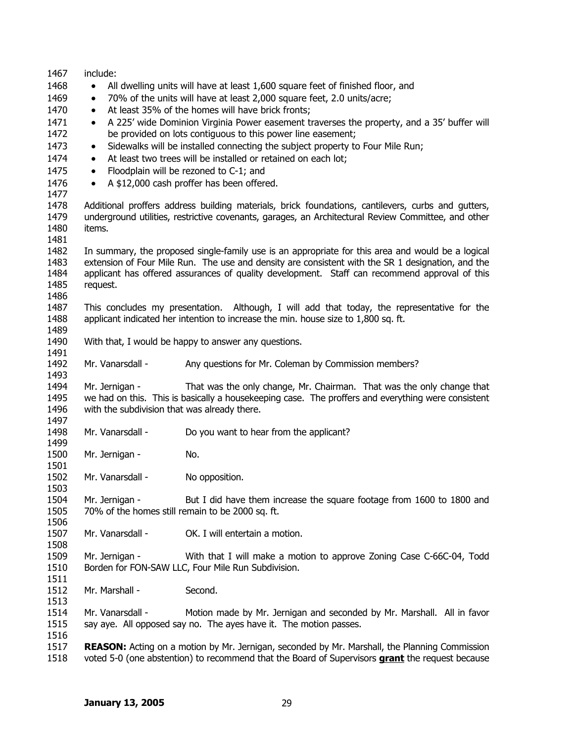1467 1468 1469 1470 1471 1472 1473 1474 1475 1476 1477 1478 1479 1480 1481 1482 1483 1484 1485 1486 1487 1488 1489 1490 1491 1492 1493 1494 1495 1496 1497 1498 1499 1500 1501 1502 1503 1504 1505 1506 1507 1508 1509 1510 1511 1512 1513 1514 1515 1516 1517 include: • All dwelling units will have at least 1,600 square feet of finished floor, and • 70% of the units will have at least 2,000 square feet, 2.0 units/acre; At least 35% of the homes will have brick fronts; • A 225' wide Dominion Virginia Power easement traverses the property, and a 35' buffer will be provided on lots contiguous to this power line easement; • Sidewalks will be installed connecting the subject property to Four Mile Run; At least two trees will be installed or retained on each lot; • Floodplain will be rezoned to C-1; and • A \$12,000 cash proffer has been offered. Additional proffers address building materials, brick foundations, cantilevers, curbs and gutters, underground utilities, restrictive covenants, garages, an Architectural Review Committee, and other items. In summary, the proposed single-family use is an appropriate for this area and would be a logical extension of Four Mile Run. The use and density are consistent with the SR 1 designation, and the applicant has offered assurances of quality development. Staff can recommend approval of this request. This concludes my presentation. Although, I will add that today, the representative for the applicant indicated her intention to increase the min. house size to 1,800 sq. ft. With that, I would be happy to answer any questions. Mr. Vanarsdall - Any questions for Mr. Coleman by Commission members? Mr. Jernigan - That was the only change, Mr. Chairman. That was the only change that we had on this. This is basically a housekeeping case. The proffers and everything were consistent with the subdivision that was already there. Mr. Vanarsdall - Do you want to hear from the applicant? Mr. Jernigan - No. Mr. Vanarsdall - No opposition. Mr. Jernigan - But I did have them increase the square footage from 1600 to 1800 and 70% of the homes still remain to be 2000 sq. ft. Mr. Vanarsdall - **OK. I will entertain a motion.** Mr. Jernigan - With that I will make a motion to approve Zoning Case C-66C-04, Todd Borden for FON-SAW LLC, Four Mile Run Subdivision. Mr. Marshall - Second. Mr. Vanarsdall - Motion made by Mr. Jernigan and seconded by Mr. Marshall. All in favor say aye. All opposed say no. The ayes have it. The motion passes. **REASON:** Acting on a motion by Mr. Jernigan, seconded by Mr. Marshall, the Planning Commission 1518 voted 5-0 (one abstention) to recommend that the Board of Supervisors **grant** the request because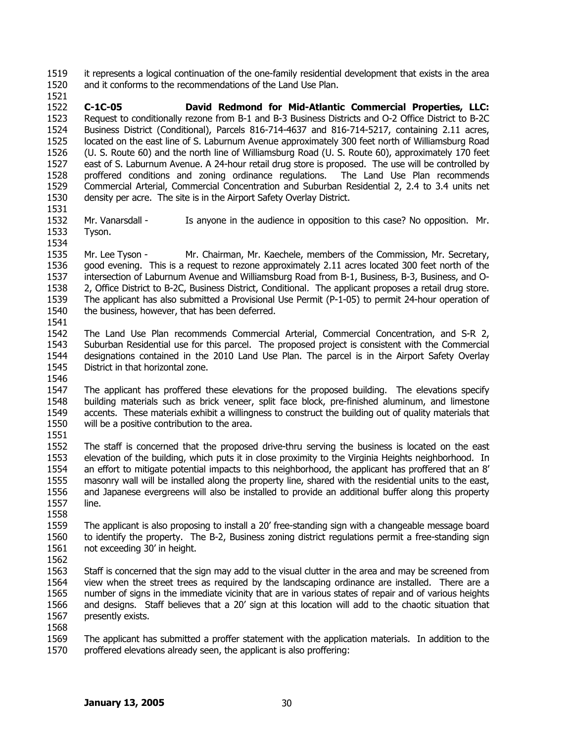it represents a logical continuation of the one-family residential development that exists in the area and it conforms to the recommendations of the Land Use Plan. 1519 1520

1521 1522 1523 1524 1525 1526 1527 1528 1529 1530 **C-1C-05 David Redmond for Mid-Atlantic Commercial Properties, LLC:** Request to conditionally rezone from B-1 and B-3 Business Districts and O-2 Office District to B-2C Business District (Conditional), Parcels 816-714-4637 and 816-714-5217, containing 2.11 acres, located on the east line of S. Laburnum Avenue approximately 300 feet north of Williamsburg Road (U. S. Route 60) and the north line of Williamsburg Road (U. S. Route 60), approximately 170 feet east of S. Laburnum Avenue. A 24-hour retail drug store is proposed. The use will be controlled by proffered conditions and zoning ordinance regulations. The Land Use Plan recommends Commercial Arterial, Commercial Concentration and Suburban Residential 2, 2.4 to 3.4 units net density per acre. The site is in the Airport Safety Overlay District.

- 1531
- 1532 1533 1534 Mr. Vanarsdall - Is anyone in the audience in opposition to this case? No opposition. Mr. Tyson.

1535 1536 1537 1538 1539 1540 1541 Mr. Lee Tyson - Mr. Chairman, Mr. Kaechele, members of the Commission, Mr. Secretary, good evening. This is a request to rezone approximately 2.11 acres located 300 feet north of the intersection of Laburnum Avenue and Williamsburg Road from B-1, Business, B-3, Business, and O-2, Office District to B-2C, Business District, Conditional. The applicant proposes a retail drug store. The applicant has also submitted a Provisional Use Permit (P-1-05) to permit 24-hour operation of the business, however, that has been deferred.

- 1542 1543 1544 1545 The Land Use Plan recommends Commercial Arterial, Commercial Concentration, and S-R 2, Suburban Residential use for this parcel. The proposed project is consistent with the Commercial designations contained in the 2010 Land Use Plan. The parcel is in the Airport Safety Overlay District in that horizontal zone.
- 1546

1547 1548 1549 1550 1551 The applicant has proffered these elevations for the proposed building. The elevations specify building materials such as brick veneer, split face block, pre-finished aluminum, and limestone accents. These materials exhibit a willingness to construct the building out of quality materials that will be a positive contribution to the area.

1552 1553 1554 1555 1556 1557 The staff is concerned that the proposed drive-thru serving the business is located on the east elevation of the building, which puts it in close proximity to the Virginia Heights neighborhood. In an effort to mitigate potential impacts to this neighborhood, the applicant has proffered that an 8' masonry wall will be installed along the property line, shared with the residential units to the east, and Japanese evergreens will also be installed to provide an additional buffer along this property line.

- 1559 1560 1561 The applicant is also proposing to install a 20' free-standing sign with a changeable message board to identify the property. The B-2, Business zoning district regulations permit a free-standing sign not exceeding 30' in height.
- 1562

1558

1563 1564 1565 1566 1567 Staff is concerned that the sign may add to the visual clutter in the area and may be screened from view when the street trees as required by the landscaping ordinance are installed. There are a number of signs in the immediate vicinity that are in various states of repair and of various heights and designs. Staff believes that a 20' sign at this location will add to the chaotic situation that presently exists.

- 1568
- 1569 1570 The applicant has submitted a proffer statement with the application materials. In addition to the proffered elevations already seen, the applicant is also proffering: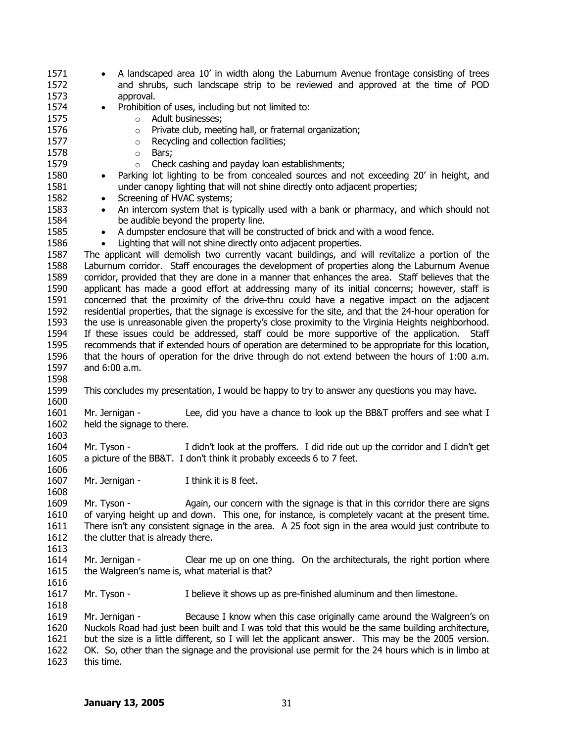| 1571         |                                                | A landscaped area 10' in width along the Laburnum Avenue frontage consisting of trees                  |
|--------------|------------------------------------------------|--------------------------------------------------------------------------------------------------------|
| 1572         |                                                | and shrubs, such landscape strip to be reviewed and approved at the time of POD                        |
| 1573         | approval.                                      |                                                                                                        |
| 1574         | $\bullet$                                      | Prohibition of uses, including but not limited to:                                                     |
| 1575         | $\circ$                                        | Adult businesses;                                                                                      |
| 1576         | $\circ$                                        | Private club, meeting hall, or fraternal organization;                                                 |
| 1577         | $\circ$                                        | Recycling and collection facilities;                                                                   |
| 1578         | Bars;<br>$\circ$                               |                                                                                                        |
| 1579         | $\circ$                                        | Check cashing and payday loan establishments;                                                          |
| 1580         | $\bullet$                                      | Parking lot lighting to be from concealed sources and not exceeding 20' in height, and                 |
| 1581         |                                                | under canopy lighting that will not shine directly onto adjacent properties;                           |
| 1582         | Screening of HVAC systems;<br>$\bullet$        |                                                                                                        |
| 1583         | $\bullet$                                      | An intercom system that is typically used with a bank or pharmacy, and which should not                |
| 1584         |                                                | be audible beyond the property line.                                                                   |
| 1585         | $\bullet$                                      | A dumpster enclosure that will be constructed of brick and with a wood fence.                          |
| 1586         | $\bullet$                                      | Lighting that will not shine directly onto adjacent properties.                                        |
| 1587         |                                                | The applicant will demolish two currently vacant buildings, and will revitalize a portion of the       |
| 1588         |                                                | Laburnum corridor. Staff encourages the development of properties along the Laburnum Avenue            |
| 1589         |                                                | corridor, provided that they are done in a manner that enhances the area. Staff believes that the      |
| 1590         |                                                | applicant has made a good effort at addressing many of its initial concerns; however, staff is         |
| 1591         |                                                | concerned that the proximity of the drive-thru could have a negative impact on the adjacent            |
| 1592         |                                                | residential properties, that the signage is excessive for the site, and that the 24-hour operation for |
| 1593         |                                                | the use is unreasonable given the property's close proximity to the Virginia Heights neighborhood.     |
| 1594         |                                                | If these issues could be addressed, staff could be more supportive of the application.<br>Staff        |
| 1595         |                                                | recommends that if extended hours of operation are determined to be appropriate for this location,     |
| 1596         |                                                | that the hours of operation for the drive through do not extend between the hours of 1:00 a.m.         |
| 1597         | and 6:00 a.m.                                  |                                                                                                        |
| 1598         |                                                |                                                                                                        |
| 1599         |                                                | This concludes my presentation, I would be happy to try to answer any questions you may have.          |
| 1600         |                                                |                                                                                                        |
| 1601         | Mr. Jernigan -                                 | Lee, did you have a chance to look up the BB&T proffers and see what I                                 |
| 1602         | held the signage to there.                     |                                                                                                        |
| 1603         |                                                |                                                                                                        |
| 1604         | Mr. Tyson -                                    | I didn't look at the proffers. I did ride out up the corridor and I didn't get                         |
| 1605         |                                                | a picture of the BB&T. I don't think it probably exceeds 6 to 7 feet.                                  |
| 1606         |                                                |                                                                                                        |
| 1607         | Mr. Jernigan -                                 | I think it is 8 feet.                                                                                  |
| 1608         |                                                |                                                                                                        |
| 1609         | Mr. Tyson -                                    | Again, our concern with the signage is that in this corridor there are signs                           |
| 1610         |                                                | of varying height up and down. This one, for instance, is completely vacant at the present time.       |
| 1611         |                                                | There isn't any consistent signage in the area. A 25 foot sign in the area would just contribute to    |
| 1612         |                                                |                                                                                                        |
|              |                                                |                                                                                                        |
|              | the clutter that is already there.             |                                                                                                        |
| 1613         |                                                |                                                                                                        |
| 1614         | Mr. Jernigan -                                 | Clear me up on one thing. On the architecturals, the right portion where                               |
| 1615         | the Walgreen's name is, what material is that? |                                                                                                        |
| 1616         |                                                |                                                                                                        |
| 1617         | Mr. Tyson -                                    | I believe it shows up as pre-finished aluminum and then limestone.                                     |
| 1618         |                                                |                                                                                                        |
| 1619         | Mr. Jernigan -                                 | Because I know when this case originally came around the Walgreen's on                                 |
| 1620         |                                                | Nuckols Road had just been built and I was told that this would be the same building architecture,     |
| 1621         |                                                | but the size is a little different, so I will let the applicant answer. This may be the 2005 version.  |
| 1622<br>1623 | this time.                                     | OK. So, other than the signage and the provisional use permit for the 24 hours which is in limbo at    |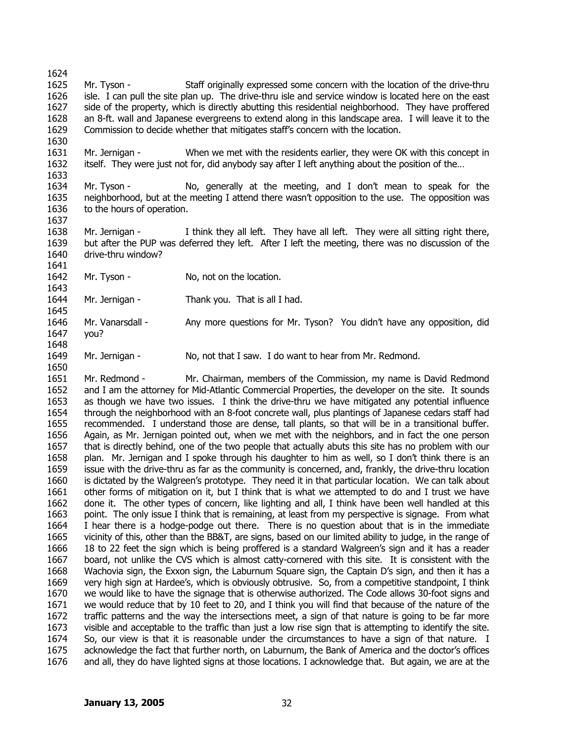1624 1625 1626 1627 1628 1629 Mr. Tyson - Staff originally expressed some concern with the location of the drive-thru isle. I can pull the site plan up. The drive-thru isle and service window is located here on the east side of the property, which is directly abutting this residential neighborhood. They have proffered an 8-ft. wall and Japanese evergreens to extend along in this landscape area. I will leave it to the Commission to decide whether that mitigates staff's concern with the location.

1631 1632 Mr. Jernigan - When we met with the residents earlier, they were OK with this concept in itself. They were just not for, did anybody say after I left anything about the position of the…

1634 1635 1636 Mr. Tyson - No, generally at the meeting, and I don't mean to speak for the neighborhood, but at the meeting I attend there wasn't opposition to the use. The opposition was to the hours of operation.

Mr. Jernigan - I think they all left. They have all left. They were all sitting right there, but after the PUP was deferred they left. After I left the meeting, there was no discussion of the

1637

1630

1633

1638 1639

1640

1650

1641

drive-thru window?

1642 1643 Mr. Tyson - No, not on the location.

1644 Mr. Jernigan - Thank you. That is all I had.

1645 1646 1647 1648 Mr. Vanarsdall - Any more questions for Mr. Tyson? You didn't have any opposition, did you?

1649 Mr. Jernigan - No, not that I saw. I do want to hear from Mr. Redmond.

1651 1652 1653 1654 1655 1656 1657 1658 1659 1660 1661 1662 1663 1664 1665 1666 1667 1668 1669 1670 1671 1672 1673 1674 1675 1676 Mr. Redmond - Mr. Chairman, members of the Commission, my name is David Redmond and I am the attorney for Mid-Atlantic Commercial Properties, the developer on the site. It sounds as though we have two issues. I think the drive-thru we have mitigated any potential influence through the neighborhood with an 8-foot concrete wall, plus plantings of Japanese cedars staff had recommended. I understand those are dense, tall plants, so that will be in a transitional buffer. Again, as Mr. Jernigan pointed out, when we met with the neighbors, and in fact the one person that is directly behind, one of the two people that actually abuts this site has no problem with our plan. Mr. Jernigan and I spoke through his daughter to him as well, so I don't think there is an issue with the drive-thru as far as the community is concerned, and, frankly, the drive-thru location is dictated by the Walgreen's prototype. They need it in that particular location. We can talk about other forms of mitigation on it, but I think that is what we attempted to do and I trust we have done it. The other types of concern, like lighting and all, I think have been well handled at this point. The only issue I think that is remaining, at least from my perspective is signage. From what I hear there is a hodge-podge out there. There is no question about that is in the immediate vicinity of this, other than the BB&T, are signs, based on our limited ability to judge, in the range of 18 to 22 feet the sign which is being proffered is a standard Walgreen's sign and it has a reader board, not unlike the CVS which is almost catty-cornered with this site. It is consistent with the Wachovia sign, the Exxon sign, the Laburnum Square sign, the Captain D's sign, and then it has a very high sign at Hardee's, which is obviously obtrusive. So, from a competitive standpoint, I think we would like to have the signage that is otherwise authorized. The Code allows 30-foot signs and we would reduce that by 10 feet to 20, and I think you will find that because of the nature of the traffic patterns and the way the intersections meet, a sign of that nature is going to be far more visible and acceptable to the traffic than just a low rise sign that is attempting to identify the site. So, our view is that it is reasonable under the circumstances to have a sign of that nature. I acknowledge the fact that further north, on Laburnum, the Bank of America and the doctor's offices and all, they do have lighted signs at those locations. I acknowledge that. But again, we are at the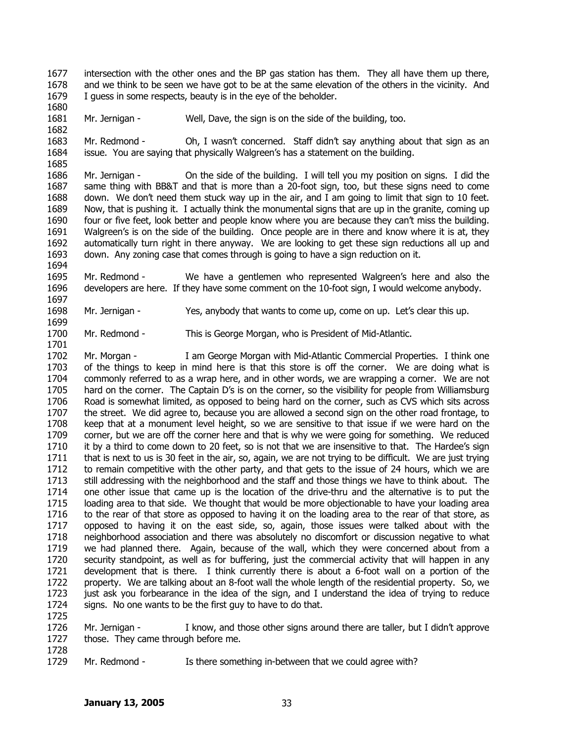1677 1678 1679 intersection with the other ones and the BP gas station has them. They all have them up there, and we think to be seen we have got to be at the same elevation of the others in the vicinity. And I guess in some respects, beauty is in the eye of the beholder.

1681 1682 Mr. Jernigan - Well, Dave, the sign is on the side of the building, too.

1680

1685

1694

1697

1699

1701

1725

1728

1683 1684 Mr. Redmond - Oh, I wasn't concerned. Staff didn't say anything about that sign as an issue. You are saying that physically Walgreen's has a statement on the building.

1686 1687 1688 1689 1690 1691 1692 1693 Mr. Jernigan - On the side of the building. I will tell you my position on signs. I did the same thing with BB&T and that is more than a 20-foot sign, too, but these signs need to come down. We don't need them stuck way up in the air, and I am going to limit that sign to 10 feet. Now, that is pushing it. I actually think the monumental signs that are up in the granite, coming up four or five feet, look better and people know where you are because they can't miss the building. Walgreen's is on the side of the building. Once people are in there and know where it is at, they automatically turn right in there anyway. We are looking to get these sign reductions all up and down. Any zoning case that comes through is going to have a sign reduction on it.

1695 1696 Mr. Redmond - We have a gentlemen who represented Walgreen's here and also the developers are here. If they have some comment on the 10-foot sign, I would welcome anybody.

1698 Mr. Jernigan - Yes, anybody that wants to come up, come on up. Let's clear this up.

1700 Mr. Redmond - This is George Morgan, who is President of Mid-Atlantic.

1702 1703 1704 1705 1706 1707 1708 1709 1710 1711 1712 1713 1714 1715 1716 1717 1718 1719 1720 1721 1722 1723 1724 Mr. Morgan - I am George Morgan with Mid-Atlantic Commercial Properties. I think one of the things to keep in mind here is that this store is off the corner. We are doing what is commonly referred to as a wrap here, and in other words, we are wrapping a corner. We are not hard on the corner. The Captain D's is on the corner, so the visibility for people from Williamsburg Road is somewhat limited, as opposed to being hard on the corner, such as CVS which sits across the street. We did agree to, because you are allowed a second sign on the other road frontage, to keep that at a monument level height, so we are sensitive to that issue if we were hard on the corner, but we are off the corner here and that is why we were going for something. We reduced it by a third to come down to 20 feet, so is not that we are insensitive to that. The Hardee's sign that is next to us is 30 feet in the air, so, again, we are not trying to be difficult. We are just trying to remain competitive with the other party, and that gets to the issue of 24 hours, which we are still addressing with the neighborhood and the staff and those things we have to think about. The one other issue that came up is the location of the drive-thru and the alternative is to put the loading area to that side. We thought that would be more objectionable to have your loading area to the rear of that store as opposed to having it on the loading area to the rear of that store, as opposed to having it on the east side, so, again, those issues were talked about with the neighborhood association and there was absolutely no discomfort or discussion negative to what we had planned there. Again, because of the wall, which they were concerned about from a security standpoint, as well as for buffering, just the commercial activity that will happen in any development that is there. I think currently there is about a 6-foot wall on a portion of the property. We are talking about an 8-foot wall the whole length of the residential property. So, we just ask you forbearance in the idea of the sign, and I understand the idea of trying to reduce signs. No one wants to be the first guy to have to do that.

1726 1727 Mr. Jernigan - I know, and those other signs around there are taller, but I didn't approve those. They came through before me.

1729 Mr. Redmond - Is there something in-between that we could agree with?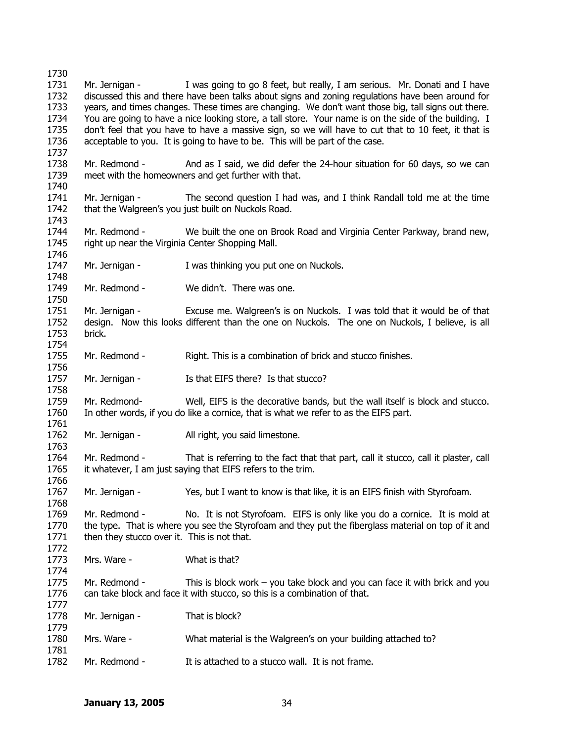Mr. Jernigan - I was going to go 8 feet, but really, I am serious. Mr. Donati and I have discussed this and there have been talks about signs and zoning regulations have been around for years, and times changes. These times are changing. We don't want those big, tall signs out there. You are going to have a nice looking store, a tall store. Your name is on the side of the building. I don't feel that you have to have a massive sign, so we will have to cut that to 10 feet, it that is acceptable to you. It is going to have to be. This will be part of the case. Mr. Redmond - And as I said, we did defer the 24-hour situation for 60 days, so we can meet with the homeowners and get further with that. Mr. Jernigan - The second question I had was, and I think Randall told me at the time that the Walgreen's you just built on Nuckols Road. Mr. Redmond - We built the one on Brook Road and Virginia Center Parkway, brand new, right up near the Virginia Center Shopping Mall. Mr. Jernigan - I was thinking you put one on Nuckols. Mr. Redmond - We didn't. There was one. Mr. Jernigan - Excuse me. Walgreen's is on Nuckols. I was told that it would be of that design. Now this looks different than the one on Nuckols. The one on Nuckols, I believe, is all brick. Mr. Redmond - Right. This is a combination of brick and stucco finishes. Mr. Jernigan - Is that EIFS there? Is that stucco? Mr. Redmond- Well, EIFS is the decorative bands, but the wall itself is block and stucco. In other words, if you do like a cornice, that is what we refer to as the EIFS part. Mr. Jernigan - All right, you said limestone. Mr. Redmond - That is referring to the fact that that part, call it stucco, call it plaster, call it whatever, I am just saying that EIFS refers to the trim. Mr. Jernigan - Yes, but I want to know is that like, it is an EIFS finish with Styrofoam. Mr. Redmond - No. It is not Styrofoam. EIFS is only like you do a cornice. It is mold at the type. That is where you see the Styrofoam and they put the fiberglass material on top of it and then they stucco over it. This is not that. Mrs. Ware - What is that? Mr. Redmond - This is block work – you take block and you can face it with brick and you can take block and face it with stucco, so this is a combination of that. Mr. Jernigan - That is block? Mrs. Ware - What material is the Walgreen's on your building attached to? Mr. Redmond - It is attached to a stucco wall. It is not frame.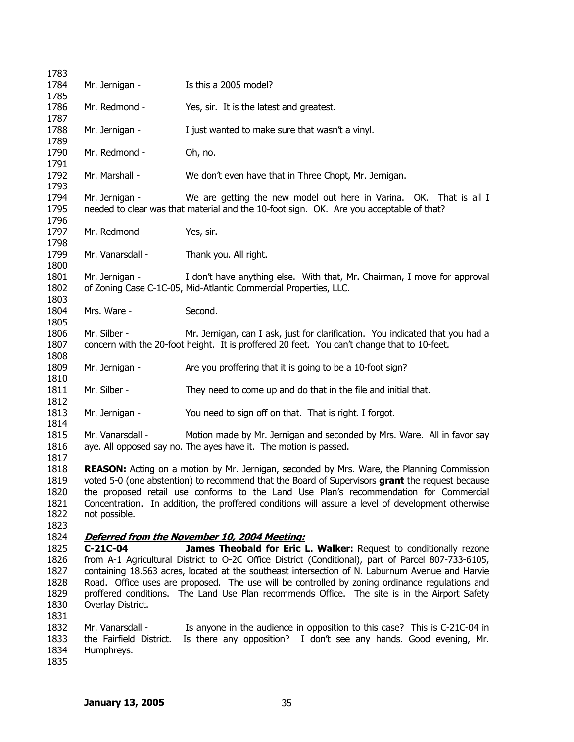| 1783         |                         |                                                                                                                                                               |
|--------------|-------------------------|---------------------------------------------------------------------------------------------------------------------------------------------------------------|
| 1784         | Mr. Jernigan -          | Is this a 2005 model?                                                                                                                                         |
| 1785         |                         |                                                                                                                                                               |
| 1786         | Mr. Redmond -           | Yes, sir. It is the latest and greatest.                                                                                                                      |
| 1787         |                         |                                                                                                                                                               |
| 1788         | Mr. Jernigan -          | I just wanted to make sure that wasn't a vinyl.                                                                                                               |
| 1789         |                         |                                                                                                                                                               |
| 1790         | Mr. Redmond -           | Oh, no.                                                                                                                                                       |
| 1791         |                         |                                                                                                                                                               |
| 1792         | Mr. Marshall -          | We don't even have that in Three Chopt, Mr. Jernigan.                                                                                                         |
| 1793<br>1794 |                         |                                                                                                                                                               |
| 1795         | Mr. Jernigan -          | We are getting the new model out here in Varina. OK. That is all I<br>needed to clear was that material and the 10-foot sign. OK. Are you acceptable of that? |
| 1796         |                         |                                                                                                                                                               |
| 1797         | Mr. Redmond -           | Yes, sir.                                                                                                                                                     |
| 1798         |                         |                                                                                                                                                               |
| 1799         | Mr. Vanarsdall -        | Thank you. All right.                                                                                                                                         |
| 1800         |                         |                                                                                                                                                               |
| 1801         | Mr. Jernigan -          | I don't have anything else. With that, Mr. Chairman, I move for approval                                                                                      |
| 1802         |                         | of Zoning Case C-1C-05, Mid-Atlantic Commercial Properties, LLC.                                                                                              |
| 1803         |                         |                                                                                                                                                               |
| 1804         | Mrs. Ware -             | Second.                                                                                                                                                       |
| 1805         |                         |                                                                                                                                                               |
| 1806         | Mr. Silber -            | Mr. Jernigan, can I ask, just for clarification. You indicated that you had a                                                                                 |
| 1807         |                         | concern with the 20-foot height. It is proffered 20 feet. You can't change that to 10-feet.                                                                   |
| 1808         |                         |                                                                                                                                                               |
| 1809         | Mr. Jernigan -          | Are you proffering that it is going to be a 10-foot sign?                                                                                                     |
| 1810         |                         |                                                                                                                                                               |
| 1811         | Mr. Silber -            | They need to come up and do that in the file and initial that.                                                                                                |
| 1812         |                         |                                                                                                                                                               |
| 1813         | Mr. Jernigan -          | You need to sign off on that. That is right. I forgot.                                                                                                        |
| 1814         |                         |                                                                                                                                                               |
| 1815<br>1816 | Mr. Vanarsdall -        | Motion made by Mr. Jernigan and seconded by Mrs. Ware. All in favor say<br>aye. All opposed say no. The ayes have it. The motion is passed.                   |
| 1817         |                         |                                                                                                                                                               |
| 1818         |                         | <b>REASON:</b> Acting on a motion by Mr. Jernigan, seconded by Mrs. Ware, the Planning Commission                                                             |
| 1819         |                         | voted 5-0 (one abstention) to recommend that the Board of Supervisors <b>grant</b> the request because                                                        |
| 1820         |                         | the proposed retail use conforms to the Land Use Plan's recommendation for Commercial                                                                         |
| 1821         |                         | Concentration. In addition, the proffered conditions will assure a level of development otherwise                                                             |
| 1822         | not possible.           |                                                                                                                                                               |
| 1823         |                         |                                                                                                                                                               |
| 1824         |                         | Deferred from the November 10, 2004 Meeting:                                                                                                                  |
| 1825         | $C-21C-04$              | James Theobald for Eric L. Walker: Request to conditionally rezone                                                                                            |
| 1826         |                         | from A-1 Agricultural District to O-2C Office District (Conditional), part of Parcel 807-733-6105,                                                            |
| 1827         |                         | containing 18.563 acres, located at the southeast intersection of N. Laburnum Avenue and Harvie                                                               |
| 1828         |                         | Road. Office uses are proposed. The use will be controlled by zoning ordinance regulations and                                                                |
| 1829         |                         | proffered conditions. The Land Use Plan recommends Office. The site is in the Airport Safety                                                                  |
| 1830         | Overlay District.       |                                                                                                                                                               |
| 1831         |                         |                                                                                                                                                               |
| 1832         | Mr. Vanarsdall -        | Is anyone in the audience in opposition to this case? This is C-21C-04 in                                                                                     |
| 1833<br>1834 | the Fairfield District. | Is there any opposition? I don't see any hands. Good evening, Mr.                                                                                             |
| 1835         | Humphreys.              |                                                                                                                                                               |
|              |                         |                                                                                                                                                               |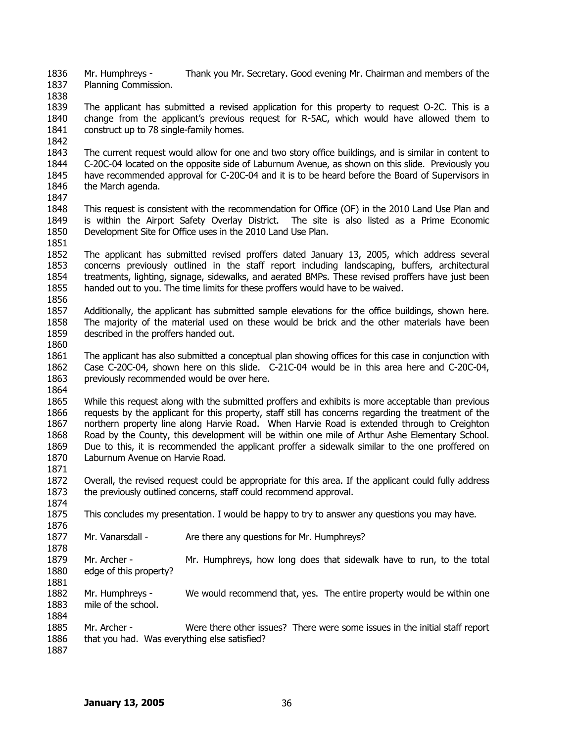1836 1837 Mr. Humphreys - Thank you Mr. Secretary. Good evening Mr. Chairman and members of the Planning Commission.

1838

1839 1840 1841 The applicant has submitted a revised application for this property to request O-2C. This is a change from the applicant's previous request for R-5AC, which would have allowed them to construct up to 78 single-family homes.

1842

1851

1843 1844 1845 1846 1847 The current request would allow for one and two story office buildings, and is similar in content to C-20C-04 located on the opposite side of Laburnum Avenue, as shown on this slide. Previously you have recommended approval for C-20C-04 and it is to be heard before the Board of Supervisors in the March agenda.

- 1848 1849 1850 This request is consistent with the recommendation for Office (OF) in the 2010 Land Use Plan and is within the Airport Safety Overlay District. The site is also listed as a Prime Economic Development Site for Office uses in the 2010 Land Use Plan.
- 1852 1853 1854 1855 1856 The applicant has submitted revised proffers dated January 13, 2005, which address several concerns previously outlined in the staff report including landscaping, buffers, architectural treatments, lighting, signage, sidewalks, and aerated BMPs. These revised proffers have just been handed out to you. The time limits for these proffers would have to be waived.
- 1857 1858 1859 1860 Additionally, the applicant has submitted sample elevations for the office buildings, shown here. The majority of the material used on these would be brick and the other materials have been described in the proffers handed out.
- 1861 1862 1863 The applicant has also submitted a conceptual plan showing offices for this case in conjunction with Case C-20C-04, shown here on this slide. C-21C-04 would be in this area here and C-20C-04, previously recommended would be over here.
- 1864

1884

1865 1866 1867 1868 1869 1870 1871 While this request along with the submitted proffers and exhibits is more acceptable than previous requests by the applicant for this property, staff still has concerns regarding the treatment of the northern property line along Harvie Road. When Harvie Road is extended through to Creighton Road by the County, this development will be within one mile of Arthur Ashe Elementary School. Due to this, it is recommended the applicant proffer a sidewalk similar to the one proffered on Laburnum Avenue on Harvie Road.

1872 1873 1874 Overall, the revised request could be appropriate for this area. If the applicant could fully address the previously outlined concerns, staff could recommend approval.

1875 1876 This concludes my presentation. I would be happy to try to answer any questions you may have.

1877 1878 Mr. Vanarsdall - Are there any questions for Mr. Humphreys?

1879 1880 1881 Mr. Archer - Mr. Humphreys, how long does that sidewalk have to run, to the total edge of this property?

1882 1883 Mr. Humphreys - We would recommend that, yes. The entire property would be within one mile of the school.

1885 1886 1887 Mr. Archer - Were there other issues? There were some issues in the initial staff report that you had. Was everything else satisfied?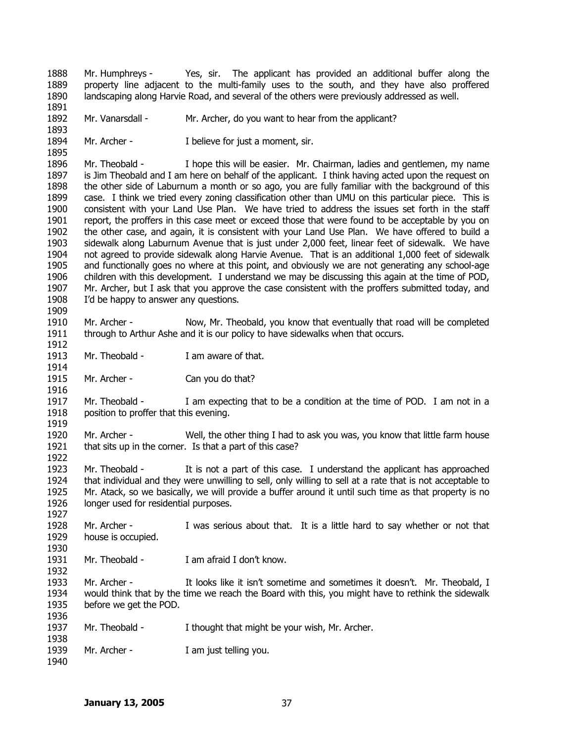1888 1889 1890 1891 Mr. Humphreys - Yes, sir. The applicant has provided an additional buffer along the property line adjacent to the multi-family uses to the south, and they have also proffered landscaping along Harvie Road, and several of the others were previously addressed as well.

1892 Mr. Vanarsdall - Mr. Archer, do you want to hear from the applicant?

1894 Mr. Archer - I believe for just a moment, sir.

1896 1897 1898 1899 1900 1901 1902 1903 1904 1905 1906 1907 1908 1909 Mr. Theobald - I hope this will be easier. Mr. Chairman, ladies and gentlemen, my name is Jim Theobald and I am here on behalf of the applicant. I think having acted upon the request on the other side of Laburnum a month or so ago, you are fully familiar with the background of this case. I think we tried every zoning classification other than UMU on this particular piece. This is consistent with your Land Use Plan. We have tried to address the issues set forth in the staff report, the proffers in this case meet or exceed those that were found to be acceptable by you on the other case, and again, it is consistent with your Land Use Plan. We have offered to build a sidewalk along Laburnum Avenue that is just under 2,000 feet, linear feet of sidewalk. We have not agreed to provide sidewalk along Harvie Avenue. That is an additional 1,000 feet of sidewalk and functionally goes no where at this point, and obviously we are not generating any school-age children with this development. I understand we may be discussing this again at the time of POD, Mr. Archer, but I ask that you approve the case consistent with the proffers submitted today, and I'd be happy to answer any questions.

1910 1911 1912 Mr. Archer - Now, Mr. Theobald, you know that eventually that road will be completed through to Arthur Ashe and it is our policy to have sidewalks when that occurs.

1913 Mr. Theobald - I am aware of that.

1915 Mr. Archer - Can you do that?

1917 1918 1919 Mr. Theobald - I am expecting that to be a condition at the time of POD. I am not in a position to proffer that this evening.

1920 1921 Mr. Archer - Well, the other thing I had to ask you was, you know that little farm house that sits up in the corner. Is that a part of this case?

1923 1924 1925 1926 Mr. Theobald - It is not a part of this case. I understand the applicant has approached that individual and they were unwilling to sell, only willing to sell at a rate that is not acceptable to Mr. Atack, so we basically, we will provide a buffer around it until such time as that property is no longer used for residential purposes.

1928 1929 1930 Mr. Archer - I was serious about that. It is a little hard to say whether or not that house is occupied.

1931 Mr. Theobald - I am afraid I don't know.

1933 1934 1935 Mr. Archer - It looks like it isn't sometime and sometimes it doesn't. Mr. Theobald, I would think that by the time we reach the Board with this, you might have to rethink the sidewalk before we get the POD.

1937 Mr. Theobald - I thought that might be your wish, Mr. Archer.

1939 Mr. Archer - I am just telling you.

1940

1893

1895

1914

1916

1922

1927

1932

1936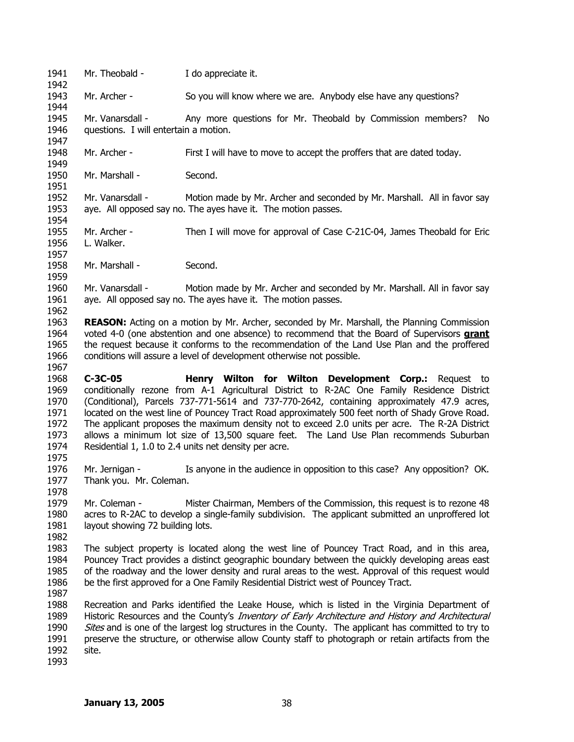1941 1942 1943 1944 1945 1946 1947 1948 1949 1950 1951 1952 1953 1954 1955 1956 1957 1958 1959 1960 1961 1962 1963 Mr. Theobald - **I** do appreciate it. Mr. Archer - So you will know where we are. Anybody else have any questions? Mr. Vanarsdall - Any more questions for Mr. Theobald by Commission members? No questions. I will entertain a motion. Mr. Archer - First I will have to move to accept the proffers that are dated today. Mr. Marshall - Second. Mr. Vanarsdall - Motion made by Mr. Archer and seconded by Mr. Marshall. All in favor say aye. All opposed say no. The ayes have it. The motion passes. Mr. Archer - Then I will move for approval of Case C-21C-04, James Theobald for Eric L. Walker. Mr. Marshall - Second. Mr. Vanarsdall - Motion made by Mr. Archer and seconded by Mr. Marshall. All in favor say aye. All opposed say no. The ayes have it. The motion passes. **REASON:** Acting on a motion by Mr. Archer, seconded by Mr. Marshall, the Planning Commission voted 4-0 (one abstention and one absence) to recommend that the Board of Supervisors **grant** the request because it conforms to the recommendation of the Land Use Plan and the proffered conditions will assure a level of development otherwise not possible. 1964 1965 1966 1967 1968 1969 1970 1971 1972 1973 1974 1975 1976 1977 1978 1979 1980 1981 1982 1983 1984 1985 1986 1987 1988 1989 Historic Resources and the County's *Inventory of Early Architecture and History and Architectural* 1990 1991 1992 1993 **C-3C-05 Henry Wilton for Wilton Development Corp.:** Request to conditionally rezone from A-1 Agricultural District to R-2AC One Family Residence District (Conditional), Parcels 737-771-5614 and 737-770-2642, containing approximately 47.9 acres, located on the west line of Pouncey Tract Road approximately 500 feet north of Shady Grove Road. The applicant proposes the maximum density not to exceed 2.0 units per acre. The R-2A District allows a minimum lot size of 13,500 square feet. The Land Use Plan recommends Suburban Residential 1, 1.0 to 2.4 units net density per acre. Mr. Jernigan - Is anyone in the audience in opposition to this case? Any opposition? OK. Thank you. Mr. Coleman. Mr. Coleman - Mister Chairman, Members of the Commission, this request is to rezone 48 acres to R-2AC to develop a single-family subdivision. The applicant submitted an unproffered lot layout showing 72 building lots. The subject property is located along the west line of Pouncey Tract Road, and in this area, Pouncey Tract provides a distinct geographic boundary between the quickly developing areas east of the roadway and the lower density and rural areas to the west. Approval of this request would be the first approved for a One Family Residential District west of Pouncey Tract. Recreation and Parks identified the Leake House, which is listed in the Virginia Department of Sites and is one of the largest log structures in the County. The applicant has committed to try to preserve the structure, or otherwise allow County staff to photograph or retain artifacts from the site.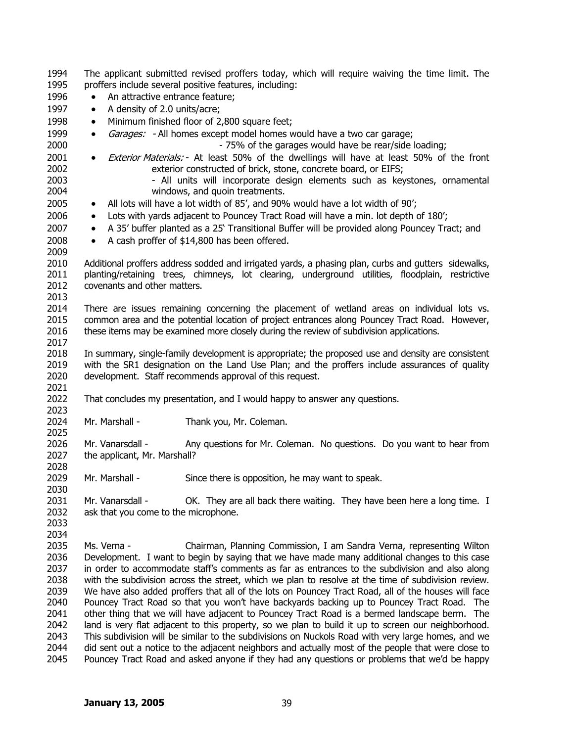| 1994 | The applicant submitted revised proffers today, which will require waiving the time limit. The  |                                                                                                      |  |
|------|-------------------------------------------------------------------------------------------------|------------------------------------------------------------------------------------------------------|--|
| 1995 | proffers include several positive features, including:                                          |                                                                                                      |  |
| 1996 | An attractive entrance feature;                                                                 |                                                                                                      |  |
| 1997 | A density of 2.0 units/acre;<br>$\bullet$                                                       |                                                                                                      |  |
| 1998 | $\bullet$                                                                                       | Minimum finished floor of 2,800 square feet;                                                         |  |
| 1999 | $\bullet$                                                                                       | Garages: - All homes except model homes would have a two car garage;                                 |  |
| 2000 |                                                                                                 | - 75% of the garages would have be rear/side loading;                                                |  |
| 2001 | $\bullet$                                                                                       | Exterior Materials: - At least 50% of the dwellings will have at least 50% of the front              |  |
| 2002 |                                                                                                 | exterior constructed of brick, stone, concrete board, or EIFS;                                       |  |
| 2003 |                                                                                                 | - All units will incorporate design elements such as keystones, ornamental                           |  |
| 2004 |                                                                                                 | windows, and quoin treatments.                                                                       |  |
| 2005 | All lots will have a lot width of 85', and 90% would have a lot width of 90';<br>$\bullet$      |                                                                                                      |  |
| 2006 | Lots with yards adjacent to Pouncey Tract Road will have a min. lot depth of 180';<br>$\bullet$ |                                                                                                      |  |
| 2007 | $\bullet$                                                                                       | A 35' buffer planted as a 25' Transitional Buffer will be provided along Pouncey Tract; and          |  |
| 2008 | $\bullet$                                                                                       | A cash proffer of \$14,800 has been offered.                                                         |  |
| 2009 |                                                                                                 |                                                                                                      |  |
| 2010 |                                                                                                 | Additional proffers address sodded and irrigated yards, a phasing plan, curbs and gutters sidewalks, |  |
| 2011 |                                                                                                 | planting/retaining trees, chimneys, lot clearing, underground utilities, floodplain, restrictive     |  |
| 2012 | covenants and other matters.                                                                    |                                                                                                      |  |
| 2013 |                                                                                                 |                                                                                                      |  |
| 2014 |                                                                                                 | There are issues remaining concerning the placement of wetland areas on individual lots vs.          |  |
| 2015 |                                                                                                 | common area and the potential location of project entrances along Pouncey Tract Road. However,       |  |
| 2016 |                                                                                                 | these items may be examined more closely during the review of subdivision applications.              |  |
| 2017 |                                                                                                 |                                                                                                      |  |
| 2018 |                                                                                                 | In summary, single-family development is appropriate; the proposed use and density are consistent    |  |
| 2019 |                                                                                                 | with the SR1 designation on the Land Use Plan; and the proffers include assurances of quality        |  |
| 2020 |                                                                                                 | development. Staff recommends approval of this request.                                              |  |
| 2021 |                                                                                                 |                                                                                                      |  |
| 2022 |                                                                                                 | That concludes my presentation, and I would happy to answer any questions.                           |  |
| 2023 |                                                                                                 |                                                                                                      |  |
| 2024 | Mr. Marshall -                                                                                  | Thank you, Mr. Coleman.                                                                              |  |
| 2025 |                                                                                                 |                                                                                                      |  |
| 2026 | Mr. Vanarsdall -                                                                                | Any questions for Mr. Coleman. No questions. Do you want to hear from                                |  |
| 2027 | the applicant, Mr. Marshall?                                                                    |                                                                                                      |  |
| 2028 |                                                                                                 |                                                                                                      |  |
| 2029 | Mr. Marshall -                                                                                  | Since there is opposition, he may want to speak.                                                     |  |
| 2030 |                                                                                                 |                                                                                                      |  |
| 2031 | Mr. Vanarsdall -                                                                                | OK. They are all back there waiting. They have been here a long time. I                              |  |
| 2032 | ask that you come to the microphone.                                                            |                                                                                                      |  |
| 2033 |                                                                                                 |                                                                                                      |  |
| 2034 |                                                                                                 |                                                                                                      |  |
| 2035 | Ms. Verna -                                                                                     | Chairman, Planning Commission, I am Sandra Verna, representing Wilton                                |  |
| 2036 |                                                                                                 | Development. I want to begin by saying that we have made many additional changes to this case        |  |
| 2037 |                                                                                                 | in order to accommodate staff's comments as far as entrances to the subdivision and also along       |  |
| 2038 |                                                                                                 | with the subdivision across the street, which we plan to resolve at the time of subdivision review.  |  |
| 2039 |                                                                                                 | We have also added proffers that all of the lots on Pouncey Tract Road, all of the houses will face  |  |
| 2040 |                                                                                                 | Pouncey Tract Road so that you won't have backyards backing up to Pouncey Tract Road.<br>The         |  |
| 2041 |                                                                                                 | other thing that we will have adjacent to Pouncey Tract Road is a bermed landscape berm.<br>The      |  |
| 2042 |                                                                                                 | land is very flat adjacent to this property, so we plan to build it up to screen our neighborhood.   |  |
| 2043 |                                                                                                 | This subdivision will be similar to the subdivisions on Nuckols Road with very large homes, and we   |  |
| 2044 |                                                                                                 | did sent out a notice to the adjacent neighbors and actually most of the neonle that were close to   |  |

2044 2045 did sent out a notice to the adjacent neighbors and actually most of the people that were close to Pouncey Tract Road and asked anyone if they had any questions or problems that we'd be happy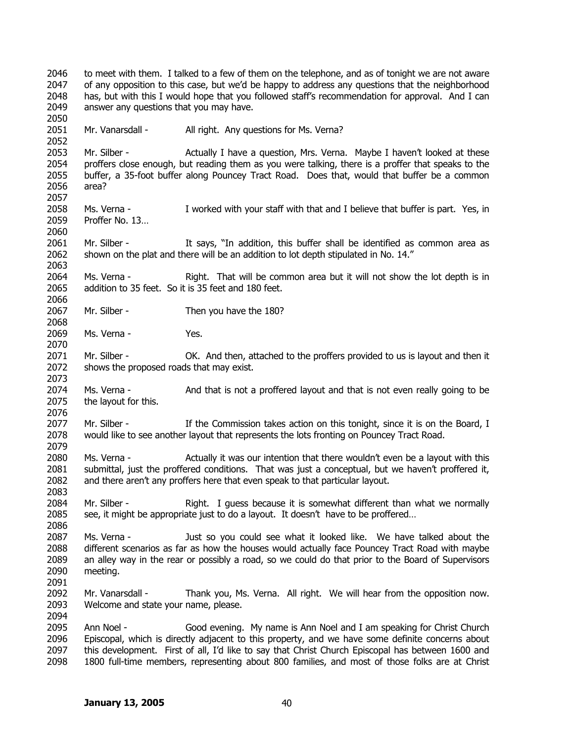2046 2047 2048 2049 2050 2051 2052 2053 2054 2055 2056 2057 2058 2059 2060 2061 2062 2063 2064 2065 2066 2067 2068 2069 2070 2071 2072 2073 2074 2075 2076 2077 2078 2079 2080 2081 2082 2083 2084 2085 2086 2087 2088 2089 2090 2091 2092 2093 2094 2095 2096 2097 2098 to meet with them. I talked to a few of them on the telephone, and as of tonight we are not aware of any opposition to this case, but we'd be happy to address any questions that the neighborhood has, but with this I would hope that you followed staff's recommendation for approval. And I can answer any questions that you may have. Mr. Vanarsdall - All right. Any questions for Ms. Verna? Mr. Silber - Actually I have a question, Mrs. Verna. Maybe I haven't looked at these proffers close enough, but reading them as you were talking, there is a proffer that speaks to the buffer, a 35-foot buffer along Pouncey Tract Road. Does that, would that buffer be a common area? Ms. Verna - I worked with your staff with that and I believe that buffer is part. Yes, in Proffer No. 13… Mr. Silber - It says, "In addition, this buffer shall be identified as common area as shown on the plat and there will be an addition to lot depth stipulated in No. 14." Ms. Verna - Right. That will be common area but it will not show the lot depth is in addition to 35 feet. So it is 35 feet and 180 feet. Mr. Silber - Then you have the 180? Ms. Verna - Yes. Mr. Silber - OK. And then, attached to the proffers provided to us is layout and then it shows the proposed roads that may exist. Ms. Verna - And that is not a proffered layout and that is not even really going to be the layout for this. Mr. Silber - If the Commission takes action on this tonight, since it is on the Board, I would like to see another layout that represents the lots fronting on Pouncey Tract Road. Ms. Verna - Actually it was our intention that there wouldn't even be a layout with this submittal, just the proffered conditions. That was just a conceptual, but we haven't proffered it, and there aren't any proffers here that even speak to that particular layout. Mr. Silber - Right. I guess because it is somewhat different than what we normally see, it might be appropriate just to do a layout. It doesn't have to be proffered… Ms. Verna - Just so you could see what it looked like. We have talked about the different scenarios as far as how the houses would actually face Pouncey Tract Road with maybe an alley way in the rear or possibly a road, so we could do that prior to the Board of Supervisors meeting. Mr. Vanarsdall - Thank you, Ms. Verna. All right. We will hear from the opposition now. Welcome and state your name, please. Ann Noel - Good evening. My name is Ann Noel and I am speaking for Christ Church Episcopal, which is directly adjacent to this property, and we have some definite concerns about this development. First of all, I'd like to say that Christ Church Episcopal has between 1600 and 1800 full-time members, representing about 800 families, and most of those folks are at Christ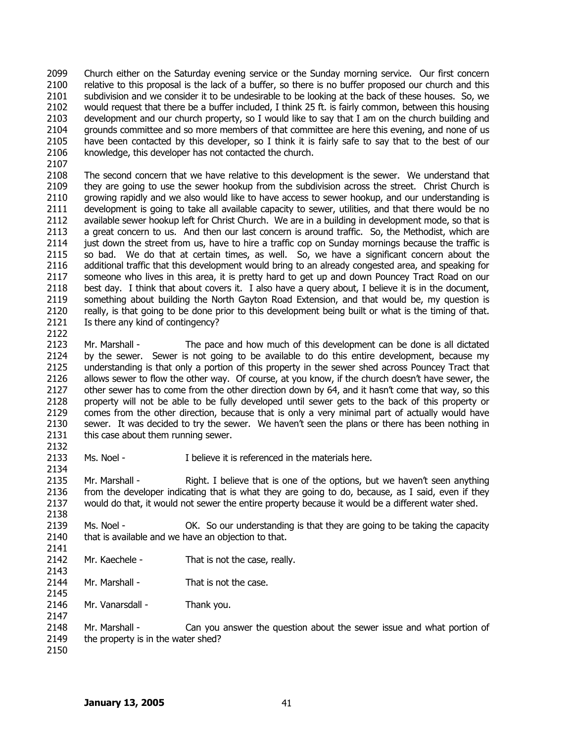2099 2100 2101 2102 2103 2104 2105 2106 Church either on the Saturday evening service or the Sunday morning service. Our first concern relative to this proposal is the lack of a buffer, so there is no buffer proposed our church and this subdivision and we consider it to be undesirable to be looking at the back of these houses. So, we would request that there be a buffer included, I think 25 ft. is fairly common, between this housing development and our church property, so I would like to say that I am on the church building and grounds committee and so more members of that committee are here this evening, and none of us have been contacted by this developer, so I think it is fairly safe to say that to the best of our knowledge, this developer has not contacted the church.

2107

2122

2132

2138

2143

2145

2147

2108 2109 2110 2111 2112 2113 2114 2115 2116 2117 2118 2119 2120 2121 The second concern that we have relative to this development is the sewer. We understand that they are going to use the sewer hookup from the subdivision across the street. Christ Church is growing rapidly and we also would like to have access to sewer hookup, and our understanding is development is going to take all available capacity to sewer, utilities, and that there would be no available sewer hookup left for Christ Church. We are in a building in development mode, so that is a great concern to us. And then our last concern is around traffic. So, the Methodist, which are just down the street from us, have to hire a traffic cop on Sunday mornings because the traffic is so bad. We do that at certain times, as well. So, we have a significant concern about the additional traffic that this development would bring to an already congested area, and speaking for someone who lives in this area, it is pretty hard to get up and down Pouncey Tract Road on our best day. I think that about covers it. I also have a query about, I believe it is in the document, something about building the North Gayton Road Extension, and that would be, my question is really, is that going to be done prior to this development being built or what is the timing of that. Is there any kind of contingency?

2123 2124 2125 2126 2127 2128 2129 2130 2131 Mr. Marshall - The pace and how much of this development can be done is all dictated by the sewer. Sewer is not going to be available to do this entire development, because my understanding is that only a portion of this property in the sewer shed across Pouncey Tract that allows sewer to flow the other way. Of course, at you know, if the church doesn't have sewer, the other sewer has to come from the other direction down by 64, and it hasn't come that way, so this property will not be able to be fully developed until sewer gets to the back of this property or comes from the other direction, because that is only a very minimal part of actually would have sewer. It was decided to try the sewer. We haven't seen the plans or there has been nothing in this case about them running sewer.

2133 2134 Ms. Noel - Thelieve it is referenced in the materials here.

2135 2136 2137 Mr. Marshall - Right. I believe that is one of the options, but we haven't seen anything from the developer indicating that is what they are going to do, because, as I said, even if they would do that, it would not sewer the entire property because it would be a different water shed.

2139 2140 2141 Ms. Noel - CK. So our understanding is that they are going to be taking the capacity that is available and we have an objection to that.

- 2142 Mr. Kaechele - That is not the case, really.
- 2144 Mr. Marshall - That is not the case.

2146 Mr. Vanarsdall - Thank you.

- 2148 2149 Mr. Marshall - Can you answer the question about the sewer issue and what portion of the property is in the water shed?
- 2150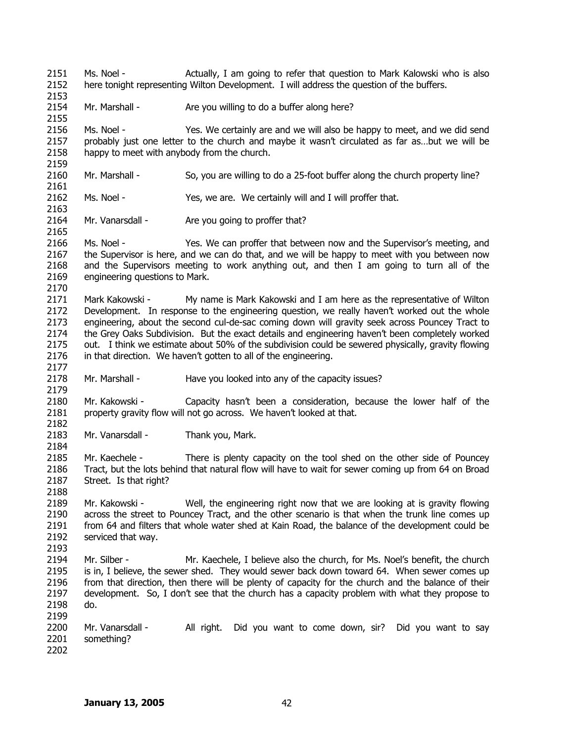2151 2152 Ms. Noel - Actually, I am going to refer that question to Mark Kalowski who is also here tonight representing Wilton Development. I will address the question of the buffers.

2154 Mr. Marshall - Are you willing to do a buffer along here?

2156 2157 2158 Ms. Noel - Yes. We certainly are and we will also be happy to meet, and we did send probably just one letter to the church and maybe it wasn't circulated as far as…but we will be happy to meet with anybody from the church.

- 2160 Mr. Marshall - So, you are willing to do a 25-foot buffer along the church property line?
- 2162 Ms. Noel - Yes, we are. We certainly will and I will proffer that.
- 2164 Mr. Vanarsdall - Are you going to proffer that?
- 2166 2167 2168 2169 2170 Ms. Noel - Yes. We can proffer that between now and the Supervisor's meeting, and the Supervisor is here, and we can do that, and we will be happy to meet with you between now and the Supervisors meeting to work anything out, and then I am going to turn all of the engineering questions to Mark.
- 2171 2172 2173 2174 2175 2176 Mark Kakowski - My name is Mark Kakowski and I am here as the representative of Wilton Development. In response to the engineering question, we really haven't worked out the whole engineering, about the second cul-de-sac coming down will gravity seek across Pouncey Tract to the Grey Oaks Subdivision. But the exact details and engineering haven't been completely worked out. I think we estimate about 50% of the subdivision could be sewered physically, gravity flowing in that direction. We haven't gotten to all of the engineering.
- 2178 Mr. Marshall - Have you looked into any of the capacity issues?
- 2180 2181 Mr. Kakowski - Capacity hasn't been a consideration, because the lower half of the property gravity flow will not go across. We haven't looked at that.
- 2183 Mr. Vanarsdall - Thank you, Mark.
- 2185 2186 2187 Mr. Kaechele - There is plenty capacity on the tool shed on the other side of Pouncey Tract, but the lots behind that natural flow will have to wait for sewer coming up from 64 on Broad Street. Is that right?
- 2189 2190 2191 2192 Mr. Kakowski - Well, the engineering right now that we are looking at is gravity flowing across the street to Pouncey Tract, and the other scenario is that when the trunk line comes up from 64 and filters that whole water shed at Kain Road, the balance of the development could be serviced that way.
- 2194 2195 2196 2197 2198 Mr. Silber - Mr. Kaechele, I believe also the church, for Ms. Noel's benefit, the church is in, I believe, the sewer shed. They would sewer back down toward 64. When sewer comes up from that direction, then there will be plenty of capacity for the church and the balance of their development. So, I don't see that the church has a capacity problem with what they propose to do.
- 2200 2201 Mr. Vanarsdall - All right. Did you want to come down, sir? Did you want to say something?
- 2202

2199

2153

2155

2159

2161

2163

2165

2177

2179

2182

2184

2188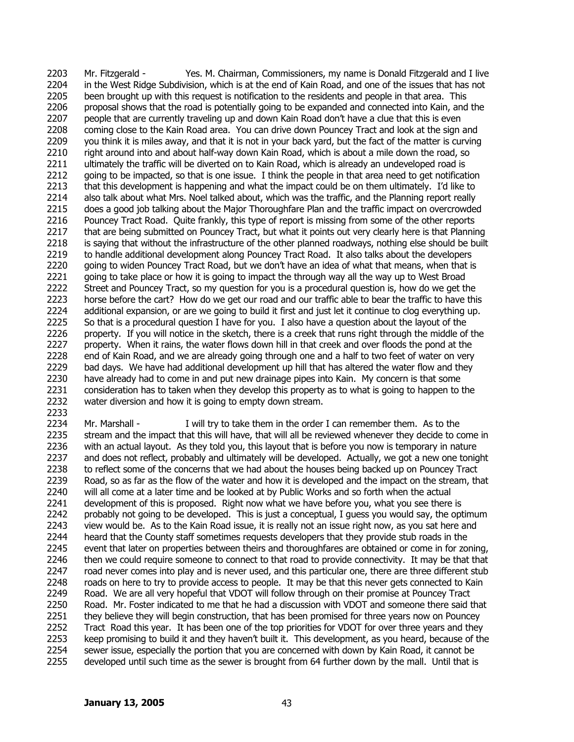2203 2204 2205 2206 2207 2208 2209 2210 2211 2212 2213 2214 2215 2216 2217 2218 2219 2220 2221 2222 2223 2224 2225 2226 2227 2228 2229 2230 2231 2232 2233 Mr. Fitzgerald - Yes. M. Chairman, Commissioners, my name is Donald Fitzgerald and I live in the West Ridge Subdivision, which is at the end of Kain Road, and one of the issues that has not been brought up with this request is notification to the residents and people in that area. This proposal shows that the road is potentially going to be expanded and connected into Kain, and the people that are currently traveling up and down Kain Road don't have a clue that this is even coming close to the Kain Road area. You can drive down Pouncey Tract and look at the sign and you think it is miles away, and that it is not in your back yard, but the fact of the matter is curving right around into and about half-way down Kain Road, which is about a mile down the road, so ultimately the traffic will be diverted on to Kain Road, which is already an undeveloped road is going to be impacted, so that is one issue. I think the people in that area need to get notification that this development is happening and what the impact could be on them ultimately. I'd like to also talk about what Mrs. Noel talked about, which was the traffic, and the Planning report really does a good job talking about the Major Thoroughfare Plan and the traffic impact on overcrowded Pouncey Tract Road. Quite frankly, this type of report is missing from some of the other reports that are being submitted on Pouncey Tract, but what it points out very clearly here is that Planning is saying that without the infrastructure of the other planned roadways, nothing else should be built to handle additional development along Pouncey Tract Road. It also talks about the developers going to widen Pouncey Tract Road, but we don't have an idea of what that means, when that is going to take place or how it is going to impact the through way all the way up to West Broad Street and Pouncey Tract, so my question for you is a procedural question is, how do we get the horse before the cart? How do we get our road and our traffic able to bear the traffic to have this additional expansion, or are we going to build it first and just let it continue to clog everything up. So that is a procedural question I have for you. I also have a question about the layout of the property. If you will notice in the sketch, there is a creek that runs right through the middle of the property. When it rains, the water flows down hill in that creek and over floods the pond at the end of Kain Road, and we are already going through one and a half to two feet of water on very bad days. We have had additional development up hill that has altered the water flow and they have already had to come in and put new drainage pipes into Kain. My concern is that some consideration has to taken when they develop this property as to what is going to happen to the water diversion and how it is going to empty down stream.

2234 2235 2236 2237 2238 2239 2240 2241 2242 2243 2244 2245 2246 2247 2248 2249 2250 2251 2252 2253 2254 2255 Mr. Marshall - I will try to take them in the order I can remember them. As to the stream and the impact that this will have, that will all be reviewed whenever they decide to come in with an actual layout. As they told you, this layout that is before you now is temporary in nature and does not reflect, probably and ultimately will be developed. Actually, we got a new one tonight to reflect some of the concerns that we had about the houses being backed up on Pouncey Tract Road, so as far as the flow of the water and how it is developed and the impact on the stream, that will all come at a later time and be looked at by Public Works and so forth when the actual development of this is proposed. Right now what we have before you, what you see there is probably not going to be developed. This is just a conceptual, I guess you would say, the optimum view would be. As to the Kain Road issue, it is really not an issue right now, as you sat here and heard that the County staff sometimes requests developers that they provide stub roads in the event that later on properties between theirs and thoroughfares are obtained or come in for zoning, then we could require someone to connect to that road to provide connectivity. It may be that that road never comes into play and is never used, and this particular one, there are three different stub roads on here to try to provide access to people. It may be that this never gets connected to Kain Road. We are all very hopeful that VDOT will follow through on their promise at Pouncey Tract Road. Mr. Foster indicated to me that he had a discussion with VDOT and someone there said that they believe they will begin construction, that has been promised for three years now on Pouncey Tract Road this year. It has been one of the top priorities for VDOT for over three years and they keep promising to build it and they haven't built it. This development, as you heard, because of the sewer issue, especially the portion that you are concerned with down by Kain Road, it cannot be developed until such time as the sewer is brought from 64 further down by the mall. Until that is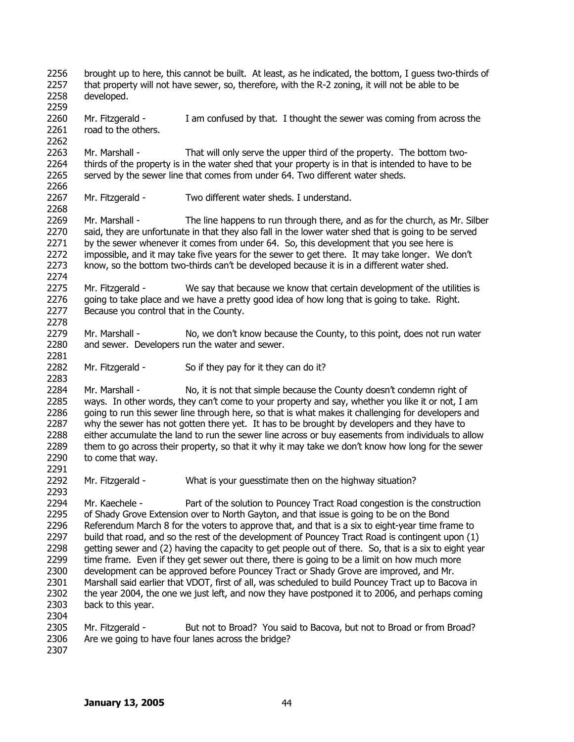2256 2257 2258 brought up to here, this cannot be built. At least, as he indicated, the bottom, I guess two-thirds of that property will not have sewer, so, therefore, with the R-2 zoning, it will not be able to be developed.

2260 2261 Mr. Fitzgerald - I am confused by that. I thought the sewer was coming from across the road to the others.

2263 2264 2265 2266 Mr. Marshall - That will only serve the upper third of the property. The bottom twothirds of the property is in the water shed that your property is in that is intended to have to be served by the sewer line that comes from under 64. Two different water sheds.

2267 Mr. Fitzgerald - Two different water sheds. I understand.

2269 2270 2271 2272 2273 Mr. Marshall - The line happens to run through there, and as for the church, as Mr. Silber said, they are unfortunate in that they also fall in the lower water shed that is going to be served by the sewer whenever it comes from under 64. So, this development that you see here is impossible, and it may take five years for the sewer to get there. It may take longer. We don't know, so the bottom two-thirds can't be developed because it is in a different water shed.

2275 2276 2277 Mr. Fitzgerald - We say that because we know that certain development of the utilities is going to take place and we have a pretty good idea of how long that is going to take. Right. Because you control that in the County.

2279 2280 Mr. Marshall - No, we don't know because the County, to this point, does not run water and sewer. Developers run the water and sewer.

2282 Mr. Fitzgerald - So if they pay for it they can do it?

2284 2285 2286 2287 2288 2289 2290 Mr. Marshall - No, it is not that simple because the County doesn't condemn right of ways. In other words, they can't come to your property and say, whether you like it or not, I am going to run this sewer line through here, so that is what makes it challenging for developers and why the sewer has not gotten there yet. It has to be brought by developers and they have to either accumulate the land to run the sewer line across or buy easements from individuals to allow them to go across their property, so that it why it may take we don't know how long for the sewer to come that way.

2292 Mr. Fitzgerald - What is your guesstimate then on the highway situation?

2294 2295 2296 2297 2298 2299 2300 2301 2302 2303 2304 Mr. Kaechele - Part of the solution to Pouncey Tract Road congestion is the construction of Shady Grove Extension over to North Gayton, and that issue is going to be on the Bond Referendum March 8 for the voters to approve that, and that is a six to eight-year time frame to build that road, and so the rest of the development of Pouncey Tract Road is contingent upon (1) getting sewer and (2) having the capacity to get people out of there. So, that is a six to eight year time frame. Even if they get sewer out there, there is going to be a limit on how much more development can be approved before Pouncey Tract or Shady Grove are improved, and Mr. Marshall said earlier that VDOT, first of all, was scheduled to build Pouncey Tract up to Bacova in the year 2004, the one we just left, and now they have postponed it to 2006, and perhaps coming back to this year.

2305 2306 Mr. Fitzgerald - But not to Broad? You said to Bacova, but not to Broad or from Broad? Are we going to have four lanes across the bridge?

2307

2259

2262

2268

2274

2278

2281

2283

2291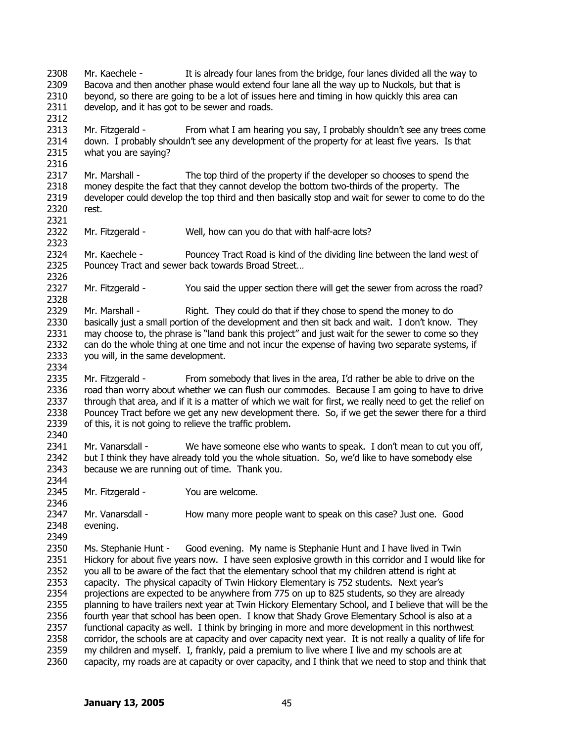2308 2309 2310 2311 2312 2313 2314 2315 2316 2317 2318 2319 2320 2321 2322 2323 2324 2325 2326 2327 2328 2329 2330 2331 2332 2333 2334 2335 2336 2337 2338 2339 2340 2341 2342 2343 2344 2345 2346 2347 2348 2349 2350 2351 2352 2353 2354 2355 2356 2357 2358 2359 2360 Mr. Kaechele - It is already four lanes from the bridge, four lanes divided all the way to Bacova and then another phase would extend four lane all the way up to Nuckols, but that is beyond, so there are going to be a lot of issues here and timing in how quickly this area can develop, and it has got to be sewer and roads. Mr. Fitzgerald - From what I am hearing you say, I probably shouldn't see any trees come down. I probably shouldn't see any development of the property for at least five years. Is that what you are saying? Mr. Marshall - The top third of the property if the developer so chooses to spend the money despite the fact that they cannot develop the bottom two-thirds of the property. The developer could develop the top third and then basically stop and wait for sewer to come to do the rest. Mr. Fitzgerald - Well, how can you do that with half-acre lots? Mr. Kaechele - Pouncey Tract Road is kind of the dividing line between the land west of Pouncey Tract and sewer back towards Broad Street… Mr. Fitzgerald - You said the upper section there will get the sewer from across the road? Mr. Marshall - Right. They could do that if they chose to spend the money to do basically just a small portion of the development and then sit back and wait. I don't know. They may choose to, the phrase is "land bank this project" and just wait for the sewer to come so they can do the whole thing at one time and not incur the expense of having two separate systems, if you will, in the same development. Mr. Fitzgerald - From somebody that lives in the area, I'd rather be able to drive on the road than worry about whether we can flush our commodes. Because I am going to have to drive through that area, and if it is a matter of which we wait for first, we really need to get the relief on Pouncey Tract before we get any new development there. So, if we get the sewer there for a third of this, it is not going to relieve the traffic problem. Mr. Vanarsdall - We have someone else who wants to speak. I don't mean to cut you off, but I think they have already told you the whole situation. So, we'd like to have somebody else because we are running out of time. Thank you. Mr. Fitzgerald - You are welcome. Mr. Vanarsdall - How many more people want to speak on this case? Just one. Good evening. Ms. Stephanie Hunt - Good evening. My name is Stephanie Hunt and I have lived in Twin Hickory for about five years now. I have seen explosive growth in this corridor and I would like for you all to be aware of the fact that the elementary school that my children attend is right at capacity. The physical capacity of Twin Hickory Elementary is 752 students. Next year's projections are expected to be anywhere from 775 on up to 825 students, so they are already planning to have trailers next year at Twin Hickory Elementary School, and I believe that will be the fourth year that school has been open. I know that Shady Grove Elementary School is also at a functional capacity as well. I think by bringing in more and more development in this northwest corridor, the schools are at capacity and over capacity next year. It is not really a quality of life for my children and myself. I, frankly, paid a premium to live where I live and my schools are at capacity, my roads are at capacity or over capacity, and I think that we need to stop and think that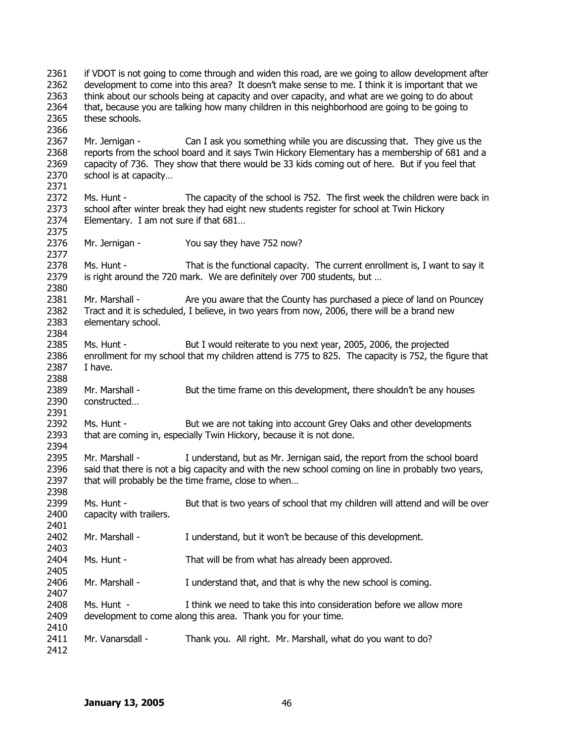2361 2362 2363 2364 2365 2366 2367 2368 2369 2370 2371 2372 2373 2374 2375 2376 2377 2378 2379 2380 2381 2382 2383 2384 2385 2386 2387 2388 2389 2390 2391 2392 2393 2394 2395 2396 2397 2398 2399 2400 2401 2402 2403 2404 2405 2406 2407 2408 2409 2410 2411 2412 if VDOT is not going to come through and widen this road, are we going to allow development after development to come into this area? It doesn't make sense to me. I think it is important that we think about our schools being at capacity and over capacity, and what are we going to do about that, because you are talking how many children in this neighborhood are going to be going to these schools. Mr. Jernigan - Can I ask you something while you are discussing that. They give us the reports from the school board and it says Twin Hickory Elementary has a membership of 681 and a capacity of 736. They show that there would be 33 kids coming out of here. But if you feel that school is at capacity… Ms. Hunt - The capacity of the school is 752. The first week the children were back in school after winter break they had eight new students register for school at Twin Hickory Elementary. I am not sure if that 681… Mr. Jernigan - You say they have 752 now? Ms. Hunt - That is the functional capacity. The current enrollment is, I want to say it is right around the 720 mark. We are definitely over 700 students, but … Mr. Marshall - Are you aware that the County has purchased a piece of land on Pouncey Tract and it is scheduled, I believe, in two years from now, 2006, there will be a brand new elementary school. Ms. Hunt - But I would reiterate to you next year, 2005, 2006, the projected enrollment for my school that my children attend is 775 to 825. The capacity is 752, the figure that I have. Mr. Marshall - But the time frame on this development, there shouldn't be any houses constructed… Ms. Hunt - But we are not taking into account Grey Oaks and other developments that are coming in, especially Twin Hickory, because it is not done. Mr. Marshall - I understand, but as Mr. Jernigan said, the report from the school board said that there is not a big capacity and with the new school coming on line in probably two years, that will probably be the time frame, close to when… Ms. Hunt - But that is two years of school that my children will attend and will be over capacity with trailers. Mr. Marshall - I understand, but it won't be because of this development. Ms. Hunt - That will be from what has already been approved. Mr. Marshall - I understand that, and that is why the new school is coming. Ms. Hunt - I think we need to take this into consideration before we allow more development to come along this area. Thank you for your time. Mr. Vanarsdall - Thank you. All right. Mr. Marshall, what do you want to do?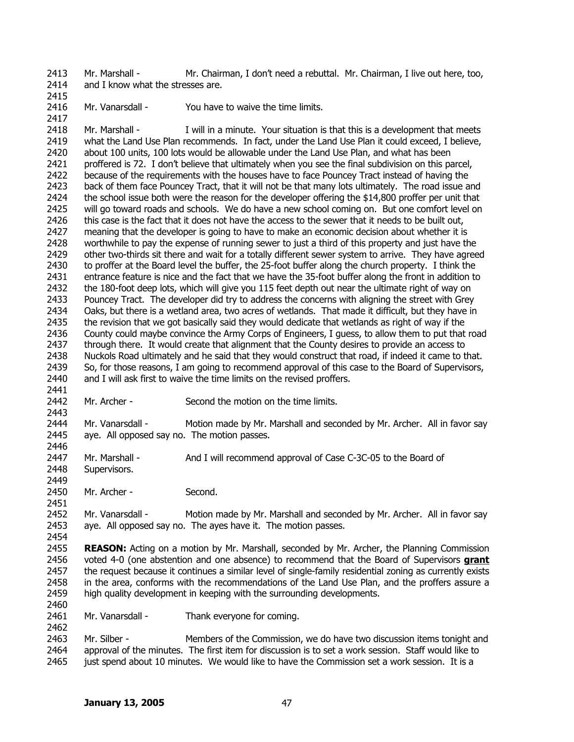2413 2414 Mr. Marshall - Mr. Chairman, I don't need a rebuttal. Mr. Chairman, I live out here, too, and I know what the stresses are.

2415

2417

2416 Mr. Vanarsdall - You have to waive the time limits.

2418 2419 2420 2421 2422 2423 2424 2425 2426 2427 2428 2429 2430 2431 2432 2433 2434 2435 2436 2437 2438 2439 2440 2441 Mr. Marshall - I will in a minute. Your situation is that this is a development that meets what the Land Use Plan recommends. In fact, under the Land Use Plan it could exceed, I believe, about 100 units, 100 lots would be allowable under the Land Use Plan, and what has been proffered is 72. I don't believe that ultimately when you see the final subdivision on this parcel, because of the requirements with the houses have to face Pouncey Tract instead of having the back of them face Pouncey Tract, that it will not be that many lots ultimately. The road issue and the school issue both were the reason for the developer offering the \$14,800 proffer per unit that will go toward roads and schools. We do have a new school coming on. But one comfort level on this case is the fact that it does not have the access to the sewer that it needs to be built out, meaning that the developer is going to have to make an economic decision about whether it is worthwhile to pay the expense of running sewer to just a third of this property and just have the other two-thirds sit there and wait for a totally different sewer system to arrive. They have agreed to proffer at the Board level the buffer, the 25-foot buffer along the church property. I think the entrance feature is nice and the fact that we have the 35-foot buffer along the front in addition to the 180-foot deep lots, which will give you 115 feet depth out near the ultimate right of way on Pouncey Tract. The developer did try to address the concerns with aligning the street with Grey Oaks, but there is a wetland area, two acres of wetlands. That made it difficult, but they have in the revision that we got basically said they would dedicate that wetlands as right of way if the County could maybe convince the Army Corps of Engineers, I guess, to allow them to put that road through there. It would create that alignment that the County desires to provide an access to Nuckols Road ultimately and he said that they would construct that road, if indeed it came to that. So, for those reasons, I am going to recommend approval of this case to the Board of Supervisors, and I will ask first to waive the time limits on the revised proffers.

2442

2449

2451

2454

2460

2462

2443 Mr. Archer - Second the motion on the time limits.

2444 2445 2446 Mr. Vanarsdall - Motion made by Mr. Marshall and seconded by Mr. Archer. All in favor say aye. All opposed say no. The motion passes.

2447 2448 Mr. Marshall - And I will recommend approval of Case C-3C-05 to the Board of Supervisors.

2450 Mr. Archer - Second.

2452 2453 Mr. Vanarsdall - Motion made by Mr. Marshall and seconded by Mr. Archer. All in favor say aye. All opposed say no. The ayes have it. The motion passes.

2455 **REASON:** Acting on a motion by Mr. Marshall, seconded by Mr. Archer, the Planning Commission voted 4-0 (one abstention and one absence) to recommend that the Board of Supervisors **grant** the request because it continues a similar level of single-family residential zoning as currently exists in the area, conforms with the recommendations of the Land Use Plan, and the proffers assure a high quality development in keeping with the surrounding developments. 2456 2457 2458 2459

2461 Mr. Vanarsdall - Thank everyone for coming.

2463 2464 2465 Mr. Silber - Members of the Commission, we do have two discussion items tonight and approval of the minutes. The first item for discussion is to set a work session. Staff would like to just spend about 10 minutes. We would like to have the Commission set a work session. It is a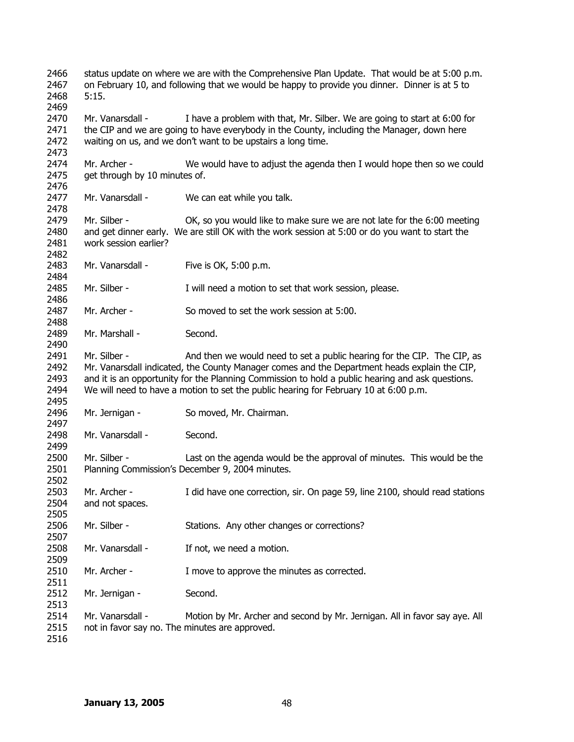status update on where we are with the Comprehensive Plan Update. That would be at 5:00 p.m. on February 10, and following that we would be happy to provide you dinner. Dinner is at 5 to 5:15. Mr. Vanarsdall - I have a problem with that, Mr. Silber. We are going to start at 6:00 for the CIP and we are going to have everybody in the County, including the Manager, down here waiting on us, and we don't want to be upstairs a long time. Mr. Archer - We would have to adjust the agenda then I would hope then so we could get through by 10 minutes of. Mr. Vanarsdall - We can eat while you talk. Mr. Silber - OK, so you would like to make sure we are not late for the 6:00 meeting and get dinner early. We are still OK with the work session at 5:00 or do you want to start the work session earlier? Mr. Vanarsdall - Five is OK, 5:00 p.m. Mr. Silber - I will need a motion to set that work session, please. Mr. Archer - So moved to set the work session at 5:00. Mr. Marshall - Second. Mr. Silber - And then we would need to set a public hearing for the CIP. The CIP, as Mr. Vanarsdall indicated, the County Manager comes and the Department heads explain the CIP, and it is an opportunity for the Planning Commission to hold a public hearing and ask questions. We will need to have a motion to set the public hearing for February 10 at 6:00 p.m. Mr. Jernigan - So moved, Mr. Chairman. Mr. Vanarsdall - Second. Mr. Silber - Last on the agenda would be the approval of minutes. This would be the Planning Commission's December 9, 2004 minutes. Mr. Archer - I did have one correction, sir. On page 59, line 2100, should read stations and not spaces. Mr. Silber - Stations. Any other changes or corrections? Mr. Vanarsdall - If not, we need a motion. Mr. Archer - I move to approve the minutes as corrected. Mr. Jernigan - Second. Mr. Vanarsdall - Motion by Mr. Archer and second by Mr. Jernigan. All in favor say aye. All not in favor say no. The minutes are approved.